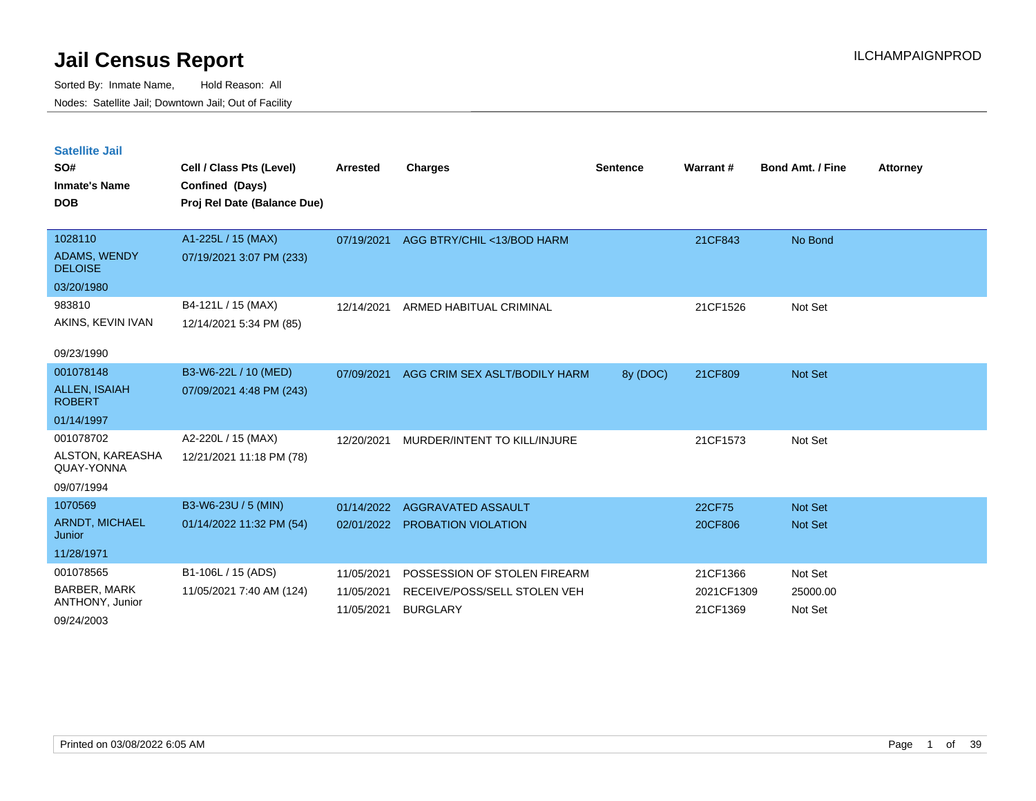Sorted By: Inmate Name, Hold Reason: All Nodes: Satellite Jail; Downtown Jail; Out of Facility

| <b>Satellite Jail</b><br>SO#<br><b>Inmate's Name</b><br><b>DOB</b> | Cell / Class Pts (Level)<br>Confined (Days)<br>Proj Rel Date (Balance Due) | <b>Arrested</b> | <b>Charges</b>                | <b>Sentence</b> | Warrant#   | <b>Bond Amt. / Fine</b> | <b>Attorney</b> |
|--------------------------------------------------------------------|----------------------------------------------------------------------------|-----------------|-------------------------------|-----------------|------------|-------------------------|-----------------|
| 1028110                                                            | A1-225L / 15 (MAX)                                                         | 07/19/2021      | AGG BTRY/CHIL <13/BOD HARM    |                 | 21CF843    | No Bond                 |                 |
| <b>ADAMS, WENDY</b><br><b>DELOISE</b>                              | 07/19/2021 3:07 PM (233)                                                   |                 |                               |                 |            |                         |                 |
| 03/20/1980                                                         |                                                                            |                 |                               |                 |            |                         |                 |
| 983810                                                             | B4-121L / 15 (MAX)                                                         | 12/14/2021      | ARMED HABITUAL CRIMINAL       |                 | 21CF1526   | Not Set                 |                 |
| AKINS, KEVIN IVAN                                                  | 12/14/2021 5:34 PM (85)                                                    |                 |                               |                 |            |                         |                 |
| 09/23/1990                                                         |                                                                            |                 |                               |                 |            |                         |                 |
| 001078148                                                          | B3-W6-22L / 10 (MED)                                                       | 07/09/2021      | AGG CRIM SEX ASLT/BODILY HARM | 8y (DOC)        | 21CF809    | Not Set                 |                 |
| <b>ALLEN, ISAIAH</b><br><b>ROBERT</b>                              | 07/09/2021 4:48 PM (243)                                                   |                 |                               |                 |            |                         |                 |
| 01/14/1997                                                         |                                                                            |                 |                               |                 |            |                         |                 |
| 001078702                                                          | A2-220L / 15 (MAX)                                                         | 12/20/2021      | MURDER/INTENT TO KILL/INJURE  |                 | 21CF1573   | Not Set                 |                 |
| ALSTON, KAREASHA<br>QUAY-YONNA                                     | 12/21/2021 11:18 PM (78)                                                   |                 |                               |                 |            |                         |                 |
| 09/07/1994                                                         |                                                                            |                 |                               |                 |            |                         |                 |
| 1070569                                                            | B3-W6-23U / 5 (MIN)                                                        | 01/14/2022      | AGGRAVATED ASSAULT            |                 | 22CF75     | <b>Not Set</b>          |                 |
| <b>ARNDT, MICHAEL</b><br>Junior                                    | 01/14/2022 11:32 PM (54)                                                   | 02/01/2022      | <b>PROBATION VIOLATION</b>    |                 | 20CF806    | <b>Not Set</b>          |                 |
| 11/28/1971                                                         |                                                                            |                 |                               |                 |            |                         |                 |
| 001078565                                                          | B1-106L / 15 (ADS)                                                         | 11/05/2021      | POSSESSION OF STOLEN FIREARM  |                 | 21CF1366   | Not Set                 |                 |
| <b>BARBER, MARK</b>                                                | 11/05/2021 7:40 AM (124)                                                   | 11/05/2021      | RECEIVE/POSS/SELL STOLEN VEH  |                 | 2021CF1309 | 25000.00                |                 |
| ANTHONY, Junior                                                    |                                                                            | 11/05/2021      | <b>BURGLARY</b>               |                 | 21CF1369   | Not Set                 |                 |

09/24/2003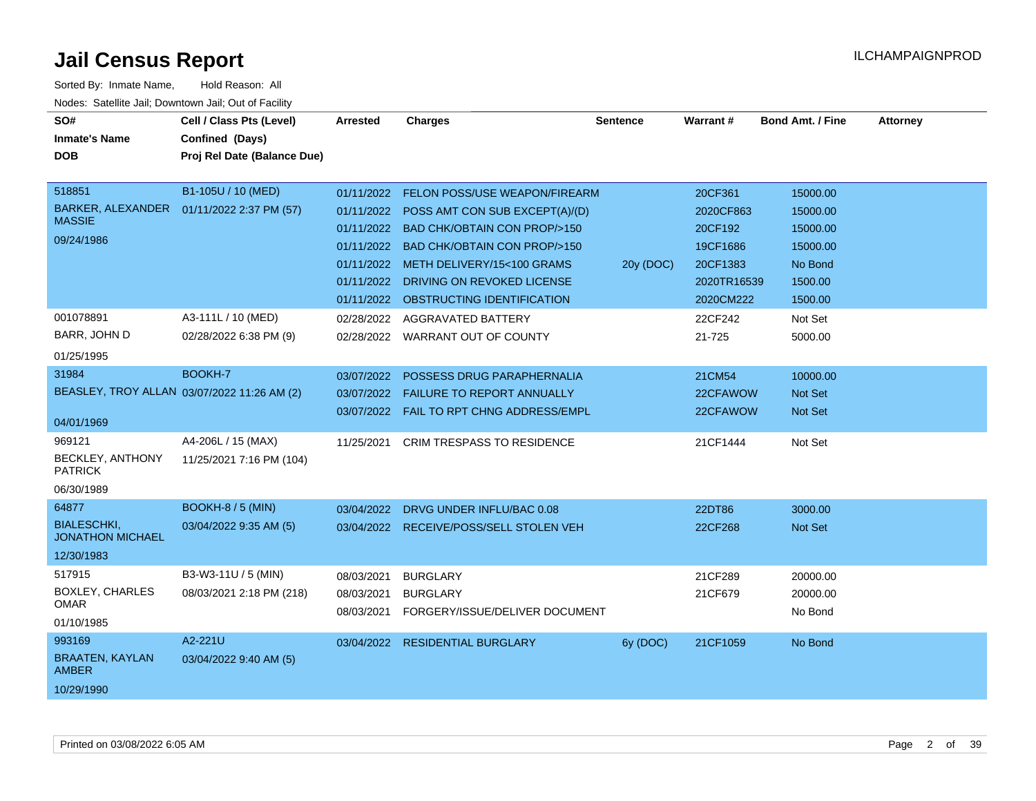| SO#<br><b>Inmate's Name</b><br><b>DOB</b>     | Cell / Class Pts (Level)<br>Confined (Days)<br>Proj Rel Date (Balance Due) | <b>Arrested</b> | <b>Charges</b>                            | <b>Sentence</b> | <b>Warrant#</b> | <b>Bond Amt. / Fine</b> | <b>Attorney</b> |
|-----------------------------------------------|----------------------------------------------------------------------------|-----------------|-------------------------------------------|-----------------|-----------------|-------------------------|-----------------|
|                                               |                                                                            |                 |                                           |                 |                 |                         |                 |
| 518851                                        | B1-105U / 10 (MED)                                                         | 01/11/2022      | <b>FELON POSS/USE WEAPON/FIREARM</b>      |                 | 20CF361         | 15000.00                |                 |
| <b>BARKER, ALEXANDER</b>                      | 01/11/2022 2:37 PM (57)                                                    |                 | 01/11/2022 POSS AMT CON SUB EXCEPT(A)/(D) |                 | 2020CF863       | 15000.00                |                 |
| <b>MASSIE</b>                                 |                                                                            |                 | 01/11/2022 BAD CHK/OBTAIN CON PROP/>150   |                 | 20CF192         | 15000.00                |                 |
| 09/24/1986                                    |                                                                            |                 | 01/11/2022 BAD CHK/OBTAIN CON PROP/>150   |                 | 19CF1686        | 15000.00                |                 |
|                                               |                                                                            |                 | 01/11/2022 METH DELIVERY/15<100 GRAMS     | 20y (DOC)       | 20CF1383        | No Bond                 |                 |
|                                               |                                                                            | 01/11/2022      | DRIVING ON REVOKED LICENSE                |                 | 2020TR16539     | 1500.00                 |                 |
|                                               |                                                                            | 01/11/2022      | OBSTRUCTING IDENTIFICATION                |                 | 2020CM222       | 1500.00                 |                 |
| 001078891                                     | A3-111L / 10 (MED)                                                         | 02/28/2022      | AGGRAVATED BATTERY                        |                 | 22CF242         | Not Set                 |                 |
| BARR, JOHN D                                  | 02/28/2022 6:38 PM (9)                                                     |                 | 02/28/2022 WARRANT OUT OF COUNTY          |                 | 21-725          | 5000.00                 |                 |
| 01/25/1995                                    |                                                                            |                 |                                           |                 |                 |                         |                 |
| 31984                                         | BOOKH-7                                                                    | 03/07/2022      | POSSESS DRUG PARAPHERNALIA                |                 | 21CM54          | 10000.00                |                 |
|                                               | BEASLEY, TROY ALLAN 03/07/2022 11:26 AM (2)                                |                 | 03/07/2022  FAILURE TO REPORT ANNUALLY    |                 | 22CFAWOW        | <b>Not Set</b>          |                 |
|                                               |                                                                            | 03/07/2022      | FAIL TO RPT CHNG ADDRESS/EMPL             |                 | 22CFAWOW        | <b>Not Set</b>          |                 |
| 04/01/1969                                    |                                                                            |                 |                                           |                 |                 |                         |                 |
| 969121                                        | A4-206L / 15 (MAX)                                                         | 11/25/2021      | <b>CRIM TRESPASS TO RESIDENCE</b>         |                 | 21CF1444        | Not Set                 |                 |
| BECKLEY, ANTHONY<br><b>PATRICK</b>            | 11/25/2021 7:16 PM (104)                                                   |                 |                                           |                 |                 |                         |                 |
| 06/30/1989                                    |                                                                            |                 |                                           |                 |                 |                         |                 |
| 64877                                         | <b>BOOKH-8 / 5 (MIN)</b>                                                   | 03/04/2022      | DRVG UNDER INFLU/BAC 0.08                 |                 | 22DT86          | 3000.00                 |                 |
| <b>BIALESCHKI,</b><br><b>JONATHON MICHAEL</b> | 03/04/2022 9:35 AM (5)                                                     |                 | 03/04/2022 RECEIVE/POSS/SELL STOLEN VEH   |                 | 22CF268         | <b>Not Set</b>          |                 |
| 12/30/1983                                    |                                                                            |                 |                                           |                 |                 |                         |                 |
| 517915                                        | B3-W3-11U / 5 (MIN)                                                        | 08/03/2021      | <b>BURGLARY</b>                           |                 | 21CF289         | 20000.00                |                 |
| <b>BOXLEY, CHARLES</b>                        | 08/03/2021 2:18 PM (218)                                                   | 08/03/2021      | <b>BURGLARY</b>                           |                 | 21CF679         | 20000.00                |                 |
| <b>OMAR</b>                                   |                                                                            | 08/03/2021      | FORGERY/ISSUE/DELIVER DOCUMENT            |                 |                 | No Bond                 |                 |
| 01/10/1985                                    |                                                                            |                 |                                           |                 |                 |                         |                 |
| 993169                                        | A2-221U                                                                    |                 | 03/04/2022 RESIDENTIAL BURGLARY           | 6y (DOC)        | 21CF1059        | No Bond                 |                 |
| <b>BRAATEN, KAYLAN</b><br><b>AMBER</b>        | 03/04/2022 9:40 AM (5)                                                     |                 |                                           |                 |                 |                         |                 |
| 10/29/1990                                    |                                                                            |                 |                                           |                 |                 |                         |                 |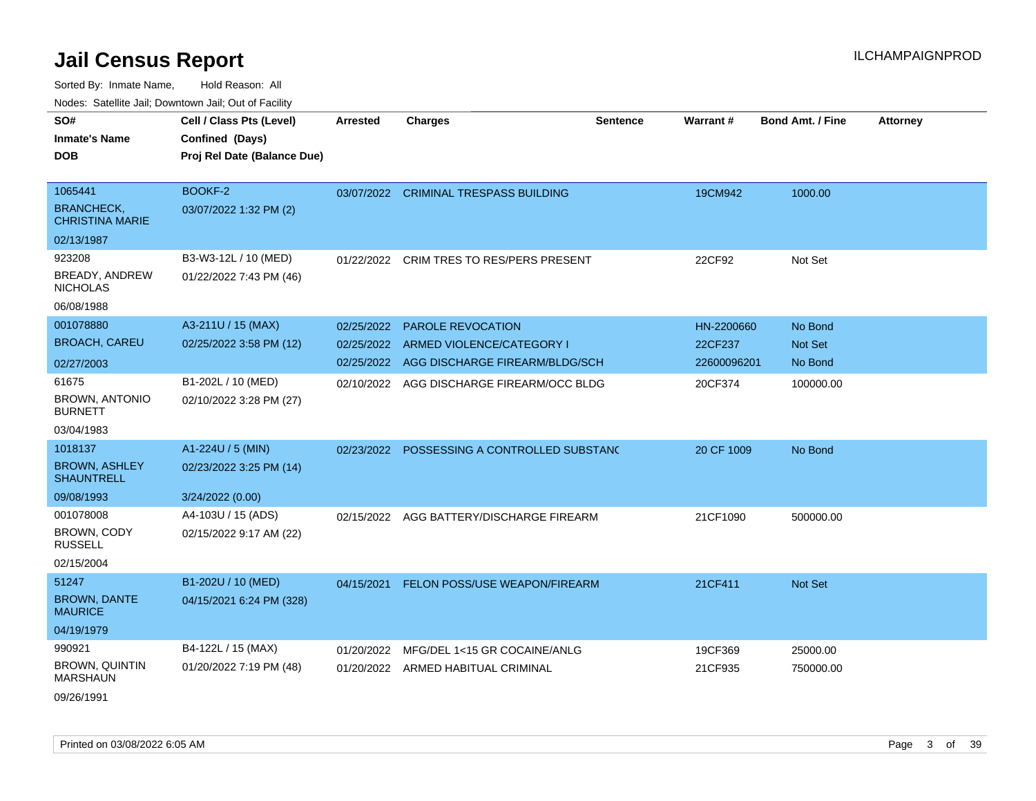|                                                                       | 10000. Catolino can, Dominomii can, Oat or Faoint                          |                                        |                                                                                         |                 |                                      |                                      |                 |
|-----------------------------------------------------------------------|----------------------------------------------------------------------------|----------------------------------------|-----------------------------------------------------------------------------------------|-----------------|--------------------------------------|--------------------------------------|-----------------|
| SO#<br><b>Inmate's Name</b><br><b>DOB</b>                             | Cell / Class Pts (Level)<br>Confined (Days)<br>Proj Rel Date (Balance Due) | <b>Arrested</b>                        | <b>Charges</b>                                                                          | <b>Sentence</b> | <b>Warrant#</b>                      | <b>Bond Amt. / Fine</b>              | <b>Attorney</b> |
| 1065441<br>BRANCHECK,<br><b>CHRISTINA MARIE</b>                       | BOOKF-2<br>03/07/2022 1:32 PM (2)                                          | 03/07/2022                             | <b>CRIMINAL TRESPASS BUILDING</b>                                                       |                 | 19CM942                              | 1000.00                              |                 |
| 02/13/1987                                                            |                                                                            |                                        |                                                                                         |                 |                                      |                                      |                 |
| 923208<br>BREADY, ANDREW<br>NICHOLAS<br>06/08/1988                    | B3-W3-12L / 10 (MED)<br>01/22/2022 7:43 PM (46)                            |                                        | 01/22/2022 CRIM TRES TO RES/PERS PRESENT                                                |                 | 22CF92                               | Not Set                              |                 |
| 001078880<br><b>BROACH, CAREU</b>                                     | A3-211U / 15 (MAX)<br>02/25/2022 3:58 PM (12)                              | 02/25/2022<br>02/25/2022<br>02/25/2022 | <b>PAROLE REVOCATION</b><br>ARMED VIOLENCE/CATEGORY I<br>AGG DISCHARGE FIREARM/BLDG/SCH |                 | HN-2200660<br>22CF237<br>22600096201 | No Bond<br><b>Not Set</b><br>No Bond |                 |
| 02/27/2003<br>61675<br>BROWN, ANTONIO<br><b>BURNETT</b><br>03/04/1983 | B1-202L / 10 (MED)<br>02/10/2022 3:28 PM (27)                              |                                        | 02/10/2022 AGG DISCHARGE FIREARM/OCC BLDG                                               |                 | 20CF374                              | 100000.00                            |                 |
| 1018137<br><b>BROWN, ASHLEY</b><br><b>SHAUNTRELL</b><br>09/08/1993    | A1-224U / 5 (MIN)<br>02/23/2022 3:25 PM (14)<br>3/24/2022 (0.00)           | 02/23/2022                             | POSSESSING A CONTROLLED SUBSTANC                                                        |                 | 20 CF 1009                           | No Bond                              |                 |
| 001078008<br><b>BROWN, CODY</b><br><b>RUSSELL</b><br>02/15/2004       | A4-103U / 15 (ADS)<br>02/15/2022 9:17 AM (22)                              | 02/15/2022                             | AGG BATTERY/DISCHARGE FIREARM                                                           |                 | 21CF1090                             | 500000.00                            |                 |
| 51247<br><b>BROWN, DANTE</b><br><b>MAURICE</b><br>04/19/1979          | B1-202U / 10 (MED)<br>04/15/2021 6:24 PM (328)                             | 04/15/2021                             | FELON POSS/USE WEAPON/FIREARM                                                           |                 | 21CF411                              | <b>Not Set</b>                       |                 |
| 990921<br><b>BROWN, QUINTIN</b><br>MARSHAUN<br>09/26/1991             | B4-122L / 15 (MAX)<br>01/20/2022 7:19 PM (48)                              | 01/20/2022                             | MFG/DEL 1<15 GR COCAINE/ANLG<br>01/20/2022 ARMED HABITUAL CRIMINAL                      |                 | 19CF369<br>21CF935                   | 25000.00<br>750000.00                |                 |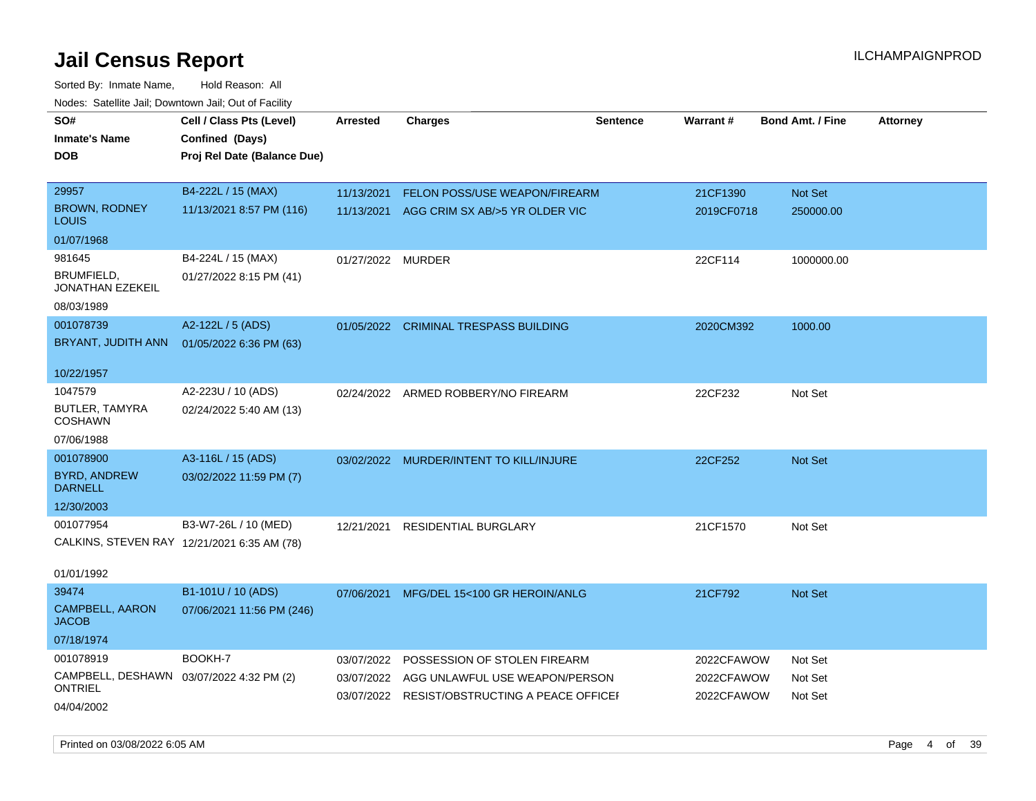| SO#<br><b>Inmate's Name</b><br><b>DOB</b>           | Cell / Class Pts (Level)<br>Confined (Days)<br>Proj Rel Date (Balance Due) | <b>Arrested</b> | <b>Charges</b>                                | <b>Sentence</b> | Warrant#   | <b>Bond Amt. / Fine</b> | <b>Attorney</b> |
|-----------------------------------------------------|----------------------------------------------------------------------------|-----------------|-----------------------------------------------|-----------------|------------|-------------------------|-----------------|
| 29957                                               | B4-222L / 15 (MAX)                                                         | 11/13/2021      | FELON POSS/USE WEAPON/FIREARM                 |                 | 21CF1390   | Not Set                 |                 |
| <b>BROWN, RODNEY</b><br>LOUIS                       | 11/13/2021 8:57 PM (116)                                                   | 11/13/2021      | AGG CRIM SX AB/>5 YR OLDER VIC                |                 | 2019CF0718 | 250000.00               |                 |
| 01/07/1968                                          |                                                                            |                 |                                               |                 |            |                         |                 |
| 981645                                              | B4-224L / 15 (MAX)                                                         | 01/27/2022      | MURDER                                        |                 | 22CF114    | 1000000.00              |                 |
| BRUMFIELD,<br>JONATHAN EZEKEIL                      | 01/27/2022 8:15 PM (41)                                                    |                 |                                               |                 |            |                         |                 |
| 08/03/1989                                          |                                                                            |                 |                                               |                 |            |                         |                 |
| 001078739                                           | A2-122L / 5 (ADS)                                                          |                 | 01/05/2022 CRIMINAL TRESPASS BUILDING         |                 | 2020CM392  | 1000.00                 |                 |
| BRYANT, JUDITH ANN                                  | 01/05/2022 6:36 PM (63)                                                    |                 |                                               |                 |            |                         |                 |
| 10/22/1957                                          |                                                                            |                 |                                               |                 |            |                         |                 |
| 1047579                                             | A2-223U / 10 (ADS)                                                         | 02/24/2022      | ARMED ROBBERY/NO FIREARM                      |                 | 22CF232    | Not Set                 |                 |
| BUTLER, TAMYRA<br><b>COSHAWN</b>                    | 02/24/2022 5:40 AM (13)                                                    |                 |                                               |                 |            |                         |                 |
| 07/06/1988                                          |                                                                            |                 |                                               |                 |            |                         |                 |
| 001078900                                           | A3-116L / 15 (ADS)                                                         | 03/02/2022      | MURDER/INTENT TO KILL/INJURE                  |                 | 22CF252    | Not Set                 |                 |
| <b>BYRD, ANDREW</b><br><b>DARNELL</b>               | 03/02/2022 11:59 PM (7)                                                    |                 |                                               |                 |            |                         |                 |
| 12/30/2003                                          |                                                                            |                 |                                               |                 |            |                         |                 |
| 001077954                                           | B3-W7-26L / 10 (MED)                                                       | 12/21/2021      | <b>RESIDENTIAL BURGLARY</b>                   |                 | 21CF1570   | Not Set                 |                 |
| CALKINS, STEVEN RAY 12/21/2021 6:35 AM (78)         |                                                                            |                 |                                               |                 |            |                         |                 |
| 01/01/1992                                          |                                                                            |                 |                                               |                 |            |                         |                 |
| 39474                                               | B1-101U / 10 (ADS)                                                         | 07/06/2021      | MFG/DEL 15<100 GR HEROIN/ANLG                 |                 | 21CF792    | Not Set                 |                 |
| CAMPBELL, AARON<br><b>JACOB</b>                     | 07/06/2021 11:56 PM (246)                                                  |                 |                                               |                 |            |                         |                 |
| 07/18/1974                                          |                                                                            |                 |                                               |                 |            |                         |                 |
| 001078919                                           | BOOKH-7                                                                    | 03/07/2022      | POSSESSION OF STOLEN FIREARM                  |                 | 2022CFAWOW | Not Set                 |                 |
| CAMPBELL, DESHAWN 03/07/2022 4:32 PM (2)<br>ONTRIEL |                                                                            | 03/07/2022      | AGG UNLAWFUL USE WEAPON/PERSON                |                 | 2022CFAWOW | Not Set                 |                 |
| 04/04/2002                                          |                                                                            |                 | 03/07/2022 RESIST/OBSTRUCTING A PEACE OFFICEF |                 | 2022CFAWOW | Not Set                 |                 |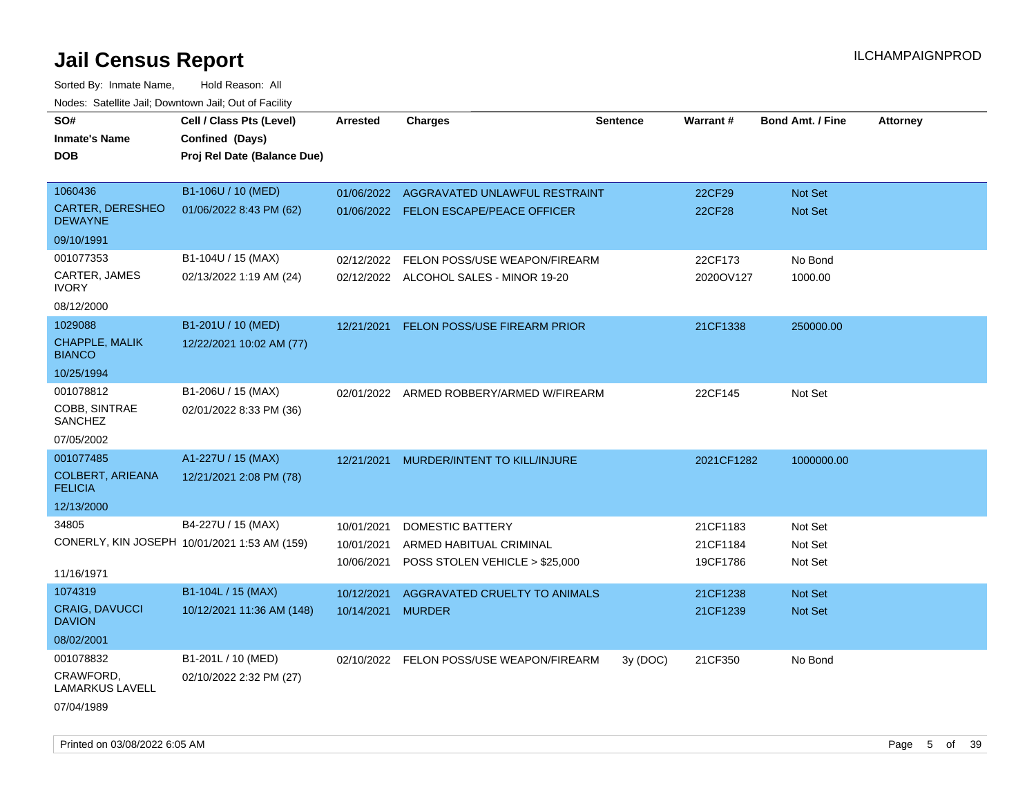| SO#                                       | Cell / Class Pts (Level)                     | <b>Arrested</b> | <b>Charges</b>                           | <b>Sentence</b> | <b>Warrant#</b> | <b>Bond Amt. / Fine</b> | <b>Attorney</b> |
|-------------------------------------------|----------------------------------------------|-----------------|------------------------------------------|-----------------|-----------------|-------------------------|-----------------|
| <b>Inmate's Name</b>                      | Confined (Days)                              |                 |                                          |                 |                 |                         |                 |
| <b>DOB</b>                                | Proj Rel Date (Balance Due)                  |                 |                                          |                 |                 |                         |                 |
|                                           |                                              |                 |                                          |                 |                 |                         |                 |
| 1060436                                   | B1-106U / 10 (MED)                           | 01/06/2022      | AGGRAVATED UNLAWFUL RESTRAINT            |                 | 22CF29          | Not Set                 |                 |
| CARTER, DERESHEO<br><b>DEWAYNE</b>        | 01/06/2022 8:43 PM (62)                      |                 | 01/06/2022 FELON ESCAPE/PEACE OFFICER    |                 | 22CF28          | Not Set                 |                 |
| 09/10/1991                                |                                              |                 |                                          |                 |                 |                         |                 |
| 001077353                                 | B1-104U / 15 (MAX)                           | 02/12/2022      | FELON POSS/USE WEAPON/FIREARM            |                 | 22CF173         | No Bond                 |                 |
| CARTER, JAMES<br><b>IVORY</b>             | 02/13/2022 1:19 AM (24)                      |                 | 02/12/2022 ALCOHOL SALES - MINOR 19-20   |                 | 2020OV127       | 1000.00                 |                 |
| 08/12/2000                                |                                              |                 |                                          |                 |                 |                         |                 |
| 1029088                                   | B1-201U / 10 (MED)                           | 12/21/2021      | FELON POSS/USE FIREARM PRIOR             |                 | 21CF1338        | 250000.00               |                 |
| <b>CHAPPLE, MALIK</b><br><b>BIANCO</b>    | 12/22/2021 10:02 AM (77)                     |                 |                                          |                 |                 |                         |                 |
| 10/25/1994                                |                                              |                 |                                          |                 |                 |                         |                 |
| 001078812                                 | B1-206U / 15 (MAX)                           |                 | 02/01/2022 ARMED ROBBERY/ARMED W/FIREARM |                 | 22CF145         | Not Set                 |                 |
| COBB, SINTRAE<br><b>SANCHEZ</b>           | 02/01/2022 8:33 PM (36)                      |                 |                                          |                 |                 |                         |                 |
| 07/05/2002                                |                                              |                 |                                          |                 |                 |                         |                 |
| 001077485                                 | A1-227U / 15 (MAX)                           | 12/21/2021      | MURDER/INTENT TO KILL/INJURE             |                 | 2021CF1282      | 1000000.00              |                 |
| <b>COLBERT, ARIEANA</b><br><b>FELICIA</b> | 12/21/2021 2:08 PM (78)                      |                 |                                          |                 |                 |                         |                 |
| 12/13/2000                                |                                              |                 |                                          |                 |                 |                         |                 |
| 34805                                     | B4-227U / 15 (MAX)                           | 10/01/2021      | DOMESTIC BATTERY                         |                 | 21CF1183        | Not Set                 |                 |
|                                           | CONERLY, KIN JOSEPH 10/01/2021 1:53 AM (159) | 10/01/2021      | ARMED HABITUAL CRIMINAL                  |                 | 21CF1184        | Not Set                 |                 |
|                                           |                                              | 10/06/2021      | POSS STOLEN VEHICLE > \$25,000           |                 | 19CF1786        | Not Set                 |                 |
| 11/16/1971                                |                                              |                 |                                          |                 |                 |                         |                 |
| 1074319                                   | B1-104L / 15 (MAX)                           | 10/12/2021      | AGGRAVATED CRUELTY TO ANIMALS            |                 | 21CF1238        | Not Set                 |                 |
| <b>CRAIG, DAVUCCI</b><br><b>DAVION</b>    | 10/12/2021 11:36 AM (148)                    | 10/14/2021      | <b>MURDER</b>                            |                 | 21CF1239        | Not Set                 |                 |
| 08/02/2001                                |                                              |                 |                                          |                 |                 |                         |                 |
| 001078832                                 | B1-201L / 10 (MED)                           | 02/10/2022      | FELON POSS/USE WEAPON/FIREARM            | 3y(DOC)         | 21CF350         | No Bond                 |                 |
| CRAWFORD,<br>LAMARKUS LAVELL              | 02/10/2022 2:32 PM (27)                      |                 |                                          |                 |                 |                         |                 |
| 07/04/1989                                |                                              |                 |                                          |                 |                 |                         |                 |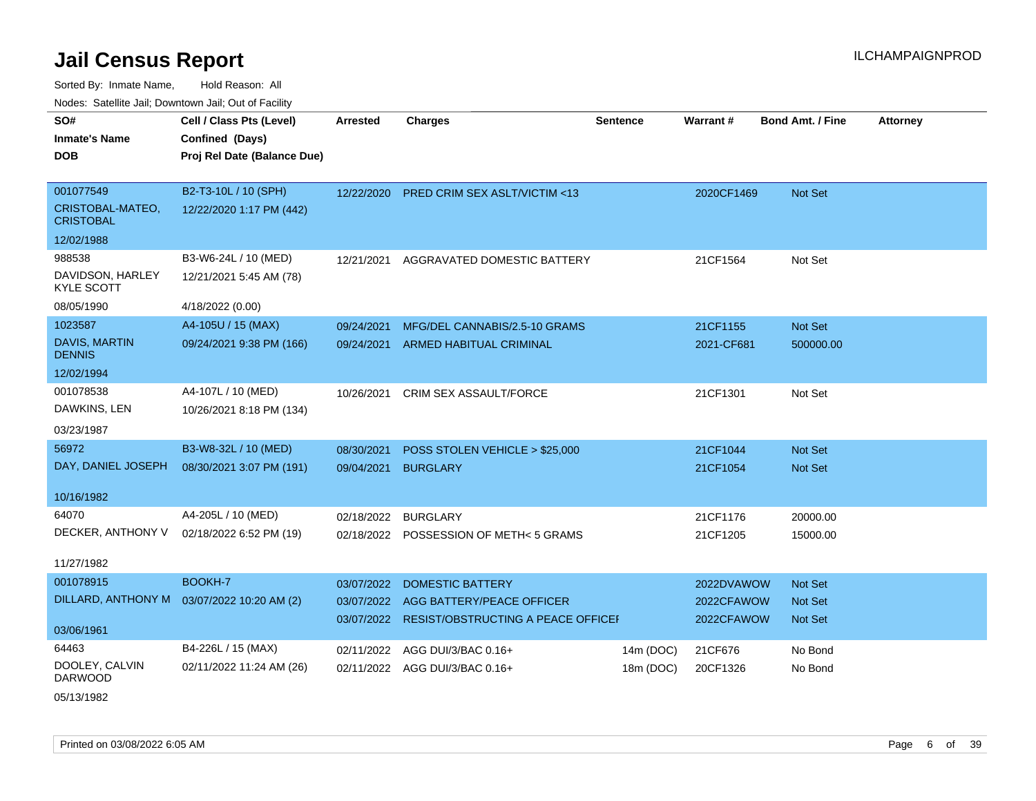Sorted By: Inmate Name, Hold Reason: All Nodes: Satellite Jail; Downtown Jail; Out of Facility

| <u>10000.</u> Outomto dan, Downtown dan, Out of Fability |                                             |                 |                                          |                 |            |                         |                 |
|----------------------------------------------------------|---------------------------------------------|-----------------|------------------------------------------|-----------------|------------|-------------------------|-----------------|
| SO#<br><b>Inmate's Name</b>                              | Cell / Class Pts (Level)<br>Confined (Days) | <b>Arrested</b> | <b>Charges</b>                           | <b>Sentence</b> | Warrant#   | <b>Bond Amt. / Fine</b> | <b>Attorney</b> |
| DOB                                                      | Proj Rel Date (Balance Due)                 |                 |                                          |                 |            |                         |                 |
| 001077549                                                | B2-T3-10L / 10 (SPH)                        |                 | 12/22/2020 PRED CRIM SEX ASLT/VICTIM <13 |                 | 2020CF1469 | Not Set                 |                 |
| CRISTOBAL-MATEO,<br><b>CRISTOBAL</b>                     | 12/22/2020 1:17 PM (442)                    |                 |                                          |                 |            |                         |                 |
| 12/02/1988                                               |                                             |                 |                                          |                 |            |                         |                 |
| 988538                                                   | B3-W6-24L / 10 (MED)                        | 12/21/2021      | AGGRAVATED DOMESTIC BATTERY              |                 | 21CF1564   | Not Set                 |                 |
| DAVIDSON, HARLEY<br><b>KYLE SCOTT</b>                    | 12/21/2021 5:45 AM (78)                     |                 |                                          |                 |            |                         |                 |
| 08/05/1990                                               | 4/18/2022 (0.00)                            |                 |                                          |                 |            |                         |                 |
| 1023587                                                  | A4-105U / 15 (MAX)                          | 09/24/2021      | MFG/DEL CANNABIS/2.5-10 GRAMS            |                 | 21CF1155   | Not Set                 |                 |
| DAVIS, MARTIN<br><b>DENNIS</b>                           | 09/24/2021 9:38 PM (166)                    | 09/24/2021      | <b>ARMED HABITUAL CRIMINAL</b>           |                 | 2021-CF681 | 500000.00               |                 |
| 12/02/1994                                               |                                             |                 |                                          |                 |            |                         |                 |
| 001078538                                                | A4-107L / 10 (MED)                          | 10/26/2021      | CRIM SEX ASSAULT/FORCE                   |                 | 21CF1301   | Not Set                 |                 |
| DAWKINS, LEN                                             | 10/26/2021 8:18 PM (134)                    |                 |                                          |                 |            |                         |                 |
| 03/23/1987                                               |                                             |                 |                                          |                 |            |                         |                 |
| 56972                                                    | B3-W8-32L / 10 (MED)                        | 08/30/2021      | POSS STOLEN VEHICLE > \$25,000           |                 | 21CF1044   | Not Set                 |                 |
| DAY, DANIEL JOSEPH                                       | 08/30/2021 3:07 PM (191)                    | 09/04/2021      | <b>BURGLARY</b>                          |                 | 21CF1054   | <b>Not Set</b>          |                 |
| 10/16/1982                                               |                                             |                 |                                          |                 |            |                         |                 |
| 64070                                                    | A4-205L / 10 (MED)                          | 02/18/2022      | <b>BURGLARY</b>                          |                 | 21CF1176   | 20000.00                |                 |
| DECKER, ANTHONY V                                        | 02/18/2022 6:52 PM (19)                     |                 | 02/18/2022 POSSESSION OF METH<5 GRAMS    |                 | 21CF1205   | 15000.00                |                 |
| 11/27/1982                                               |                                             |                 |                                          |                 |            |                         |                 |
| 001078915                                                | BOOKH-7                                     | 03/07/2022      | <b>DOMESTIC BATTERY</b>                  |                 | 2022DVAWOW | <b>Not Set</b>          |                 |
| DILLARD, ANTHONY M  03/07/2022 10:20 AM (2)              |                                             | 03/07/2022      | AGG BATTERY/PEACE OFFICER                |                 | 2022CFAWOW | <b>Not Set</b>          |                 |
| 03/06/1961                                               |                                             | 03/07/2022      | RESIST/OBSTRUCTING A PEACE OFFICEI       |                 | 2022CFAWOW | <b>Not Set</b>          |                 |
| 64463                                                    | B4-226L / 15 (MAX)                          | 02/11/2022      | AGG DUI/3/BAC 0.16+                      | 14m (DOC)       | 21CF676    | No Bond                 |                 |
| DOOLEY, CALVIN<br><b>DARWOOD</b>                         | 02/11/2022 11:24 AM (26)                    |                 | 02/11/2022 AGG DUI/3/BAC 0.16+           | 18m (DOC)       | 20CF1326   | No Bond                 |                 |

05/13/1982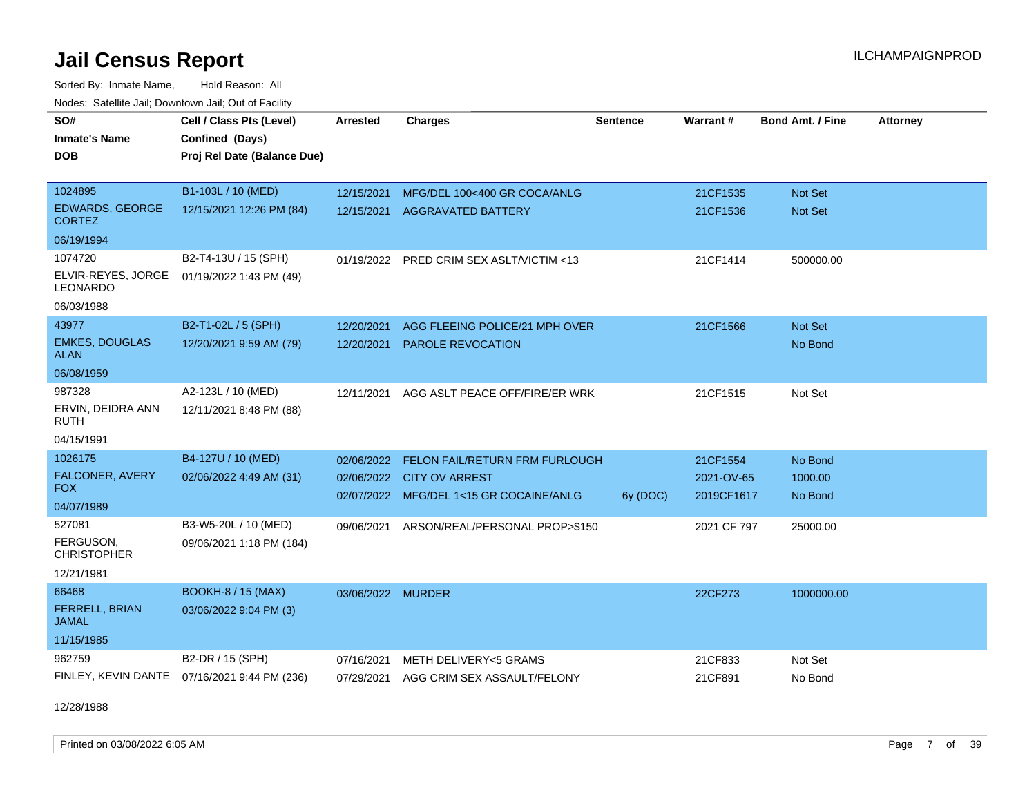Sorted By: Inmate Name, Hold Reason: All Nodes: Satellite Jail; Downtown Jail; Out of Facility

| SO#                                     | Cell / Class Pts (Level)    | <b>Arrested</b>   | <b>Charges</b>                           | <b>Sentence</b> | Warrant#    | <b>Bond Amt. / Fine</b> | <b>Attorney</b> |
|-----------------------------------------|-----------------------------|-------------------|------------------------------------------|-----------------|-------------|-------------------------|-----------------|
| <b>Inmate's Name</b>                    | Confined (Days)             |                   |                                          |                 |             |                         |                 |
| <b>DOB</b>                              | Proj Rel Date (Balance Due) |                   |                                          |                 |             |                         |                 |
|                                         |                             |                   |                                          |                 |             |                         |                 |
| 1024895                                 | B1-103L / 10 (MED)          | 12/15/2021        | MFG/DEL 100<400 GR COCA/ANLG             |                 | 21CF1535    | Not Set                 |                 |
| <b>EDWARDS, GEORGE</b><br><b>CORTEZ</b> | 12/15/2021 12:26 PM (84)    | 12/15/2021        | <b>AGGRAVATED BATTERY</b>                |                 | 21CF1536    | Not Set                 |                 |
| 06/19/1994                              |                             |                   |                                          |                 |             |                         |                 |
| 1074720                                 | B2-T4-13U / 15 (SPH)        |                   | 01/19/2022 PRED CRIM SEX ASLT/VICTIM <13 |                 | 21CF1414    | 500000.00               |                 |
| ELVIR-REYES, JORGE<br><b>LEONARDO</b>   | 01/19/2022 1:43 PM (49)     |                   |                                          |                 |             |                         |                 |
| 06/03/1988                              |                             |                   |                                          |                 |             |                         |                 |
| 43977                                   | B2-T1-02L / 5 (SPH)         | 12/20/2021        | AGG FLEEING POLICE/21 MPH OVER           |                 | 21CF1566    | Not Set                 |                 |
| <b>EMKES, DOUGLAS</b><br><b>ALAN</b>    | 12/20/2021 9:59 AM (79)     | 12/20/2021        | <b>PAROLE REVOCATION</b>                 |                 |             | No Bond                 |                 |
| 06/08/1959                              |                             |                   |                                          |                 |             |                         |                 |
| 987328                                  | A2-123L / 10 (MED)          | 12/11/2021        | AGG ASLT PEACE OFF/FIRE/ER WRK           |                 | 21CF1515    | Not Set                 |                 |
| ERVIN, DEIDRA ANN<br><b>RUTH</b>        | 12/11/2021 8:48 PM (88)     |                   |                                          |                 |             |                         |                 |
| 04/15/1991                              |                             |                   |                                          |                 |             |                         |                 |
| 1026175                                 | B4-127U / 10 (MED)          | 02/06/2022        | FELON FAIL/RETURN FRM FURLOUGH           |                 | 21CF1554    | No Bond                 |                 |
| FALCONER, AVERY                         | 02/06/2022 4:49 AM (31)     | 02/06/2022        | <b>CITY OV ARREST</b>                    |                 | 2021-OV-65  | 1000.00                 |                 |
| <b>FOX</b>                              |                             |                   | 02/07/2022 MFG/DEL 1<15 GR COCAINE/ANLG  | 6y (DOC)        | 2019CF1617  | No Bond                 |                 |
| 04/07/1989                              |                             |                   |                                          |                 |             |                         |                 |
| 527081                                  | B3-W5-20L / 10 (MED)        | 09/06/2021        | ARSON/REAL/PERSONAL PROP>\$150           |                 | 2021 CF 797 | 25000.00                |                 |
| FERGUSON,<br><b>CHRISTOPHER</b>         | 09/06/2021 1:18 PM (184)    |                   |                                          |                 |             |                         |                 |
| 12/21/1981                              |                             |                   |                                          |                 |             |                         |                 |
| 66468                                   | <b>BOOKH-8 / 15 (MAX)</b>   | 03/06/2022 MURDER |                                          |                 | 22CF273     | 1000000.00              |                 |
| FERRELL, BRIAN<br><b>JAMAL</b>          | 03/06/2022 9:04 PM (3)      |                   |                                          |                 |             |                         |                 |
| 11/15/1985                              |                             |                   |                                          |                 |             |                         |                 |
| 962759                                  | B2-DR / 15 (SPH)            | 07/16/2021        | METH DELIVERY<5 GRAMS                    |                 | 21CF833     | Not Set                 |                 |
| FINLEY, KEVIN DANTE                     | 07/16/2021 9:44 PM (236)    | 07/29/2021        | AGG CRIM SEX ASSAULT/FELONY              |                 | 21CF891     | No Bond                 |                 |

12/28/1988

Printed on 03/08/2022 6:05 AM **Page 7** of 39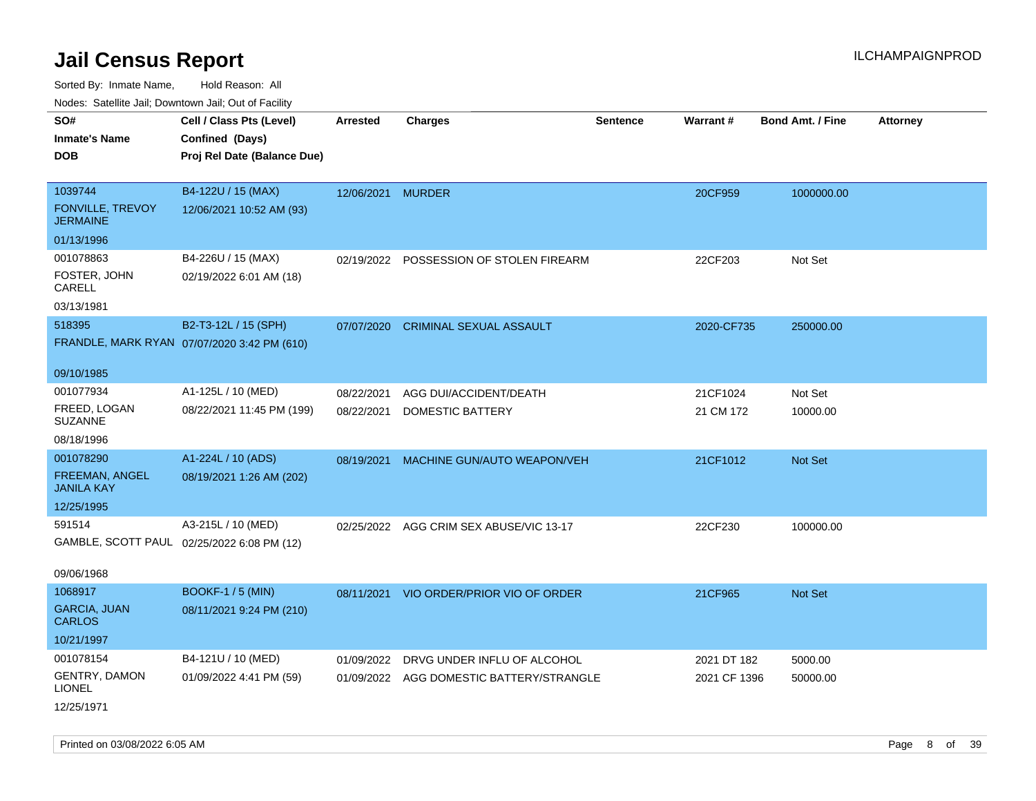| Noues. Sateme Jan, Downtown Jan, Out of Facility |                                             |                   |                                          |          |              |                         |                 |
|--------------------------------------------------|---------------------------------------------|-------------------|------------------------------------------|----------|--------------|-------------------------|-----------------|
| SO#                                              | Cell / Class Pts (Level)                    | <b>Arrested</b>   | <b>Charges</b>                           | Sentence | Warrant#     | <b>Bond Amt. / Fine</b> | <b>Attorney</b> |
| <b>Inmate's Name</b>                             | Confined (Days)                             |                   |                                          |          |              |                         |                 |
| <b>DOB</b>                                       | Proj Rel Date (Balance Due)                 |                   |                                          |          |              |                         |                 |
|                                                  |                                             |                   |                                          |          |              |                         |                 |
| 1039744                                          | B4-122U / 15 (MAX)                          | 12/06/2021 MURDER |                                          |          | 20CF959      | 1000000.00              |                 |
| <b>FONVILLE, TREVOY</b><br><b>JERMAINE</b>       | 12/06/2021 10:52 AM (93)                    |                   |                                          |          |              |                         |                 |
| 01/13/1996                                       |                                             |                   |                                          |          |              |                         |                 |
| 001078863                                        | B4-226U / 15 (MAX)                          |                   | 02/19/2022 POSSESSION OF STOLEN FIREARM  |          | 22CF203      | Not Set                 |                 |
| FOSTER, JOHN<br>CARELL                           | 02/19/2022 6:01 AM (18)                     |                   |                                          |          |              |                         |                 |
| 03/13/1981                                       |                                             |                   |                                          |          |              |                         |                 |
| 518395                                           | B2-T3-12L / 15 (SPH)                        | 07/07/2020        | <b>CRIMINAL SEXUAL ASSAULT</b>           |          | 2020-CF735   | 250000.00               |                 |
|                                                  | FRANDLE, MARK RYAN 07/07/2020 3:42 PM (610) |                   |                                          |          |              |                         |                 |
|                                                  |                                             |                   |                                          |          |              |                         |                 |
| 09/10/1985                                       |                                             |                   |                                          |          |              |                         |                 |
| 001077934                                        | A1-125L / 10 (MED)                          | 08/22/2021        | AGG DUI/ACCIDENT/DEATH                   |          | 21CF1024     | Not Set                 |                 |
| FREED, LOGAN<br><b>SUZANNE</b>                   | 08/22/2021 11:45 PM (199)                   | 08/22/2021        | DOMESTIC BATTERY                         |          | 21 CM 172    | 10000.00                |                 |
| 08/18/1996                                       |                                             |                   |                                          |          |              |                         |                 |
| 001078290                                        | A1-224L / 10 (ADS)                          | 08/19/2021        | MACHINE GUN/AUTO WEAPON/VEH              |          | 21CF1012     | Not Set                 |                 |
| FREEMAN, ANGEL<br><b>JANILA KAY</b>              | 08/19/2021 1:26 AM (202)                    |                   |                                          |          |              |                         |                 |
| 12/25/1995                                       |                                             |                   |                                          |          |              |                         |                 |
| 591514                                           | A3-215L / 10 (MED)                          |                   | 02/25/2022 AGG CRIM SEX ABUSE/VIC 13-17  |          | 22CF230      | 100000.00               |                 |
|                                                  | GAMBLE, SCOTT PAUL 02/25/2022 6:08 PM (12)  |                   |                                          |          |              |                         |                 |
|                                                  |                                             |                   |                                          |          |              |                         |                 |
| 09/06/1968                                       |                                             |                   |                                          |          |              |                         |                 |
| 1068917                                          | <b>BOOKF-1/5 (MIN)</b>                      | 08/11/2021        | VIO ORDER/PRIOR VIO OF ORDER             |          | 21CF965      | Not Set                 |                 |
| <b>GARCIA, JUAN</b><br><b>CARLOS</b>             | 08/11/2021 9:24 PM (210)                    |                   |                                          |          |              |                         |                 |
| 10/21/1997                                       |                                             |                   |                                          |          |              |                         |                 |
| 001078154                                        | B4-121U / 10 (MED)                          | 01/09/2022        | DRVG UNDER INFLU OF ALCOHOL              |          | 2021 DT 182  | 5000.00                 |                 |
| <b>GENTRY, DAMON</b><br><b>LIONEL</b>            | 01/09/2022 4:41 PM (59)                     |                   | 01/09/2022 AGG DOMESTIC BATTERY/STRANGLE |          | 2021 CF 1396 | 50000.00                |                 |
| 12/25/1971                                       |                                             |                   |                                          |          |              |                         |                 |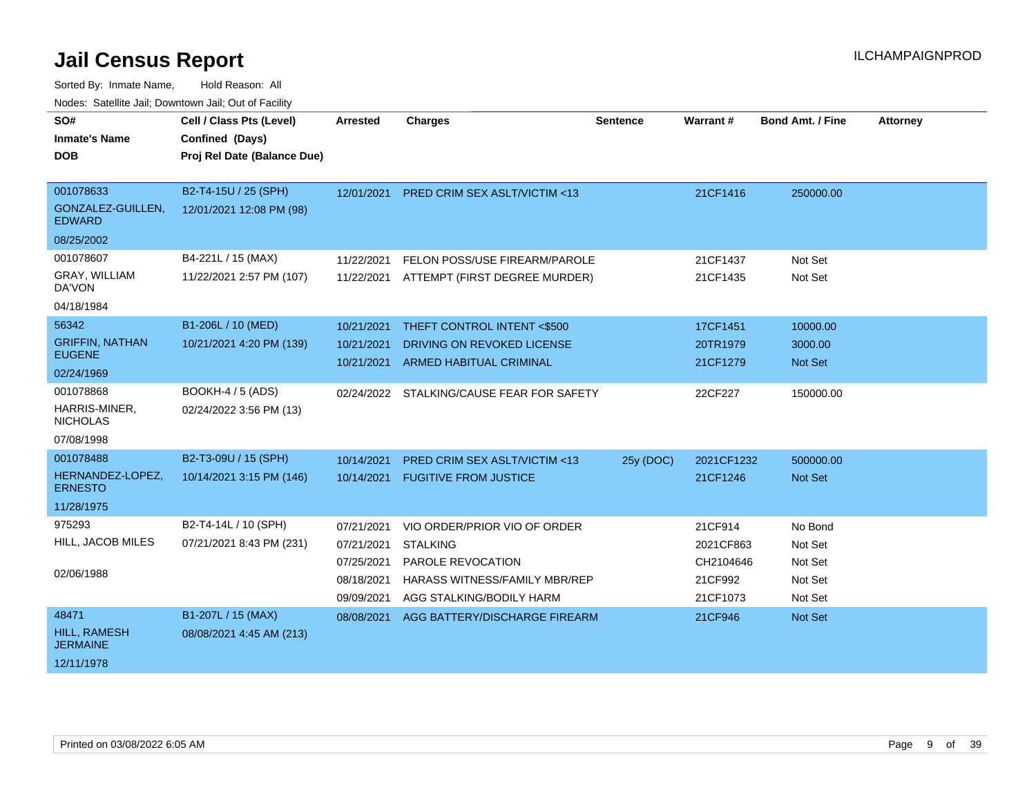| SO#                                    | Cell / Class Pts (Level)    | <b>Arrested</b> | <b>Charges</b>                            | <b>Sentence</b> | Warrant#   | <b>Bond Amt. / Fine</b> | <b>Attorney</b> |
|----------------------------------------|-----------------------------|-----------------|-------------------------------------------|-----------------|------------|-------------------------|-----------------|
| <b>Inmate's Name</b>                   | Confined (Days)             |                 |                                           |                 |            |                         |                 |
| <b>DOB</b>                             | Proj Rel Date (Balance Due) |                 |                                           |                 |            |                         |                 |
|                                        |                             |                 |                                           |                 |            |                         |                 |
| 001078633                              | B2-T4-15U / 25 (SPH)        | 12/01/2021      | <b>PRED CRIM SEX ASLT/VICTIM &lt;13</b>   |                 | 21CF1416   | 250000.00               |                 |
| GONZALEZ-GUILLEN,<br><b>EDWARD</b>     | 12/01/2021 12:08 PM (98)    |                 |                                           |                 |            |                         |                 |
| 08/25/2002                             |                             |                 |                                           |                 |            |                         |                 |
| 001078607                              | B4-221L / 15 (MAX)          | 11/22/2021      | FELON POSS/USE FIREARM/PAROLE             |                 | 21CF1437   | Not Set                 |                 |
| GRAY, WILLIAM<br>DA'VON                | 11/22/2021 2:57 PM (107)    | 11/22/2021      | ATTEMPT (FIRST DEGREE MURDER)             |                 | 21CF1435   | Not Set                 |                 |
| 04/18/1984                             |                             |                 |                                           |                 |            |                         |                 |
| 56342                                  | B1-206L / 10 (MED)          | 10/21/2021      | THEFT CONTROL INTENT <\$500               |                 | 17CF1451   | 10000.00                |                 |
| <b>GRIFFIN, NATHAN</b>                 | 10/21/2021 4:20 PM (139)    | 10/21/2021      | DRIVING ON REVOKED LICENSE                |                 | 20TR1979   | 3000.00                 |                 |
| <b>EUGENE</b>                          |                             | 10/21/2021      | <b>ARMED HABITUAL CRIMINAL</b>            |                 | 21CF1279   | Not Set                 |                 |
| 02/24/1969                             |                             |                 |                                           |                 |            |                         |                 |
| 001078868                              | <b>BOOKH-4 / 5 (ADS)</b>    |                 | 02/24/2022 STALKING/CAUSE FEAR FOR SAFETY |                 | 22CF227    | 150000.00               |                 |
| HARRIS-MINER,<br><b>NICHOLAS</b>       | 02/24/2022 3:56 PM (13)     |                 |                                           |                 |            |                         |                 |
| 07/08/1998                             |                             |                 |                                           |                 |            |                         |                 |
| 001078488                              | B2-T3-09U / 15 (SPH)        | 10/14/2021      | <b>PRED CRIM SEX ASLT/VICTIM &lt;13</b>   | 25y (DOC)       | 2021CF1232 | 500000.00               |                 |
| HERNANDEZ-LOPEZ,<br><b>ERNESTO</b>     | 10/14/2021 3:15 PM (146)    | 10/14/2021      | <b>FUGITIVE FROM JUSTICE</b>              |                 | 21CF1246   | Not Set                 |                 |
| 11/28/1975                             |                             |                 |                                           |                 |            |                         |                 |
| 975293                                 | B2-T4-14L / 10 (SPH)        | 07/21/2021      | VIO ORDER/PRIOR VIO OF ORDER              |                 | 21CF914    | No Bond                 |                 |
| HILL, JACOB MILES                      | 07/21/2021 8:43 PM (231)    | 07/21/2021      | <b>STALKING</b>                           |                 | 2021CF863  | Not Set                 |                 |
|                                        |                             | 07/25/2021      | PAROLE REVOCATION                         |                 | CH2104646  | Not Set                 |                 |
| 02/06/1988                             |                             | 08/18/2021      | HARASS WITNESS/FAMILY MBR/REP             |                 | 21CF992    | Not Set                 |                 |
|                                        |                             | 09/09/2021      | AGG STALKING/BODILY HARM                  |                 | 21CF1073   | Not Set                 |                 |
| 48471                                  | B1-207L / 15 (MAX)          | 08/08/2021      | AGG BATTERY/DISCHARGE FIREARM             |                 | 21CF946    | <b>Not Set</b>          |                 |
| <b>HILL, RAMESH</b><br><b>JERMAINE</b> | 08/08/2021 4:45 AM (213)    |                 |                                           |                 |            |                         |                 |
| 12/11/1978                             |                             |                 |                                           |                 |            |                         |                 |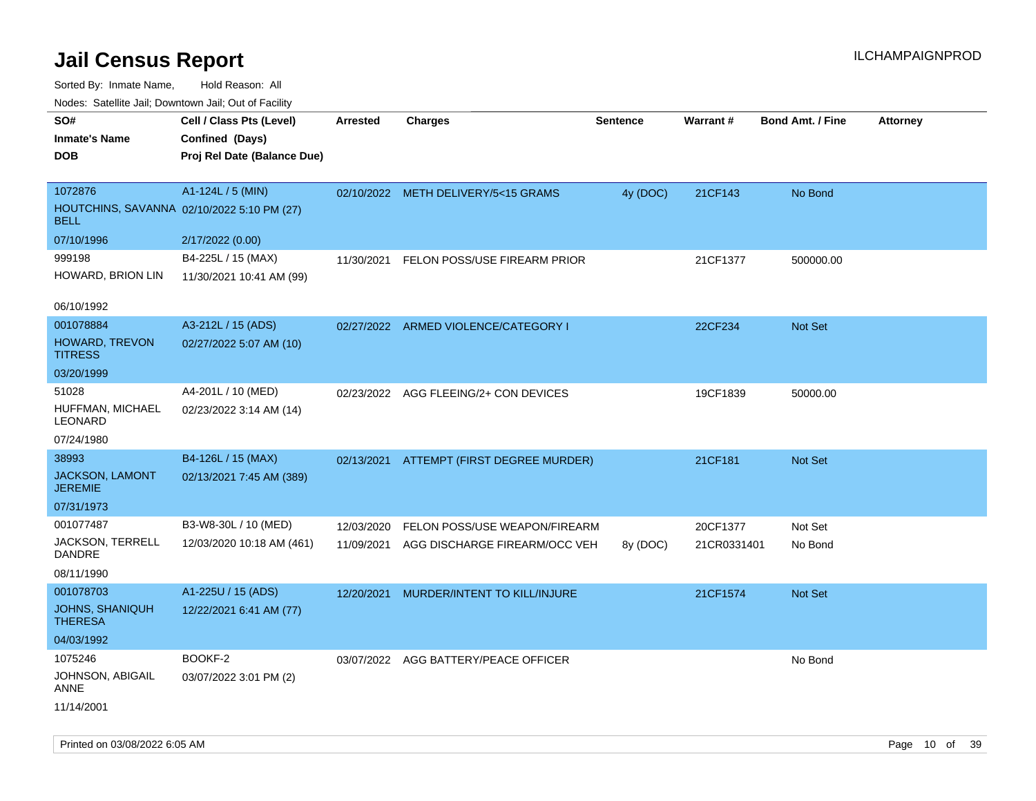Sorted By: Inmate Name, Hold Reason: All Nodes: Satellite Jail; Downtown Jail; Out of Facility

| Nodes. Satellite Jali, Downtown Jali, Out of Facility |                                            |            |                                       |                 |                 |                         |                 |
|-------------------------------------------------------|--------------------------------------------|------------|---------------------------------------|-----------------|-----------------|-------------------------|-----------------|
| SO#                                                   | Cell / Class Pts (Level)                   | Arrested   | <b>Charges</b>                        | <b>Sentence</b> | <b>Warrant#</b> | <b>Bond Amt. / Fine</b> | <b>Attorney</b> |
| <b>Inmate's Name</b>                                  | Confined (Days)                            |            |                                       |                 |                 |                         |                 |
| <b>DOB</b>                                            | Proj Rel Date (Balance Due)                |            |                                       |                 |                 |                         |                 |
|                                                       |                                            |            |                                       |                 |                 |                         |                 |
| 1072876                                               | A1-124L / 5 (MIN)                          |            | 02/10/2022 METH DELIVERY/5<15 GRAMS   | 4y (DOC)        | 21CF143         | No Bond                 |                 |
| BELL                                                  | HOUTCHINS, SAVANNA 02/10/2022 5:10 PM (27) |            |                                       |                 |                 |                         |                 |
| 07/10/1996                                            | 2/17/2022 (0.00)                           |            |                                       |                 |                 |                         |                 |
| 999198                                                | B4-225L / 15 (MAX)                         | 11/30/2021 | FELON POSS/USE FIREARM PRIOR          |                 | 21CF1377        | 500000.00               |                 |
| HOWARD, BRION LIN                                     | 11/30/2021 10:41 AM (99)                   |            |                                       |                 |                 |                         |                 |
| 06/10/1992                                            |                                            |            |                                       |                 |                 |                         |                 |
| 001078884                                             |                                            |            |                                       |                 |                 |                         |                 |
|                                                       | A3-212L / 15 (ADS)                         |            | 02/27/2022 ARMED VIOLENCE/CATEGORY I  |                 | 22CF234         | Not Set                 |                 |
| <b>HOWARD, TREVON</b><br><b>TITRESS</b>               | 02/27/2022 5:07 AM (10)                    |            |                                       |                 |                 |                         |                 |
| 03/20/1999                                            |                                            |            |                                       |                 |                 |                         |                 |
| 51028                                                 | A4-201L / 10 (MED)                         |            | 02/23/2022 AGG FLEEING/2+ CON DEVICES |                 | 19CF1839        | 50000.00                |                 |
| HUFFMAN, MICHAEL<br>LEONARD                           | 02/23/2022 3:14 AM (14)                    |            |                                       |                 |                 |                         |                 |
| 07/24/1980                                            |                                            |            |                                       |                 |                 |                         |                 |
| 38993                                                 | B4-126L / 15 (MAX)                         | 02/13/2021 | ATTEMPT (FIRST DEGREE MURDER)         |                 | 21CF181         | Not Set                 |                 |
| <b>JACKSON, LAMONT</b><br><b>JEREMIE</b>              | 02/13/2021 7:45 AM (389)                   |            |                                       |                 |                 |                         |                 |
| 07/31/1973                                            |                                            |            |                                       |                 |                 |                         |                 |
| 001077487                                             | B3-W8-30L / 10 (MED)                       | 12/03/2020 | FELON POSS/USE WEAPON/FIREARM         |                 | 20CF1377        | Not Set                 |                 |
| JACKSON, TERRELL<br><b>DANDRE</b>                     | 12/03/2020 10:18 AM (461)                  | 11/09/2021 | AGG DISCHARGE FIREARM/OCC VEH         | 8y (DOC)        | 21CR0331401     | No Bond                 |                 |
| 08/11/1990                                            |                                            |            |                                       |                 |                 |                         |                 |
| 001078703                                             | A1-225U / 15 (ADS)                         | 12/20/2021 | MURDER/INTENT TO KILL/INJURE          |                 | 21CF1574        | Not Set                 |                 |
| <b>JOHNS, SHANIQUH</b><br><b>THERESA</b>              | 12/22/2021 6:41 AM (77)                    |            |                                       |                 |                 |                         |                 |
| 04/03/1992                                            |                                            |            |                                       |                 |                 |                         |                 |
| 1075246                                               | BOOKF-2                                    |            | 03/07/2022 AGG BATTERY/PEACE OFFICER  |                 |                 | No Bond                 |                 |
|                                                       |                                            |            |                                       |                 |                 |                         |                 |

JOHNSON, ABIGAIL ANNE 03/07/2022 3:01 PM (2)

11/14/2001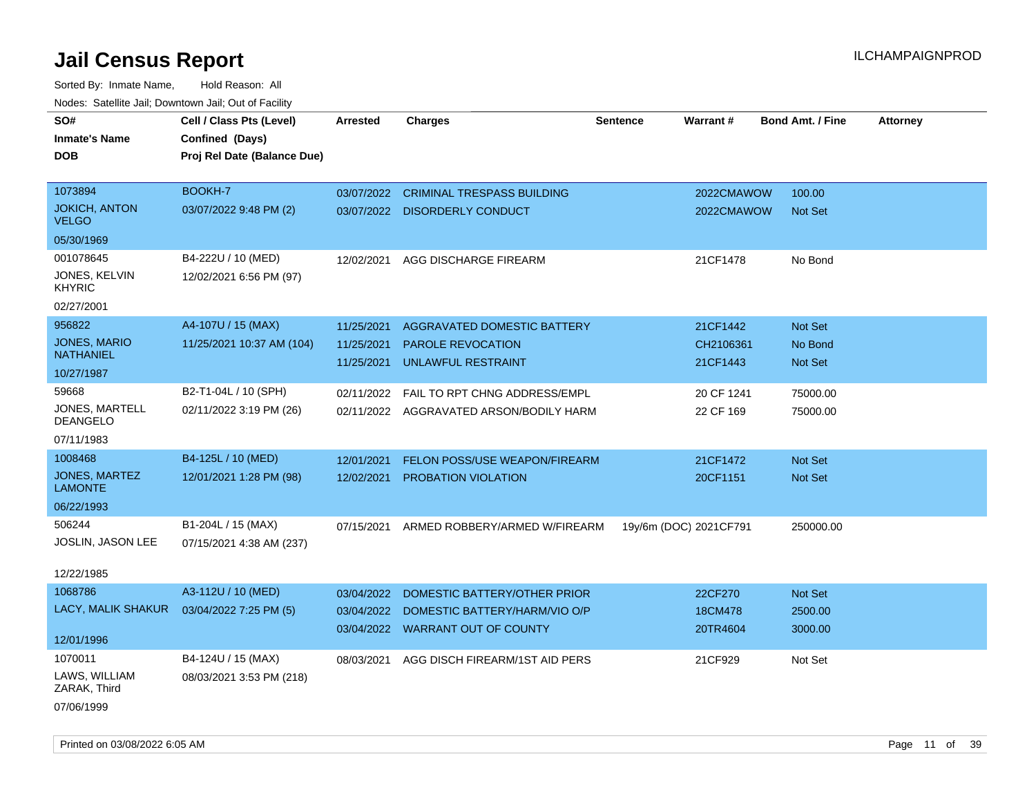| roaco. Calcinio dan, Downtown dan, Out or Fabilit |                             |                 |                                      |                        |            |                         |                 |
|---------------------------------------------------|-----------------------------|-----------------|--------------------------------------|------------------------|------------|-------------------------|-----------------|
| SO#                                               | Cell / Class Pts (Level)    | <b>Arrested</b> | <b>Charges</b>                       | <b>Sentence</b>        | Warrant#   | <b>Bond Amt. / Fine</b> | <b>Attorney</b> |
| <b>Inmate's Name</b>                              | Confined (Days)             |                 |                                      |                        |            |                         |                 |
| <b>DOB</b>                                        | Proj Rel Date (Balance Due) |                 |                                      |                        |            |                         |                 |
|                                                   |                             |                 |                                      |                        |            |                         |                 |
| 1073894                                           | BOOKH-7                     | 03/07/2022      | <b>CRIMINAL TRESPASS BUILDING</b>    |                        | 2022CMAWOW | 100.00                  |                 |
| <b>JOKICH, ANTON</b><br><b>VELGO</b>              | 03/07/2022 9:48 PM (2)      |                 | 03/07/2022 DISORDERLY CONDUCT        |                        | 2022CMAWOW | Not Set                 |                 |
| 05/30/1969                                        |                             |                 |                                      |                        |            |                         |                 |
| 001078645                                         | B4-222U / 10 (MED)          | 12/02/2021      | AGG DISCHARGE FIREARM                |                        | 21CF1478   | No Bond                 |                 |
| JONES, KELVIN<br><b>KHYRIC</b>                    | 12/02/2021 6:56 PM (97)     |                 |                                      |                        |            |                         |                 |
| 02/27/2001                                        |                             |                 |                                      |                        |            |                         |                 |
| 956822                                            | A4-107U / 15 (MAX)          | 11/25/2021      | AGGRAVATED DOMESTIC BATTERY          |                        | 21CF1442   | Not Set                 |                 |
| JONES, MARIO                                      | 11/25/2021 10:37 AM (104)   | 11/25/2021      | <b>PAROLE REVOCATION</b>             |                        | CH2106361  | No Bond                 |                 |
| <b>NATHANIEL</b>                                  |                             | 11/25/2021      | UNLAWFUL RESTRAINT                   |                        | 21CF1443   | Not Set                 |                 |
| 10/27/1987                                        |                             |                 |                                      |                        |            |                         |                 |
| 59668                                             | B2-T1-04L / 10 (SPH)        | 02/11/2022      | FAIL TO RPT CHNG ADDRESS/EMPL        |                        | 20 CF 1241 | 75000.00                |                 |
| JONES, MARTELL<br><b>DEANGELO</b>                 | 02/11/2022 3:19 PM (26)     | 02/11/2022      | AGGRAVATED ARSON/BODILY HARM         |                        | 22 CF 169  | 75000.00                |                 |
| 07/11/1983                                        |                             |                 |                                      |                        |            |                         |                 |
| 1008468                                           | B4-125L / 10 (MED)          | 12/01/2021      | <b>FELON POSS/USE WEAPON/FIREARM</b> |                        | 21CF1472   | Not Set                 |                 |
| <b>JONES, MARTEZ</b><br><b>LAMONTE</b>            | 12/01/2021 1:28 PM (98)     | 12/02/2021      | PROBATION VIOLATION                  |                        | 20CF1151   | Not Set                 |                 |
| 06/22/1993                                        |                             |                 |                                      |                        |            |                         |                 |
| 506244                                            | B1-204L / 15 (MAX)          | 07/15/2021      | ARMED ROBBERY/ARMED W/FIREARM        | 19y/6m (DOC) 2021CF791 |            | 250000.00               |                 |
| JOSLIN, JASON LEE                                 | 07/15/2021 4:38 AM (237)    |                 |                                      |                        |            |                         |                 |
| 12/22/1985                                        |                             |                 |                                      |                        |            |                         |                 |
| 1068786                                           | A3-112U / 10 (MED)          | 03/04/2022      | DOMESTIC BATTERY/OTHER PRIOR         |                        | 22CF270    | Not Set                 |                 |
| LACY, MALIK SHAKUR                                | 03/04/2022 7:25 PM (5)      | 03/04/2022      | DOMESTIC BATTERY/HARM/VIO O/P        |                        | 18CM478    | 2500.00                 |                 |
|                                                   |                             |                 | 03/04/2022 WARRANT OUT OF COUNTY     |                        | 20TR4604   | 3000.00                 |                 |
| 12/01/1996                                        |                             |                 |                                      |                        |            |                         |                 |
| 1070011                                           | B4-124U / 15 (MAX)          | 08/03/2021      | AGG DISCH FIREARM/1ST AID PERS       |                        | 21CF929    | Not Set                 |                 |
| LAWS, WILLIAM<br>ZARAK, Third                     | 08/03/2021 3:53 PM (218)    |                 |                                      |                        |            |                         |                 |
| 07/06/1999                                        |                             |                 |                                      |                        |            |                         |                 |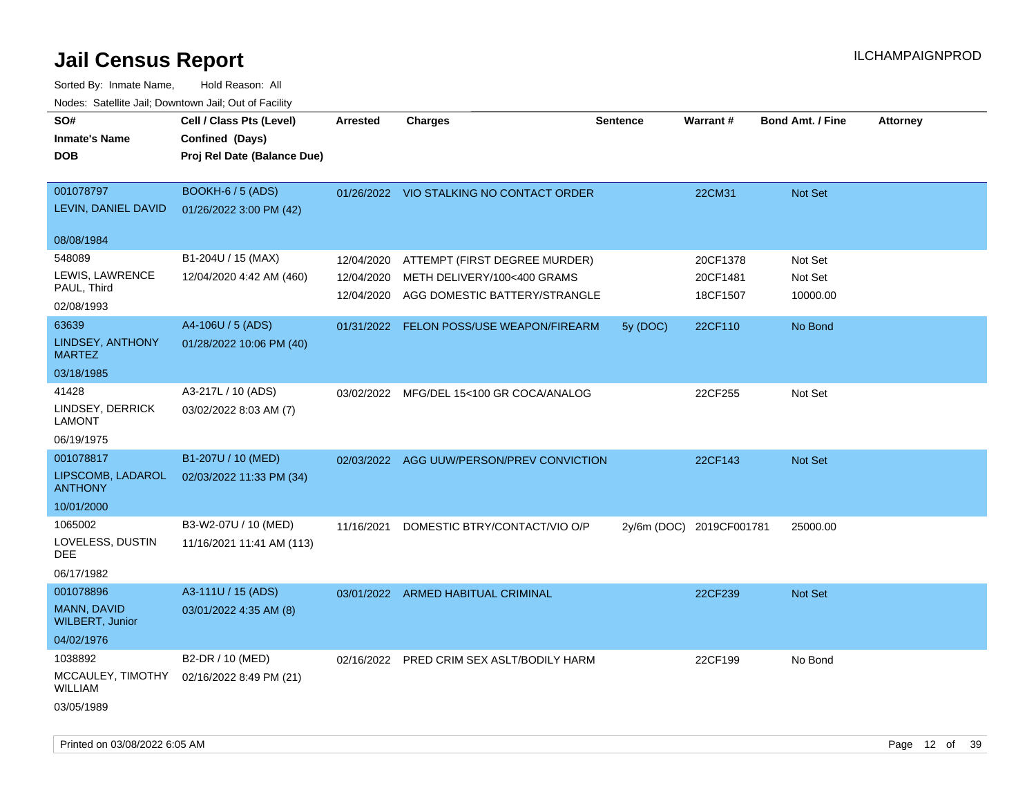| SO#<br><b>Inmate's Name</b><br><b>DOB</b>                              | Cell / Class Pts (Level)<br>Confined (Days)<br>Proj Rel Date (Balance Due) | <b>Arrested</b>                        | <b>Charges</b>                                                                                | <b>Sentence</b> | Warrant#                         | <b>Bond Amt. / Fine</b>        | <b>Attorney</b> |
|------------------------------------------------------------------------|----------------------------------------------------------------------------|----------------------------------------|-----------------------------------------------------------------------------------------------|-----------------|----------------------------------|--------------------------------|-----------------|
| 001078797<br>LEVIN, DANIEL DAVID                                       | BOOKH-6 / 5 (ADS)<br>01/26/2022 3:00 PM (42)                               |                                        | 01/26/2022 VIO STALKING NO CONTACT ORDER                                                      |                 | 22CM31                           | Not Set                        |                 |
| 08/08/1984                                                             |                                                                            |                                        |                                                                                               |                 |                                  |                                |                 |
| 548089<br>LEWIS, LAWRENCE<br>PAUL, Third<br>02/08/1993                 | B1-204U / 15 (MAX)<br>12/04/2020 4:42 AM (460)                             | 12/04/2020<br>12/04/2020<br>12/04/2020 | ATTEMPT (FIRST DEGREE MURDER)<br>METH DELIVERY/100<400 GRAMS<br>AGG DOMESTIC BATTERY/STRANGLE |                 | 20CF1378<br>20CF1481<br>18CF1507 | Not Set<br>Not Set<br>10000.00 |                 |
| 63639<br>LINDSEY, ANTHONY<br><b>MARTEZ</b>                             | A4-106U / 5 (ADS)<br>01/28/2022 10:06 PM (40)                              | 01/31/2022                             | FELON POSS/USE WEAPON/FIREARM                                                                 | 5y (DOC)        | 22CF110                          | No Bond                        |                 |
| 03/18/1985<br>41428<br>LINDSEY, DERRICK<br><b>LAMONT</b><br>06/19/1975 | A3-217L / 10 (ADS)<br>03/02/2022 8:03 AM (7)                               |                                        | 03/02/2022 MFG/DEL 15<100 GR COCA/ANALOG                                                      |                 | 22CF255                          | Not Set                        |                 |
| 001078817<br>LIPSCOMB, LADAROL<br><b>ANTHONY</b><br>10/01/2000         | B1-207U / 10 (MED)<br>02/03/2022 11:33 PM (34)                             |                                        | 02/03/2022 AGG UUW/PERSON/PREV CONVICTION                                                     |                 | 22CF143                          | Not Set                        |                 |
| 1065002<br>LOVELESS, DUSTIN<br>DEE<br>06/17/1982                       | B3-W2-07U / 10 (MED)<br>11/16/2021 11:41 AM (113)                          | 11/16/2021                             | DOMESTIC BTRY/CONTACT/VIO O/P                                                                 |                 | 2y/6m (DOC) 2019CF001781         | 25000.00                       |                 |
| 001078896<br>MANN, DAVID<br><b>WILBERT, Junior</b><br>04/02/1976       | A3-111U / 15 (ADS)<br>03/01/2022 4:35 AM (8)                               |                                        | 03/01/2022 ARMED HABITUAL CRIMINAL                                                            |                 | 22CF239                          | <b>Not Set</b>                 |                 |
| 1038892<br>MCCAULEY, TIMOTHY<br>WILLIAM<br>03/05/1989                  | B2-DR / 10 (MED)<br>02/16/2022 8:49 PM (21)                                | 02/16/2022                             | PRED CRIM SEX ASLT/BODILY HARM                                                                |                 | 22CF199                          | No Bond                        |                 |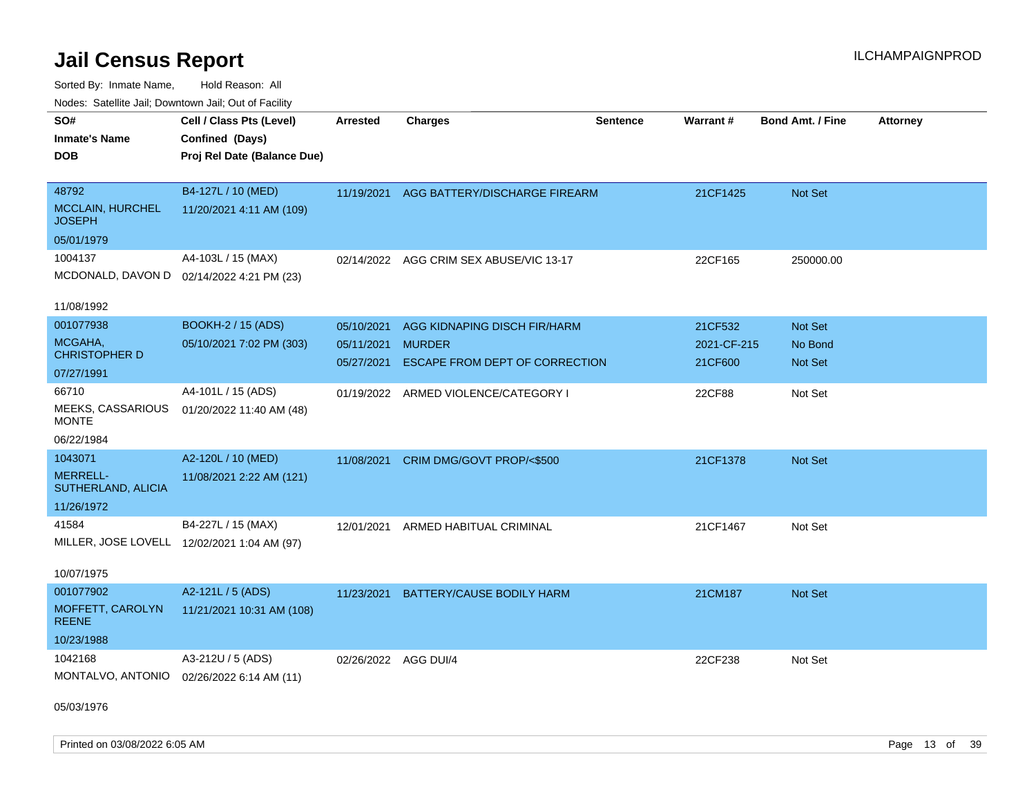Sorted By: Inmate Name, Hold Reason: All Nodes: Satellite Jail; Downtown Jail; Out of Facility

| <u>Houcs.</u> Outchne July, Downtown July, Out of Facility |                                             |                      |                                          |                 |             |                         |                 |
|------------------------------------------------------------|---------------------------------------------|----------------------|------------------------------------------|-----------------|-------------|-------------------------|-----------------|
| SO#                                                        | Cell / Class Pts (Level)                    | <b>Arrested</b>      | <b>Charges</b>                           | <b>Sentence</b> | Warrant#    | <b>Bond Amt. / Fine</b> | <b>Attorney</b> |
| <b>Inmate's Name</b>                                       | Confined (Days)                             |                      |                                          |                 |             |                         |                 |
| <b>DOB</b>                                                 | Proj Rel Date (Balance Due)                 |                      |                                          |                 |             |                         |                 |
|                                                            |                                             |                      |                                          |                 |             |                         |                 |
| 48792                                                      | B4-127L / 10 (MED)                          |                      | 11/19/2021 AGG BATTERY/DISCHARGE FIREARM |                 | 21CF1425    | Not Set                 |                 |
| <b>MCCLAIN, HURCHEL</b><br><b>JOSEPH</b>                   | 11/20/2021 4:11 AM (109)                    |                      |                                          |                 |             |                         |                 |
| 05/01/1979                                                 |                                             |                      |                                          |                 |             |                         |                 |
| 1004137                                                    | A4-103L / 15 (MAX)                          |                      | 02/14/2022 AGG CRIM SEX ABUSE/VIC 13-17  |                 | 22CF165     | 250000.00               |                 |
|                                                            | MCDONALD, DAVON D 02/14/2022 4:21 PM (23)   |                      |                                          |                 |             |                         |                 |
|                                                            |                                             |                      |                                          |                 |             |                         |                 |
| 11/08/1992                                                 |                                             |                      |                                          |                 |             |                         |                 |
| 001077938                                                  | <b>BOOKH-2 / 15 (ADS)</b>                   | 05/10/2021           | AGG KIDNAPING DISCH FIR/HARM             |                 | 21CF532     | Not Set                 |                 |
| MCGAHA,                                                    | 05/10/2021 7:02 PM (303)                    | 05/11/2021           | <b>MURDER</b>                            |                 | 2021-CF-215 | No Bond                 |                 |
| <b>CHRISTOPHER D</b>                                       |                                             | 05/27/2021           | <b>ESCAPE FROM DEPT OF CORRECTION</b>    |                 | 21CF600     | <b>Not Set</b>          |                 |
| 07/27/1991                                                 |                                             |                      |                                          |                 |             |                         |                 |
| 66710                                                      | A4-101L / 15 (ADS)                          |                      | 01/19/2022 ARMED VIOLENCE/CATEGORY I     |                 | 22CF88      | Not Set                 |                 |
| MEEKS, CASSARIOUS<br><b>MONTE</b>                          | 01/20/2022 11:40 AM (48)                    |                      |                                          |                 |             |                         |                 |
| 06/22/1984                                                 |                                             |                      |                                          |                 |             |                         |                 |
| 1043071                                                    | A2-120L / 10 (MED)                          | 11/08/2021           | CRIM DMG/GOVT PROP/<\$500                |                 | 21CF1378    | Not Set                 |                 |
| <b>MERRELL-</b>                                            | 11/08/2021 2:22 AM (121)                    |                      |                                          |                 |             |                         |                 |
| SUTHERLAND, ALICIA                                         |                                             |                      |                                          |                 |             |                         |                 |
| 11/26/1972                                                 |                                             |                      |                                          |                 |             |                         |                 |
| 41584                                                      | B4-227L / 15 (MAX)                          | 12/01/2021           | ARMED HABITUAL CRIMINAL                  |                 | 21CF1467    | Not Set                 |                 |
|                                                            | MILLER, JOSE LOVELL 12/02/2021 1:04 AM (97) |                      |                                          |                 |             |                         |                 |
|                                                            |                                             |                      |                                          |                 |             |                         |                 |
| 10/07/1975                                                 |                                             |                      |                                          |                 |             |                         |                 |
| 001077902                                                  | A2-121L / 5 (ADS)                           | 11/23/2021           | <b>BATTERY/CAUSE BODILY HARM</b>         |                 | 21CM187     | Not Set                 |                 |
| MOFFETT, CAROLYN<br><b>REENE</b>                           | 11/21/2021 10:31 AM (108)                   |                      |                                          |                 |             |                         |                 |
| 10/23/1988                                                 |                                             |                      |                                          |                 |             |                         |                 |
| 1042168                                                    | A3-212U / 5 (ADS)                           | 02/26/2022 AGG DUI/4 |                                          |                 | 22CF238     | Not Set                 |                 |
|                                                            | MONTALVO, ANTONIO 02/26/2022 6:14 AM (11)   |                      |                                          |                 |             |                         |                 |
|                                                            |                                             |                      |                                          |                 |             |                         |                 |

05/03/1976

Printed on 03/08/2022 6:05 AM **Page 13** of 39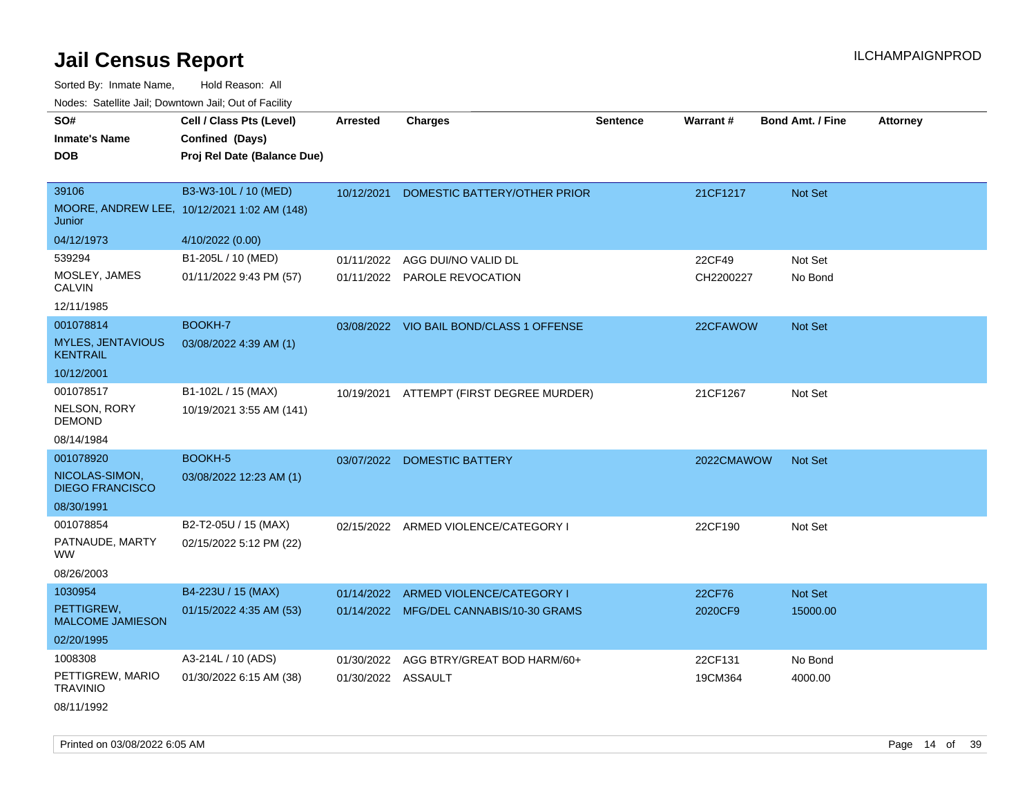Sorted By: Inmate Name, Hold Reason: All

| Nodes: Satellite Jail; Downtown Jail; Out of Facility |                                             |                    |                                          |                 |            |                         |                 |  |  |
|-------------------------------------------------------|---------------------------------------------|--------------------|------------------------------------------|-----------------|------------|-------------------------|-----------------|--|--|
| SO#                                                   | Cell / Class Pts (Level)                    | <b>Arrested</b>    | <b>Charges</b>                           | <b>Sentence</b> | Warrant#   | <b>Bond Amt. / Fine</b> | <b>Attorney</b> |  |  |
| <b>Inmate's Name</b>                                  | Confined (Days)                             |                    |                                          |                 |            |                         |                 |  |  |
| <b>DOB</b>                                            | Proj Rel Date (Balance Due)                 |                    |                                          |                 |            |                         |                 |  |  |
|                                                       |                                             |                    |                                          |                 |            |                         |                 |  |  |
| 39106                                                 | B3-W3-10L / 10 (MED)                        | 10/12/2021         | DOMESTIC BATTERY/OTHER PRIOR             |                 | 21CF1217   | Not Set                 |                 |  |  |
| Junior                                                | MOORE, ANDREW LEE, 10/12/2021 1:02 AM (148) |                    |                                          |                 |            |                         |                 |  |  |
| 04/12/1973                                            | 4/10/2022 (0.00)                            |                    |                                          |                 |            |                         |                 |  |  |
| 539294                                                | B1-205L / 10 (MED)                          | 01/11/2022         | AGG DUI/NO VALID DL                      |                 | 22CF49     | Not Set                 |                 |  |  |
| MOSLEY, JAMES<br><b>CALVIN</b>                        | 01/11/2022 9:43 PM (57)                     |                    | 01/11/2022 PAROLE REVOCATION             |                 | CH2200227  | No Bond                 |                 |  |  |
| 12/11/1985                                            |                                             |                    |                                          |                 |            |                         |                 |  |  |
| 001078814                                             | <b>BOOKH-7</b>                              |                    | 03/08/2022 VIO BAIL BOND/CLASS 1 OFFENSE |                 | 22CFAWOW   | Not Set                 |                 |  |  |
| <b>MYLES, JENTAVIOUS</b><br><b>KENTRAIL</b>           | 03/08/2022 4:39 AM (1)                      |                    |                                          |                 |            |                         |                 |  |  |
| 10/12/2001                                            |                                             |                    |                                          |                 |            |                         |                 |  |  |
| 001078517                                             | B1-102L / 15 (MAX)                          | 10/19/2021         | ATTEMPT (FIRST DEGREE MURDER)            |                 | 21CF1267   | Not Set                 |                 |  |  |
| NELSON, RORY<br><b>DEMOND</b>                         | 10/19/2021 3:55 AM (141)                    |                    |                                          |                 |            |                         |                 |  |  |
| 08/14/1984                                            |                                             |                    |                                          |                 |            |                         |                 |  |  |
| 001078920                                             | BOOKH-5                                     |                    | 03/07/2022 DOMESTIC BATTERY              |                 | 2022CMAWOW | Not Set                 |                 |  |  |
| NICOLAS-SIMON,<br><b>DIEGO FRANCISCO</b>              | 03/08/2022 12:23 AM (1)                     |                    |                                          |                 |            |                         |                 |  |  |
| 08/30/1991                                            |                                             |                    |                                          |                 |            |                         |                 |  |  |
| 001078854                                             | B2-T2-05U / 15 (MAX)                        | 02/15/2022         | ARMED VIOLENCE/CATEGORY I                |                 | 22CF190    | Not Set                 |                 |  |  |
| PATNAUDE, MARTY<br><b>WW</b>                          | 02/15/2022 5:12 PM (22)                     |                    |                                          |                 |            |                         |                 |  |  |
| 08/26/2003                                            |                                             |                    |                                          |                 |            |                         |                 |  |  |
| 1030954                                               | B4-223U / 15 (MAX)                          | 01/14/2022         | ARMED VIOLENCE/CATEGORY I                |                 | 22CF76     | Not Set                 |                 |  |  |
| PETTIGREW,<br><b>MALCOME JAMIESON</b>                 | 01/15/2022 4:35 AM (53)                     |                    | 01/14/2022 MFG/DEL CANNABIS/10-30 GRAMS  |                 | 2020CF9    | 15000.00                |                 |  |  |
| 02/20/1995                                            |                                             |                    |                                          |                 |            |                         |                 |  |  |
| 1008308                                               | A3-214L / 10 (ADS)                          | 01/30/2022         | AGG BTRY/GREAT BOD HARM/60+              |                 | 22CF131    | No Bond                 |                 |  |  |
| PETTIGREW, MARIO<br><b>TRAVINIO</b>                   | 01/30/2022 6:15 AM (38)                     | 01/30/2022 ASSAULT |                                          |                 | 19CM364    | 4000.00                 |                 |  |  |
| 08/11/1992                                            |                                             |                    |                                          |                 |            |                         |                 |  |  |

Printed on 03/08/2022 6:05 AM **Page 14** of 39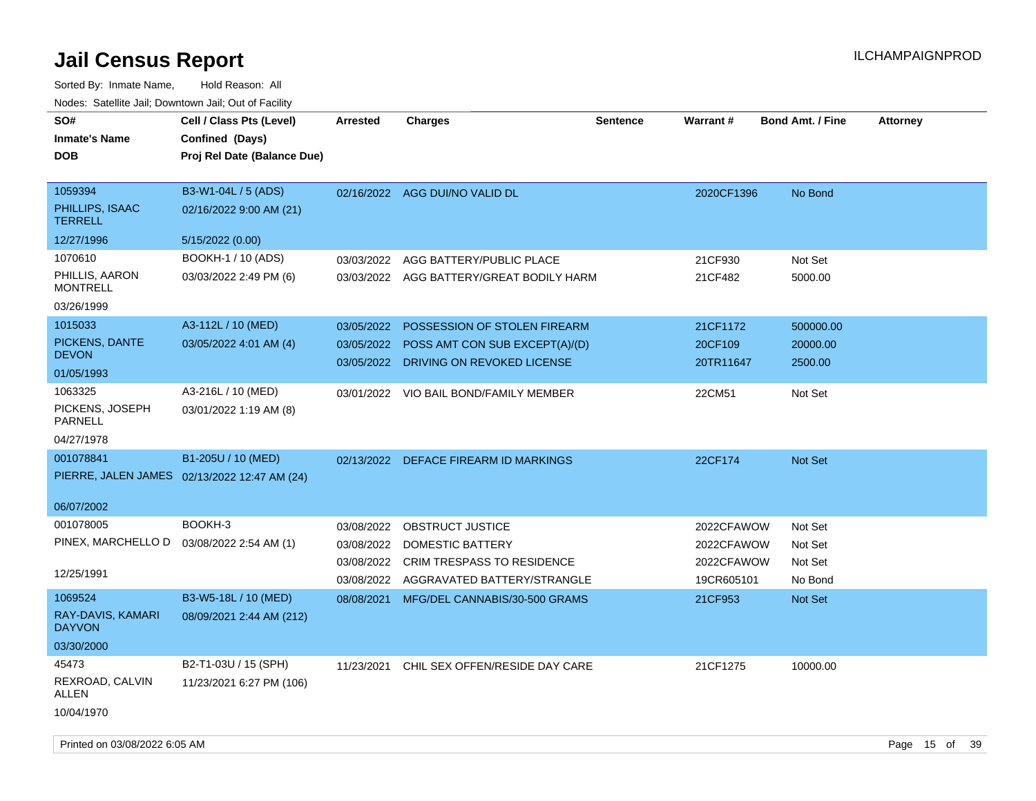| SO#<br><b>Inmate's Name</b><br><b>DOB</b>                   | Cell / Class Pts (Level)<br>Confined (Days)<br>Proj Rel Date (Balance Due) | <b>Arrested</b>                        | <b>Charges</b>                                                                                                      | <b>Sentence</b> | Warrant#                                             | <b>Bond Amt. / Fine</b>                  | <b>Attorney</b> |
|-------------------------------------------------------------|----------------------------------------------------------------------------|----------------------------------------|---------------------------------------------------------------------------------------------------------------------|-----------------|------------------------------------------------------|------------------------------------------|-----------------|
| 1059394<br>PHILLIPS, ISAAC<br><b>TERRELL</b><br>12/27/1996  | B3-W1-04L / 5 (ADS)<br>02/16/2022 9:00 AM (21)<br>5/15/2022 (0.00)         |                                        | 02/16/2022 AGG DUI/NO VALID DL                                                                                      |                 | 2020CF1396                                           | No Bond                                  |                 |
| 1070610                                                     | BOOKH-1 / 10 (ADS)                                                         |                                        |                                                                                                                     |                 |                                                      |                                          |                 |
| PHILLIS, AARON<br><b>MONTRELL</b>                           | 03/03/2022 2:49 PM (6)                                                     |                                        | 03/03/2022 AGG BATTERY/PUBLIC PLACE<br>03/03/2022 AGG BATTERY/GREAT BODILY HARM                                     |                 | 21CF930<br>21CF482                                   | Not Set<br>5000.00                       |                 |
| 03/26/1999                                                  |                                                                            |                                        |                                                                                                                     |                 |                                                      |                                          |                 |
| 1015033<br>PICKENS, DANTE<br><b>DEVON</b>                   | A3-112L / 10 (MED)<br>03/05/2022 4:01 AM (4)                               | 03/05/2022<br>03/05/2022               | POSSESSION OF STOLEN FIREARM<br>POSS AMT CON SUB EXCEPT(A)/(D)<br>03/05/2022 DRIVING ON REVOKED LICENSE             |                 | 21CF1172<br>20CF109<br>20TR11647                     | 500000.00<br>20000.00<br>2500.00         |                 |
| 01/05/1993                                                  |                                                                            |                                        |                                                                                                                     |                 |                                                      |                                          |                 |
| 1063325<br>PICKENS, JOSEPH<br><b>PARNELL</b><br>04/27/1978  | A3-216L / 10 (MED)<br>03/01/2022 1:19 AM (8)                               |                                        | 03/01/2022 VIO BAIL BOND/FAMILY MEMBER                                                                              |                 | 22CM51                                               | Not Set                                  |                 |
| 001078841                                                   | B1-205U / 10 (MED)<br>PIERRE, JALEN JAMES 02/13/2022 12:47 AM (24)         | 02/13/2022                             | DEFACE FIREARM ID MARKINGS                                                                                          |                 | 22CF174                                              | Not Set                                  |                 |
| 06/07/2002                                                  |                                                                            |                                        |                                                                                                                     |                 |                                                      |                                          |                 |
| 001078005<br>PINEX, MARCHELLO D<br>12/25/1991               | BOOKH-3<br>03/08/2022 2:54 AM (1)                                          | 03/08/2022<br>03/08/2022<br>03/08/2022 | OBSTRUCT JUSTICE<br>DOMESTIC BATTERY<br><b>CRIM TRESPASS TO RESIDENCE</b><br>03/08/2022 AGGRAVATED BATTERY/STRANGLE |                 | 2022CFAWOW<br>2022CFAWOW<br>2022CFAWOW<br>19CR605101 | Not Set<br>Not Set<br>Not Set<br>No Bond |                 |
| 1069524<br>RAY-DAVIS, KAMARI<br><b>DAYVON</b><br>03/30/2000 | B3-W5-18L / 10 (MED)<br>08/09/2021 2:44 AM (212)                           | 08/08/2021                             | MFG/DEL CANNABIS/30-500 GRAMS                                                                                       |                 | 21CF953                                              | Not Set                                  |                 |
| 45473<br>REXROAD, CALVIN<br>ALLEN<br>10/04/1970             | B2-T1-03U / 15 (SPH)<br>11/23/2021 6:27 PM (106)                           | 11/23/2021                             | CHIL SEX OFFEN/RESIDE DAY CARE                                                                                      |                 | 21CF1275                                             | 10000.00                                 |                 |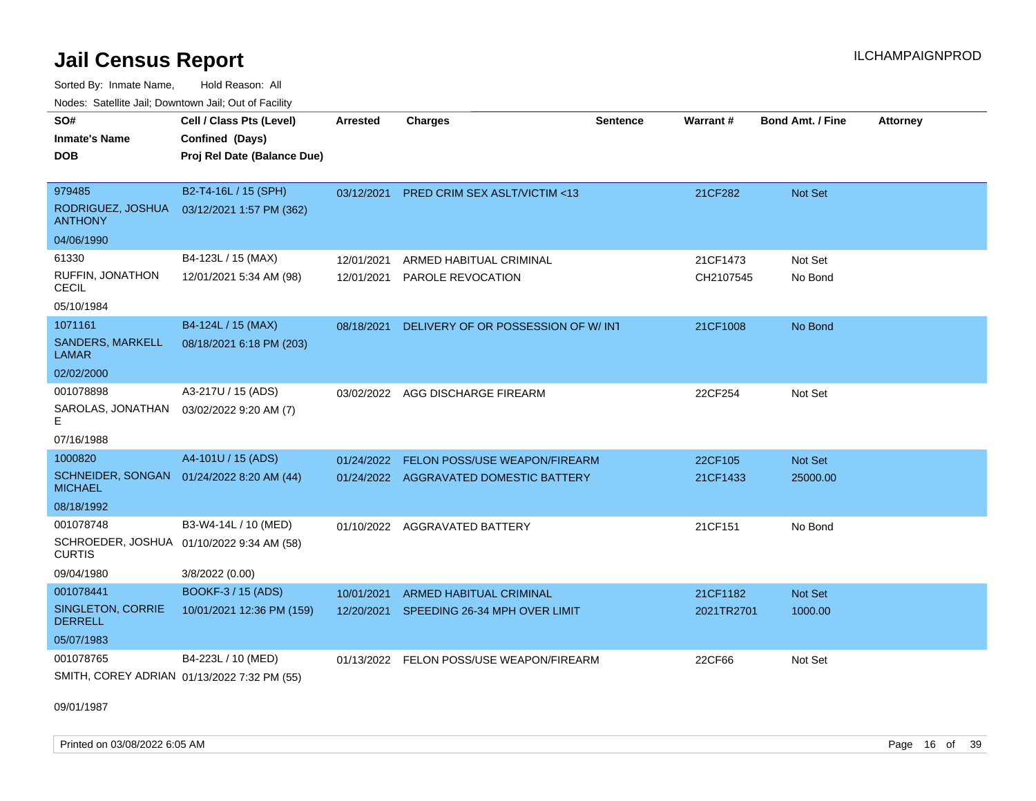Sorted By: Inmate Name, Hold Reason: All Nodes: Satellite Jail; Downtown Jail; Out of Facility

| <b>HOUGO:</b> GUIGHING DUIN, DOWNTHOWN DUIN, OUI OF FUGHIN  |                                             |                 |                                         |                 |                 |                         |                 |
|-------------------------------------------------------------|---------------------------------------------|-----------------|-----------------------------------------|-----------------|-----------------|-------------------------|-----------------|
| SO#<br><b>Inmate's Name</b>                                 | Cell / Class Pts (Level)<br>Confined (Days) | <b>Arrested</b> | <b>Charges</b>                          | <b>Sentence</b> | <b>Warrant#</b> | <b>Bond Amt. / Fine</b> | <b>Attorney</b> |
| <b>DOB</b>                                                  | Proj Rel Date (Balance Due)                 |                 |                                         |                 |                 |                         |                 |
| 979485                                                      | B2-T4-16L / 15 (SPH)                        | 03/12/2021      | <b>PRED CRIM SEX ASLT/VICTIM &lt;13</b> |                 | 21CF282         | <b>Not Set</b>          |                 |
| RODRIGUEZ, JOSHUA<br><b>ANTHONY</b>                         | 03/12/2021 1:57 PM (362)                    |                 |                                         |                 |                 |                         |                 |
| 04/06/1990                                                  |                                             |                 |                                         |                 |                 |                         |                 |
| 61330                                                       | B4-123L / 15 (MAX)                          | 12/01/2021      | ARMED HABITUAL CRIMINAL                 |                 | 21CF1473        | Not Set                 |                 |
| RUFFIN, JONATHON<br><b>CECIL</b>                            | 12/01/2021 5:34 AM (98)                     | 12/01/2021      | PAROLE REVOCATION                       |                 | CH2107545       | No Bond                 |                 |
| 05/10/1984                                                  |                                             |                 |                                         |                 |                 |                         |                 |
| 1071161                                                     | B4-124L / 15 (MAX)                          | 08/18/2021      | DELIVERY OF OR POSSESSION OF W/INT      |                 | 21CF1008        | No Bond                 |                 |
| <b>SANDERS, MARKELL</b><br>LAMAR                            | 08/18/2021 6:18 PM (203)                    |                 |                                         |                 |                 |                         |                 |
| 02/02/2000                                                  |                                             |                 |                                         |                 |                 |                         |                 |
| 001078898                                                   | A3-217U / 15 (ADS)                          | 03/02/2022      | AGG DISCHARGE FIREARM                   |                 | 22CF254         | Not Set                 |                 |
| SAROLAS, JONATHAN<br>Е                                      | 03/02/2022 9:20 AM (7)                      |                 |                                         |                 |                 |                         |                 |
| 07/16/1988                                                  |                                             |                 |                                         |                 |                 |                         |                 |
| 1000820                                                     | A4-101U / 15 (ADS)                          | 01/24/2022      | FELON POSS/USE WEAPON/FIREARM           |                 | 22CF105         | Not Set                 |                 |
| SCHNEIDER, SONGAN 01/24/2022 8:20 AM (44)<br><b>MICHAEL</b> |                                             |                 | 01/24/2022 AGGRAVATED DOMESTIC BATTERY  |                 | 21CF1433        | 25000.00                |                 |
| 08/18/1992                                                  |                                             |                 |                                         |                 |                 |                         |                 |
| 001078748                                                   | B3-W4-14L / 10 (MED)                        | 01/10/2022      | <b>AGGRAVATED BATTERY</b>               |                 | 21CF151         | No Bond                 |                 |
| SCHROEDER, JOSHUA 01/10/2022 9:34 AM (58)<br><b>CURTIS</b>  |                                             |                 |                                         |                 |                 |                         |                 |
| 09/04/1980                                                  | 3/8/2022 (0.00)                             |                 |                                         |                 |                 |                         |                 |
| 001078441                                                   | BOOKF-3 / 15 (ADS)                          | 10/01/2021      | <b>ARMED HABITUAL CRIMINAL</b>          |                 | 21CF1182        | <b>Not Set</b>          |                 |
| SINGLETON, CORRIE<br><b>DERRELL</b>                         | 10/01/2021 12:36 PM (159)                   | 12/20/2021      | SPEEDING 26-34 MPH OVER LIMIT           |                 | 2021TR2701      | 1000.00                 |                 |
| 05/07/1983                                                  |                                             |                 |                                         |                 |                 |                         |                 |
| 001078765                                                   | B4-223L / 10 (MED)                          | 01/13/2022      | FELON POSS/USE WEAPON/FIREARM           |                 | 22CF66          | Not Set                 |                 |
| SMITH, COREY ADRIAN 01/13/2022 7:32 PM (55)                 |                                             |                 |                                         |                 |                 |                         |                 |

09/01/1987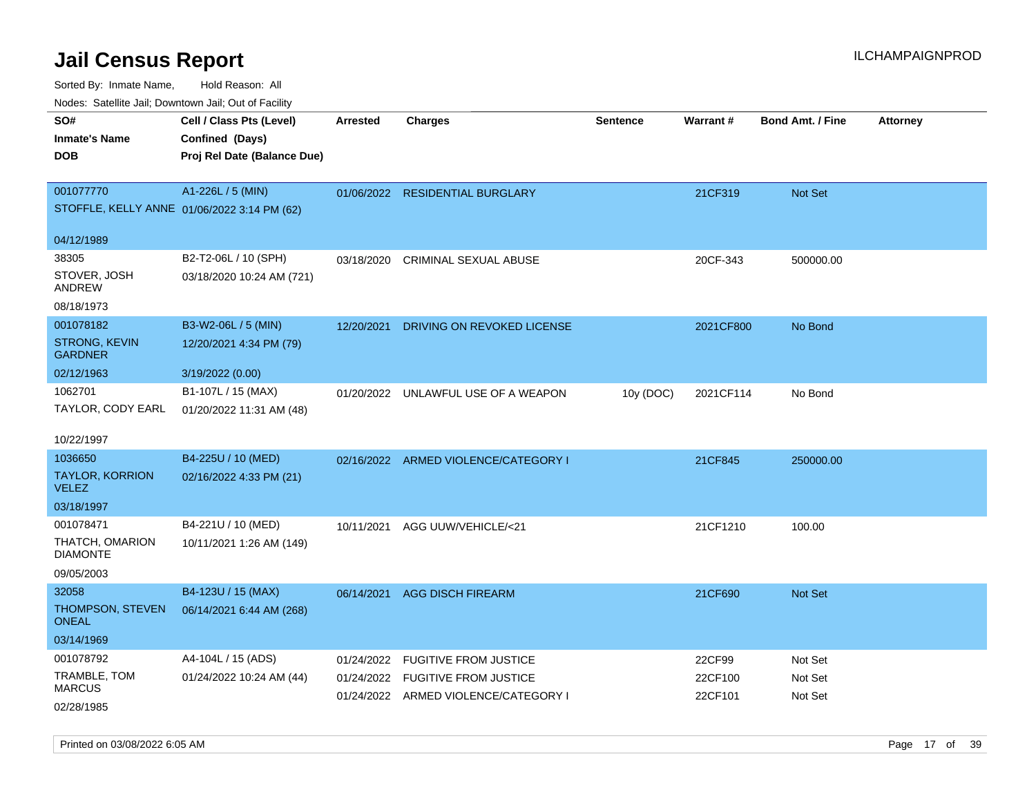**CEL ATTA / CHARGE / CHARGE / CHARGE / CHARGE / CHARGE / CHARGE / CHARGE / CHARGE / CHARGE / CHARGE / CHARGE / CHARGE / CHARGE / CHARGE / CHARGE <b>CHARGE / CHARGE / CHARGE / CHARGE / CHARGE / CHARGE / CHARGE / CHARGE / CHAR** 

Sorted By: Inmate Name, Hold Reason: All Nodes: Satellite Jail; Downtown Jail; Out of Facility

| SO#                  | Cell / Class Pts (Level)                    | Arrested   | <b>Charges</b>              |
|----------------------|---------------------------------------------|------------|-----------------------------|
| <b>Inmate's Name</b> | Confined (Days)                             |            |                             |
| <b>DOB</b>           | Proj Rel Date (Balance Due)                 |            |                             |
|                      |                                             |            |                             |
| 001077770            | A1-226L / 5 (MIN)                           | 01/06/2022 | <b>RESIDENTIAL BURGLARY</b> |
|                      | STOFFLE, KELLY ANNE 01/06/2022 3:14 PM (62) |            |                             |
|                      |                                             |            |                             |
| 04/12/1989           |                                             |            |                             |

| 001077770                                   | $A1-226L / 5$ (MIN)       |            | 01/06/2022 RESIDENTIAL BURGLARY      |           | 21CF319   | Not Set   |
|---------------------------------------------|---------------------------|------------|--------------------------------------|-----------|-----------|-----------|
| STOFFLE, KELLY ANNE 01/06/2022 3:14 PM (62) |                           |            |                                      |           |           |           |
|                                             |                           |            |                                      |           |           |           |
| 04/12/1989                                  |                           |            |                                      |           |           |           |
| 38305                                       | B2-T2-06L / 10 (SPH)      | 03/18/2020 | <b>CRIMINAL SEXUAL ABUSE</b>         |           | 20CF-343  | 500000.00 |
| STOVER, JOSH<br>ANDREW                      | 03/18/2020 10:24 AM (721) |            |                                      |           |           |           |
| 08/18/1973                                  |                           |            |                                      |           |           |           |
| 001078182                                   | B3-W2-06L / 5 (MIN)       | 12/20/2021 | DRIVING ON REVOKED LICENSE           |           | 2021CF800 | No Bond   |
| <b>STRONG, KEVIN</b><br><b>GARDNER</b>      | 12/20/2021 4:34 PM (79)   |            |                                      |           |           |           |
| 02/12/1963                                  | 3/19/2022 (0.00)          |            |                                      |           |           |           |
| 1062701                                     | B1-107L / 15 (MAX)        |            | 01/20/2022 UNLAWFUL USE OF A WEAPON  | 10y (DOC) | 2021CF114 | No Bond   |
| TAYLOR, CODY EARL                           | 01/20/2022 11:31 AM (48)  |            |                                      |           |           |           |
|                                             |                           |            |                                      |           |           |           |
| 10/22/1997                                  |                           |            |                                      |           |           |           |
| 1036650                                     | B4-225U / 10 (MED)        |            | 02/16/2022 ARMED VIOLENCE/CATEGORY I |           | 21CF845   | 250000.00 |
| <b>TAYLOR, KORRION</b><br><b>VELEZ</b>      | 02/16/2022 4:33 PM (21)   |            |                                      |           |           |           |
| 03/18/1997                                  |                           |            |                                      |           |           |           |
| 001078471                                   | B4-221U / 10 (MED)        | 10/11/2021 | AGG UUW/VEHICLE/<21                  |           | 21CF1210  | 100.00    |
| THATCH, OMARION<br><b>DIAMONTE</b>          | 10/11/2021 1:26 AM (149)  |            |                                      |           |           |           |
| 09/05/2003                                  |                           |            |                                      |           |           |           |
| 32058                                       | B4-123U / 15 (MAX)        | 06/14/2021 | <b>AGG DISCH FIREARM</b>             |           | 21CF690   | Not Set   |
| <b>THOMPSON, STEVEN</b><br><b>ONEAL</b>     | 06/14/2021 6:44 AM (268)  |            |                                      |           |           |           |
| 03/14/1969                                  |                           |            |                                      |           |           |           |
| 001078792                                   | A4-104L / 15 (ADS)        | 01/24/2022 | <b>FUGITIVE FROM JUSTICE</b>         |           | 22CF99    | Not Set   |
| TRAMBLE, TOM                                | 01/24/2022 10:24 AM (44)  |            | 01/24/2022 FUGITIVE FROM JUSTICE     |           | 22CF100   | Not Set   |
| <b>MARCUS</b>                               |                           |            | 01/24/2022 ARMED VIOLENCE/CATEGORY I |           | 22CF101   | Not Set   |
| 02/28/1985                                  |                           |            |                                      |           |           |           |

**Sentence**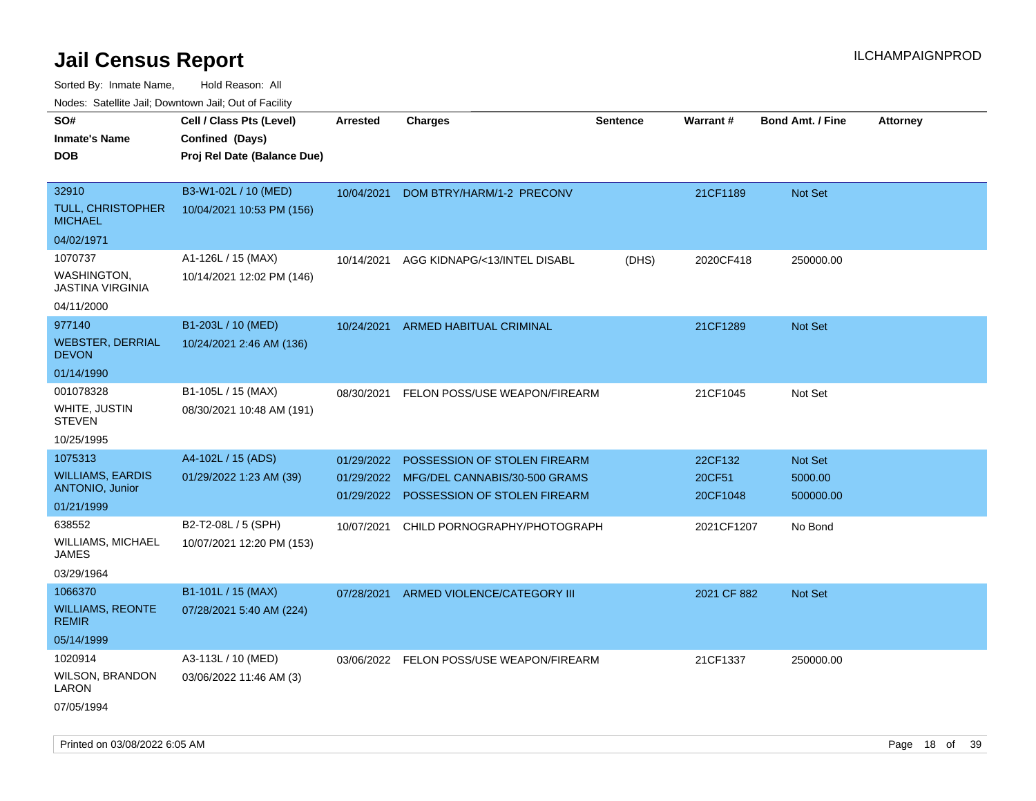Sorted By: Inmate Name, Hold Reason: All

Nodes: Satellite Jail; Downtown Jail; Out of Facility

| rouco. Calcillo Jali, Downtown Jali, Out of Facility |                             |            |                                          |                 |             |                         |                 |
|------------------------------------------------------|-----------------------------|------------|------------------------------------------|-----------------|-------------|-------------------------|-----------------|
| SO#                                                  | Cell / Class Pts (Level)    | Arrested   | <b>Charges</b>                           | <b>Sentence</b> | Warrant#    | <b>Bond Amt. / Fine</b> | <b>Attorney</b> |
| <b>Inmate's Name</b>                                 | Confined (Days)             |            |                                          |                 |             |                         |                 |
| <b>DOB</b>                                           | Proj Rel Date (Balance Due) |            |                                          |                 |             |                         |                 |
|                                                      |                             |            |                                          |                 |             |                         |                 |
| 32910                                                | B3-W1-02L / 10 (MED)        | 10/04/2021 | DOM BTRY/HARM/1-2 PRECONV                |                 | 21CF1189    | Not Set                 |                 |
| <b>TULL, CHRISTOPHER</b><br><b>MICHAEL</b>           | 10/04/2021 10:53 PM (156)   |            |                                          |                 |             |                         |                 |
| 04/02/1971                                           |                             |            |                                          |                 |             |                         |                 |
| 1070737                                              | A1-126L / 15 (MAX)          | 10/14/2021 | AGG KIDNAPG/<13/INTEL DISABL             | (DHS)           | 2020CF418   | 250000.00               |                 |
| WASHINGTON,<br><b>JASTINA VIRGINIA</b>               | 10/14/2021 12:02 PM (146)   |            |                                          |                 |             |                         |                 |
| 04/11/2000                                           |                             |            |                                          |                 |             |                         |                 |
| 977140                                               | B1-203L / 10 (MED)          | 10/24/2021 | <b>ARMED HABITUAL CRIMINAL</b>           |                 | 21CF1289    | <b>Not Set</b>          |                 |
| <b>WEBSTER, DERRIAL</b><br><b>DEVON</b>              | 10/24/2021 2:46 AM (136)    |            |                                          |                 |             |                         |                 |
| 01/14/1990                                           |                             |            |                                          |                 |             |                         |                 |
| 001078328                                            | B1-105L / 15 (MAX)          | 08/30/2021 | <b>FELON POSS/USE WEAPON/FIREARM</b>     |                 | 21CF1045    | Not Set                 |                 |
| WHITE, JUSTIN<br><b>STEVEN</b>                       | 08/30/2021 10:48 AM (191)   |            |                                          |                 |             |                         |                 |
| 10/25/1995                                           |                             |            |                                          |                 |             |                         |                 |
| 1075313                                              | A4-102L / 15 (ADS)          | 01/29/2022 | POSSESSION OF STOLEN FIREARM             |                 | 22CF132     | Not Set                 |                 |
| <b>WILLIAMS, EARDIS</b>                              | 01/29/2022 1:23 AM (39)     | 01/29/2022 | MFG/DEL CANNABIS/30-500 GRAMS            |                 | 20CF51      | 5000.00                 |                 |
| <b>ANTONIO, Junior</b>                               |                             | 01/29/2022 | POSSESSION OF STOLEN FIREARM             |                 | 20CF1048    | 500000.00               |                 |
| 01/21/1999                                           |                             |            |                                          |                 |             |                         |                 |
| 638552                                               | B2-T2-08L / 5 (SPH)         | 10/07/2021 | CHILD PORNOGRAPHY/PHOTOGRAPH             |                 | 2021CF1207  | No Bond                 |                 |
| <b>WILLIAMS, MICHAEL</b><br>JAMES                    | 10/07/2021 12:20 PM (153)   |            |                                          |                 |             |                         |                 |
| 03/29/1964                                           |                             |            |                                          |                 |             |                         |                 |
| 1066370                                              | B1-101L / 15 (MAX)          | 07/28/2021 | ARMED VIOLENCE/CATEGORY III              |                 | 2021 CF 882 | <b>Not Set</b>          |                 |
| <b>WILLIAMS, REONTE</b><br><b>REMIR</b>              | 07/28/2021 5:40 AM (224)    |            |                                          |                 |             |                         |                 |
| 05/14/1999                                           |                             |            |                                          |                 |             |                         |                 |
| 1020914                                              | A3-113L / 10 (MED)          |            | 03/06/2022 FELON POSS/USE WEAPON/FIREARM |                 | 21CF1337    | 250000.00               |                 |
| WILSON, BRANDON<br>LARON                             | 03/06/2022 11:46 AM (3)     |            |                                          |                 |             |                         |                 |
| 07/05/1994                                           |                             |            |                                          |                 |             |                         |                 |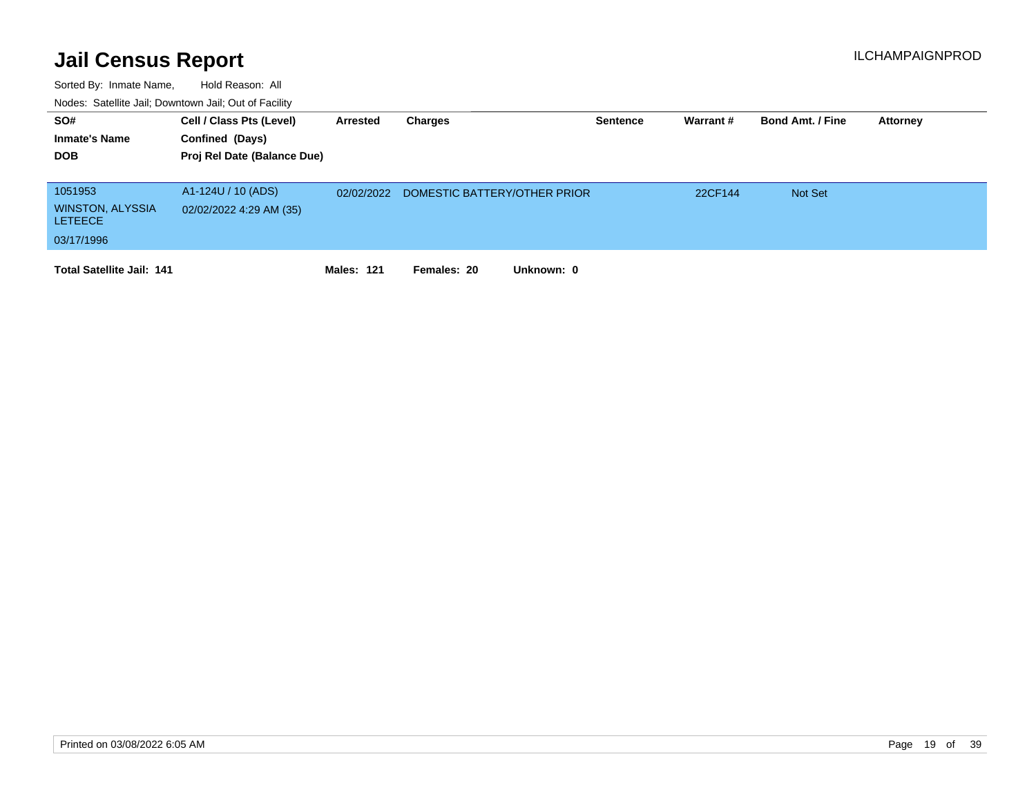| SO#<br><b>Inmate's Name</b><br><b>DOB</b>                          | Cell / Class Pts (Level)<br>Confined (Days)<br>Proj Rel Date (Balance Due) | Arrested          | Charges                      | <b>Sentence</b> | Warrant# | <b>Bond Amt. / Fine</b> | <b>Attorney</b> |
|--------------------------------------------------------------------|----------------------------------------------------------------------------|-------------------|------------------------------|-----------------|----------|-------------------------|-----------------|
| 1051953<br><b>WINSTON, ALYSSIA</b><br><b>LETEECE</b><br>03/17/1996 | A1-124U / 10 (ADS)<br>02/02/2022 4:29 AM (35)                              | 02/02/2022        | DOMESTIC BATTERY/OTHER PRIOR |                 | 22CF144  | <b>Not Set</b>          |                 |
| <b>Total Satellite Jail: 141</b>                                   |                                                                            | <b>Males: 121</b> | Unknown: 0<br>Females: 20    |                 |          |                         |                 |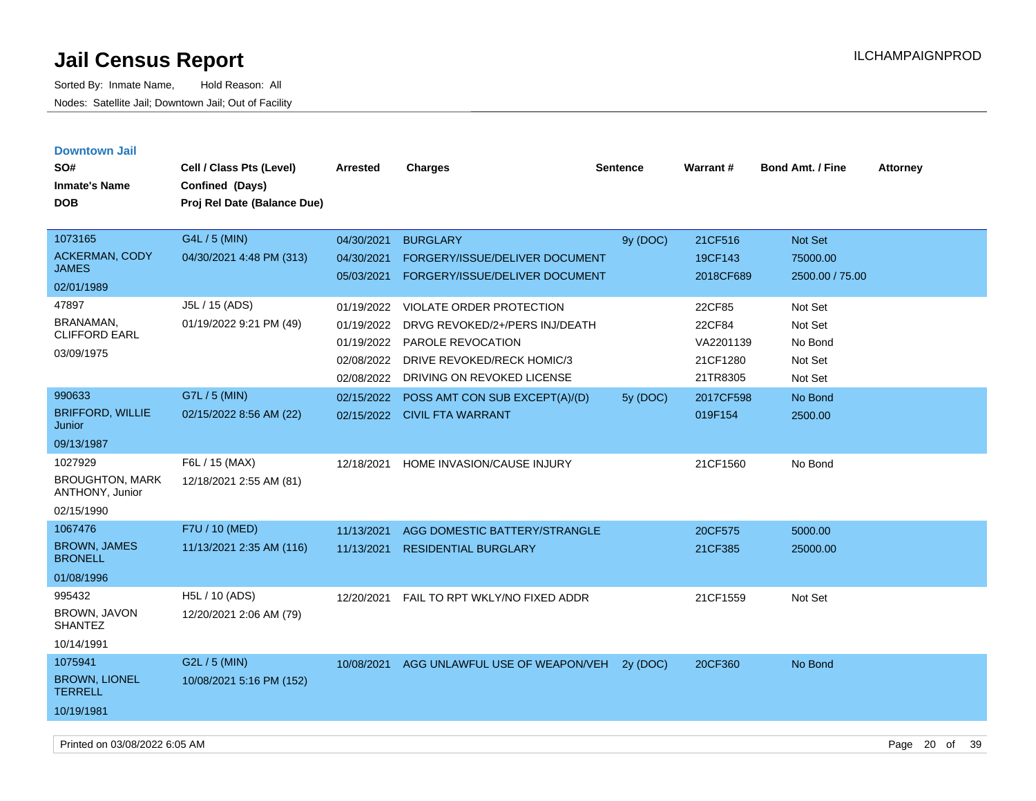| <b>Downtown Jail</b>                      |                             |            |                                 |                 |                 |                         |                 |
|-------------------------------------------|-----------------------------|------------|---------------------------------|-----------------|-----------------|-------------------------|-----------------|
| SO#                                       | Cell / Class Pts (Level)    | Arrested   | <b>Charges</b>                  | <b>Sentence</b> | <b>Warrant#</b> | <b>Bond Amt. / Fine</b> | <b>Attorney</b> |
| <b>Inmate's Name</b>                      | Confined (Days)             |            |                                 |                 |                 |                         |                 |
| <b>DOB</b>                                | Proj Rel Date (Balance Due) |            |                                 |                 |                 |                         |                 |
|                                           |                             |            |                                 |                 |                 |                         |                 |
| 1073165                                   | G4L / 5 (MIN)               | 04/30/2021 | <b>BURGLARY</b>                 | 9y (DOC)        | 21CF516         | <b>Not Set</b>          |                 |
| <b>ACKERMAN, CODY</b><br><b>JAMES</b>     | 04/30/2021 4:48 PM (313)    | 04/30/2021 | FORGERY/ISSUE/DELIVER DOCUMENT  |                 | 19CF143         | 75000.00                |                 |
| 02/01/1989                                |                             | 05/03/2021 | FORGERY/ISSUE/DELIVER DOCUMENT  |                 | 2018CF689       | 2500.00 / 75.00         |                 |
|                                           |                             |            |                                 |                 |                 |                         |                 |
| 47897                                     | J5L / 15 (ADS)              | 01/19/2022 | <b>VIOLATE ORDER PROTECTION</b> |                 | 22CF85          | Not Set                 |                 |
| BRANAMAN,<br><b>CLIFFORD EARL</b>         | 01/19/2022 9:21 PM (49)     | 01/19/2022 | DRVG REVOKED/2+/PERS INJ/DEATH  |                 | 22CF84          | Not Set                 |                 |
| 03/09/1975                                |                             | 01/19/2022 | PAROLE REVOCATION               |                 | VA2201139       | No Bond                 |                 |
|                                           |                             | 02/08/2022 | DRIVE REVOKED/RECK HOMIC/3      |                 | 21CF1280        | Not Set                 |                 |
|                                           |                             | 02/08/2022 | DRIVING ON REVOKED LICENSE      |                 | 21TR8305        | Not Set                 |                 |
| 990633                                    | G7L / 5 (MIN)               | 02/15/2022 | POSS AMT CON SUB EXCEPT(A)/(D)  | 5y (DOC)        | 2017CF598       | No Bond                 |                 |
| <b>BRIFFORD, WILLIE</b><br>Junior         | 02/15/2022 8:56 AM (22)     |            | 02/15/2022 CIVIL FTA WARRANT    |                 | 019F154         | 2500.00                 |                 |
| 09/13/1987                                |                             |            |                                 |                 |                 |                         |                 |
| 1027929                                   | F6L / 15 (MAX)              | 12/18/2021 | HOME INVASION/CAUSE INJURY      |                 | 21CF1560        | No Bond                 |                 |
| <b>BROUGHTON, MARK</b><br>ANTHONY, Junior | 12/18/2021 2:55 AM (81)     |            |                                 |                 |                 |                         |                 |
| 02/15/1990                                |                             |            |                                 |                 |                 |                         |                 |
| 1067476                                   | F7U / 10 (MED)              | 11/13/2021 | AGG DOMESTIC BATTERY/STRANGLE   |                 | 20CF575         | 5000.00                 |                 |
| <b>BROWN, JAMES</b><br><b>BRONELL</b>     | 11/13/2021 2:35 AM (116)    | 11/13/2021 | <b>RESIDENTIAL BURGLARY</b>     |                 | 21CF385         | 25000.00                |                 |
| 01/08/1996                                |                             |            |                                 |                 |                 |                         |                 |
| 995432                                    | H5L / 10 (ADS)              | 12/20/2021 | FAIL TO RPT WKLY/NO FIXED ADDR  |                 | 21CF1559        | Not Set                 |                 |
| BROWN, JAVON<br><b>SHANTEZ</b>            | 12/20/2021 2:06 AM (79)     |            |                                 |                 |                 |                         |                 |
| 10/14/1991                                |                             |            |                                 |                 |                 |                         |                 |
| 1075941                                   | G2L / 5 (MIN)               | 10/08/2021 | AGG UNLAWFUL USE OF WEAPON/VEH  | 2y (DOC)        | 20CF360         | No Bond                 |                 |
| <b>BROWN, LIONEL</b><br><b>TERRELL</b>    | 10/08/2021 5:16 PM (152)    |            |                                 |                 |                 |                         |                 |
| 10/19/1981                                |                             |            |                                 |                 |                 |                         |                 |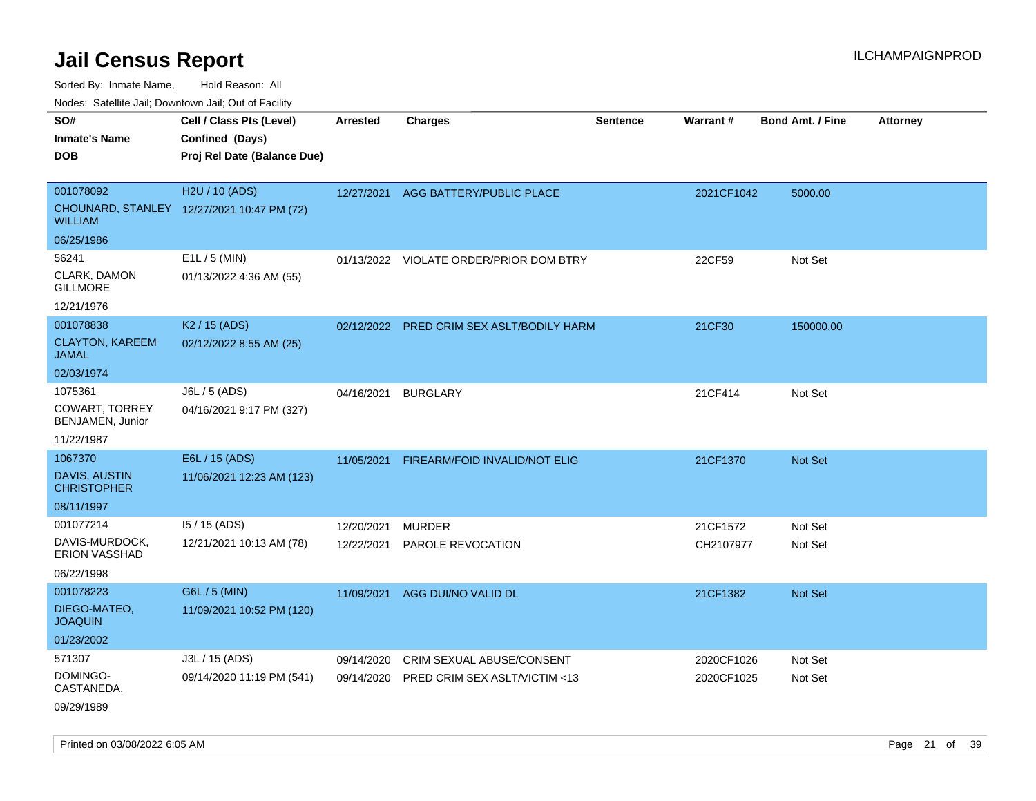Sorted By: Inmate Name, Hold Reason: All

Nodes: Satellite Jail; Downtown Jail; Out of Facility

| SO#<br><b>Inmate's Name</b>                | Cell / Class Pts (Level)<br>Confined (Days) | <b>Arrested</b> | <b>Charges</b>                            | Sentence | Warrant#   | Bond Amt. / Fine | <b>Attorney</b> |
|--------------------------------------------|---------------------------------------------|-----------------|-------------------------------------------|----------|------------|------------------|-----------------|
| <b>DOB</b>                                 | Proj Rel Date (Balance Due)                 |                 |                                           |          |            |                  |                 |
| 001078092                                  | H2U / 10 (ADS)                              | 12/27/2021      | AGG BATTERY/PUBLIC PLACE                  |          | 2021CF1042 | 5000.00          |                 |
| <b>WILLIAM</b>                             | CHOUNARD, STANLEY 12/27/2021 10:47 PM (72)  |                 |                                           |          |            |                  |                 |
| 06/25/1986                                 |                                             |                 |                                           |          |            |                  |                 |
| 56241                                      | $E1L / 5$ (MIN)                             |                 | 01/13/2022 VIOLATE ORDER/PRIOR DOM BTRY   |          | 22CF59     | Not Set          |                 |
| CLARK, DAMON<br><b>GILLMORE</b>            | 01/13/2022 4:36 AM (55)                     |                 |                                           |          |            |                  |                 |
| 12/21/1976                                 |                                             |                 |                                           |          |            |                  |                 |
| 001078838                                  | K <sub>2</sub> / 15 (ADS)                   |                 | 02/12/2022 PRED CRIM SEX ASLT/BODILY HARM |          | 21CF30     | 150000.00        |                 |
| <b>CLAYTON, KAREEM</b><br><b>JAMAL</b>     | 02/12/2022 8:55 AM (25)                     |                 |                                           |          |            |                  |                 |
| 02/03/1974                                 |                                             |                 |                                           |          |            |                  |                 |
| 1075361                                    | J6L / 5 (ADS)                               | 04/16/2021      | <b>BURGLARY</b>                           |          | 21CF414    | Not Set          |                 |
| COWART, TORREY<br>BENJAMEN, Junior         | 04/16/2021 9:17 PM (327)                    |                 |                                           |          |            |                  |                 |
| 11/22/1987                                 |                                             |                 |                                           |          |            |                  |                 |
| 1067370                                    | E6L / 15 (ADS)                              | 11/05/2021      | FIREARM/FOID INVALID/NOT ELIG             |          | 21CF1370   | Not Set          |                 |
| <b>DAVIS, AUSTIN</b><br><b>CHRISTOPHER</b> | 11/06/2021 12:23 AM (123)                   |                 |                                           |          |            |                  |                 |
| 08/11/1997                                 |                                             |                 |                                           |          |            |                  |                 |
| 001077214                                  | 15 / 15 (ADS)                               | 12/20/2021      | <b>MURDER</b>                             |          | 21CF1572   | Not Set          |                 |
| DAVIS-MURDOCK,<br><b>ERION VASSHAD</b>     | 12/21/2021 10:13 AM (78)                    | 12/22/2021      | PAROLE REVOCATION                         |          | CH2107977  | Not Set          |                 |
| 06/22/1998                                 |                                             |                 |                                           |          |            |                  |                 |
| 001078223                                  | G6L / 5 (MIN)                               | 11/09/2021      | AGG DUI/NO VALID DL                       |          | 21CF1382   | Not Set          |                 |
| DIEGO-MATEO,<br><b>JOAQUIN</b>             | 11/09/2021 10:52 PM (120)                   |                 |                                           |          |            |                  |                 |
| 01/23/2002                                 |                                             |                 |                                           |          |            |                  |                 |
| 571307                                     | J3L / 15 (ADS)                              | 09/14/2020      | CRIM SEXUAL ABUSE/CONSENT                 |          | 2020CF1026 | Not Set          |                 |
| DOMINGO-<br>CASTANEDA,                     | 09/14/2020 11:19 PM (541)                   | 09/14/2020      | PRED CRIM SEX ASLT/VICTIM <13             |          | 2020CF1025 | Not Set          |                 |
| 09/29/1989                                 |                                             |                 |                                           |          |            |                  |                 |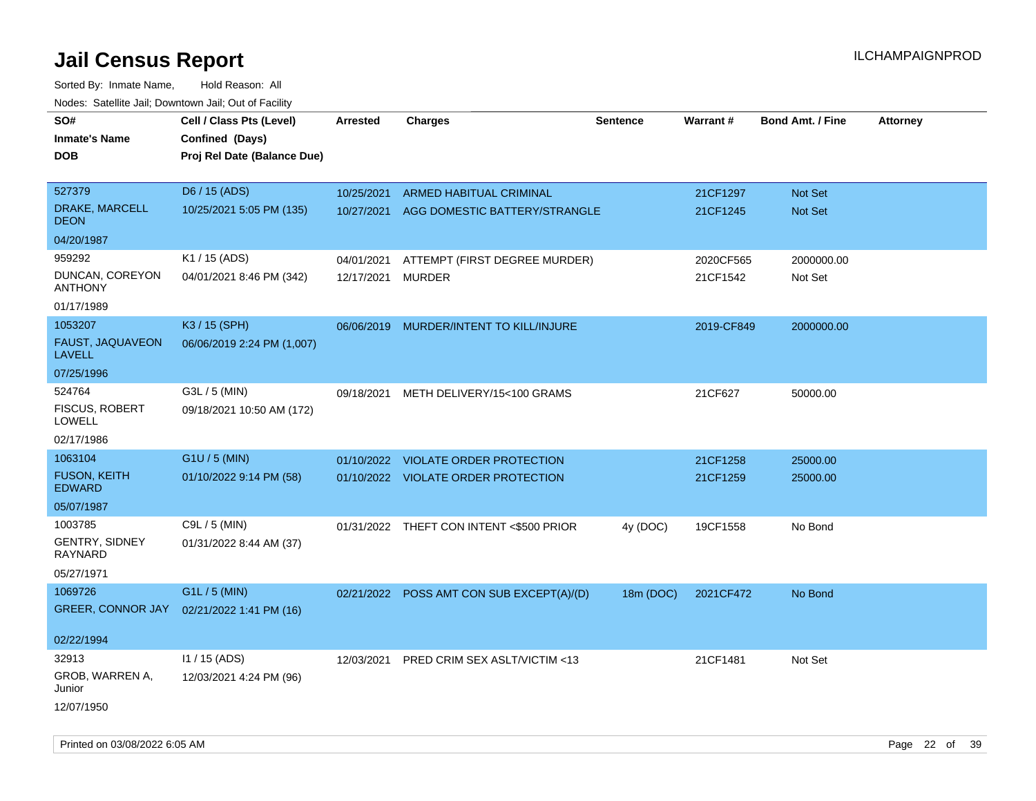| SO#                                         | Cell / Class Pts (Level)                       | <b>Arrested</b>   | <b>Charges</b>                            | <b>Sentence</b> | Warrant#   | <b>Bond Amt. / Fine</b> | <b>Attorney</b> |
|---------------------------------------------|------------------------------------------------|-------------------|-------------------------------------------|-----------------|------------|-------------------------|-----------------|
| <b>Inmate's Name</b><br><b>DOB</b>          | Confined (Days)<br>Proj Rel Date (Balance Due) |                   |                                           |                 |            |                         |                 |
| 527379                                      | D6 / 15 (ADS)                                  | 10/25/2021        | <b>ARMED HABITUAL CRIMINAL</b>            |                 | 21CF1297   | <b>Not Set</b>          |                 |
| DRAKE, MARCELL<br><b>DEON</b>               | 10/25/2021 5:05 PM (135)                       | 10/27/2021        | AGG DOMESTIC BATTERY/STRANGLE             |                 | 21CF1245   | <b>Not Set</b>          |                 |
| 04/20/1987                                  |                                                |                   |                                           |                 |            |                         |                 |
| 959292                                      | K1 / 15 (ADS)                                  | 04/01/2021        | ATTEMPT (FIRST DEGREE MURDER)             |                 | 2020CF565  | 2000000.00              |                 |
| DUNCAN, COREYON<br><b>ANTHONY</b>           | 04/01/2021 8:46 PM (342)                       | 12/17/2021 MURDER |                                           |                 | 21CF1542   | Not Set                 |                 |
| 01/17/1989                                  |                                                |                   |                                           |                 |            |                         |                 |
| 1053207                                     | K3 / 15 (SPH)                                  | 06/06/2019        | MURDER/INTENT TO KILL/INJURE              |                 | 2019-CF849 | 2000000.00              |                 |
| FAUST, JAQUAVEON<br><b>LAVELL</b>           | 06/06/2019 2:24 PM (1,007)                     |                   |                                           |                 |            |                         |                 |
| 07/25/1996                                  |                                                |                   |                                           |                 |            |                         |                 |
| 524764<br><b>FISCUS, ROBERT</b><br>LOWELL   | G3L / 5 (MIN)<br>09/18/2021 10:50 AM (172)     | 09/18/2021        | METH DELIVERY/15<100 GRAMS                |                 | 21CF627    | 50000.00                |                 |
| 02/17/1986                                  |                                                |                   |                                           |                 |            |                         |                 |
| 1063104                                     | G1U / 5 (MIN)                                  |                   | 01/10/2022 VIOLATE ORDER PROTECTION       |                 | 21CF1258   | 25000.00                |                 |
| <b>FUSON, KEITH</b><br><b>EDWARD</b>        | 01/10/2022 9:14 PM (58)                        |                   | 01/10/2022 VIOLATE ORDER PROTECTION       |                 | 21CF1259   | 25000.00                |                 |
| 05/07/1987                                  |                                                |                   |                                           |                 |            |                         |                 |
| 1003785<br>GENTRY, SIDNEY<br><b>RAYNARD</b> | C9L / 5 (MIN)<br>01/31/2022 8:44 AM (37)       |                   | 01/31/2022 THEFT CON INTENT <\$500 PRIOR  | 4y (DOC)        | 19CF1558   | No Bond                 |                 |
| 05/27/1971                                  |                                                |                   |                                           |                 |            |                         |                 |
| 1069726                                     | G1L / 5 (MIN)                                  |                   | 02/21/2022 POSS AMT CON SUB EXCEPT(A)/(D) | 18m (DOC)       | 2021CF472  | No Bond                 |                 |
| GREER, CONNOR JAY                           | 02/21/2022 1:41 PM (16)                        |                   |                                           |                 |            |                         |                 |
| 02/22/1994                                  |                                                |                   |                                           |                 |            |                         |                 |
| 32913                                       | I1 / 15 (ADS)                                  | 12/03/2021        | PRED CRIM SEX ASLT/VICTIM <13             |                 | 21CF1481   | Not Set                 |                 |
| GROB, WARREN A,<br>Junior                   | 12/03/2021 4:24 PM (96)                        |                   |                                           |                 |            |                         |                 |
| 12/07/1950                                  |                                                |                   |                                           |                 |            |                         |                 |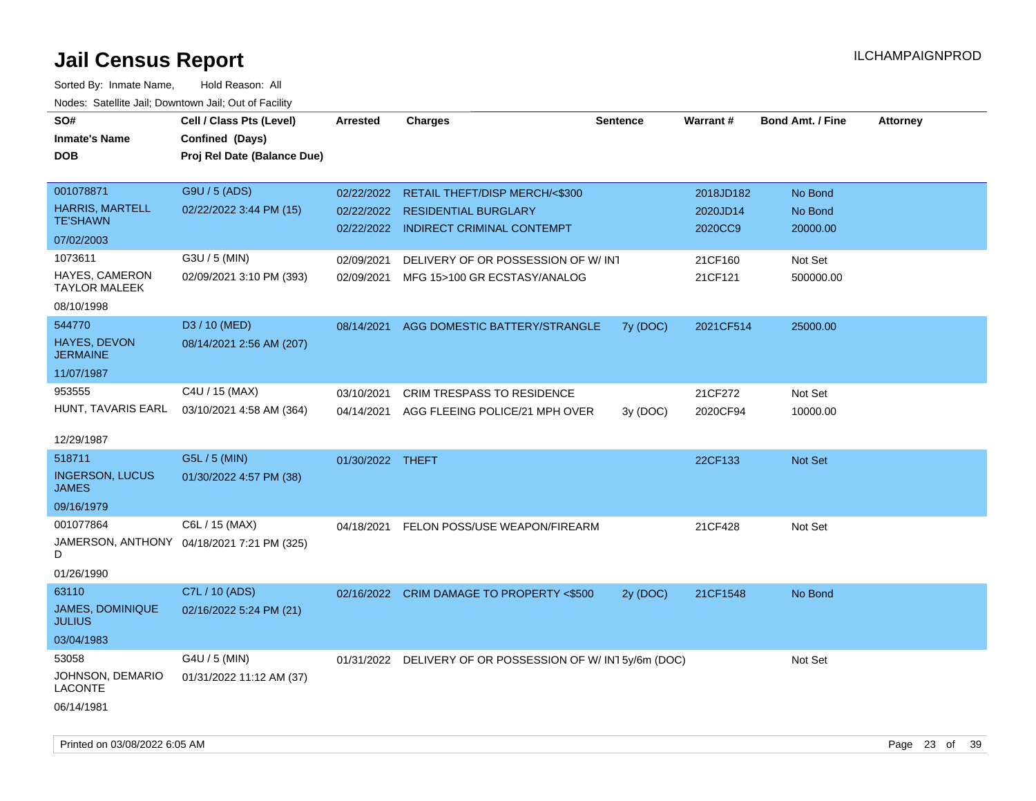| rougs. Calcing Jan, Downtown Jan, Out of Facinty |                                            |                  |                                                            |                 |           |                         |                 |
|--------------------------------------------------|--------------------------------------------|------------------|------------------------------------------------------------|-----------------|-----------|-------------------------|-----------------|
| SO#                                              | Cell / Class Pts (Level)                   | <b>Arrested</b>  | <b>Charges</b>                                             | <b>Sentence</b> | Warrant#  | <b>Bond Amt. / Fine</b> | <b>Attorney</b> |
| <b>Inmate's Name</b>                             | Confined (Days)                            |                  |                                                            |                 |           |                         |                 |
| <b>DOB</b>                                       | Proj Rel Date (Balance Due)                |                  |                                                            |                 |           |                         |                 |
|                                                  |                                            |                  |                                                            |                 |           |                         |                 |
| 001078871                                        | G9U / 5 (ADS)                              | 02/22/2022       | RETAIL THEFT/DISP MERCH/<\$300                             |                 | 2018JD182 | No Bond                 |                 |
| <b>HARRIS, MARTELL</b>                           | 02/22/2022 3:44 PM (15)                    | 02/22/2022       | <b>RESIDENTIAL BURGLARY</b>                                |                 | 2020JD14  | No Bond                 |                 |
| <b>TE'SHAWN</b>                                  |                                            |                  | 02/22/2022 INDIRECT CRIMINAL CONTEMPT                      |                 | 2020CC9   | 20000.00                |                 |
| 07/02/2003                                       |                                            |                  |                                                            |                 |           |                         |                 |
| 1073611                                          | G3U / 5 (MIN)                              | 02/09/2021       | DELIVERY OF OR POSSESSION OF W/ INT                        |                 | 21CF160   | Not Set                 |                 |
| HAYES, CAMERON<br><b>TAYLOR MALEEK</b>           | 02/09/2021 3:10 PM (393)                   | 02/09/2021       | MFG 15>100 GR ECSTASY/ANALOG                               |                 | 21CF121   | 500000.00               |                 |
| 08/10/1998                                       |                                            |                  |                                                            |                 |           |                         |                 |
| 544770                                           | D3 / 10 (MED)                              | 08/14/2021       | AGG DOMESTIC BATTERY/STRANGLE                              | 7y (DOC)        | 2021CF514 | 25000.00                |                 |
| <b>HAYES, DEVON</b><br><b>JERMAINE</b>           | 08/14/2021 2:56 AM (207)                   |                  |                                                            |                 |           |                         |                 |
| 11/07/1987                                       |                                            |                  |                                                            |                 |           |                         |                 |
| 953555                                           | C4U / 15 (MAX)                             | 03/10/2021       | <b>CRIM TRESPASS TO RESIDENCE</b>                          |                 | 21CF272   | Not Set                 |                 |
| HUNT, TAVARIS EARL                               | 03/10/2021 4:58 AM (364)                   | 04/14/2021       | AGG FLEEING POLICE/21 MPH OVER                             | 3y (DOC)        | 2020CF94  | 10000.00                |                 |
|                                                  |                                            |                  |                                                            |                 |           |                         |                 |
| 12/29/1987                                       |                                            |                  |                                                            |                 |           |                         |                 |
| 518711                                           | G5L / 5 (MIN)                              | 01/30/2022 THEFT |                                                            |                 | 22CF133   | Not Set                 |                 |
| <b>INGERSON, LUCUS</b><br><b>JAMES</b>           | 01/30/2022 4:57 PM (38)                    |                  |                                                            |                 |           |                         |                 |
| 09/16/1979                                       |                                            |                  |                                                            |                 |           |                         |                 |
| 001077864                                        | C6L / 15 (MAX)                             | 04/18/2021       | FELON POSS/USE WEAPON/FIREARM                              |                 | 21CF428   | Not Set                 |                 |
| D                                                | JAMERSON, ANTHONY 04/18/2021 7:21 PM (325) |                  |                                                            |                 |           |                         |                 |
| 01/26/1990                                       |                                            |                  |                                                            |                 |           |                         |                 |
| 63110                                            | C7L / 10 (ADS)                             |                  | 02/16/2022 CRIM DAMAGE TO PROPERTY <\$500                  | 2y (DOC)        | 21CF1548  | No Bond                 |                 |
| JAMES, DOMINIQUE<br><b>JULIUS</b>                | 02/16/2022 5:24 PM (21)                    |                  |                                                            |                 |           |                         |                 |
| 03/04/1983                                       |                                            |                  |                                                            |                 |           |                         |                 |
| 53058                                            | G4U / 5 (MIN)                              |                  | 01/31/2022 DELIVERY OF OR POSSESSION OF W/ IN1 5y/6m (DOC) |                 |           | Not Set                 |                 |
| JOHNSON, DEMARIO<br>LACONTE                      | 01/31/2022 11:12 AM (37)                   |                  |                                                            |                 |           |                         |                 |
| 06/14/1981                                       |                                            |                  |                                                            |                 |           |                         |                 |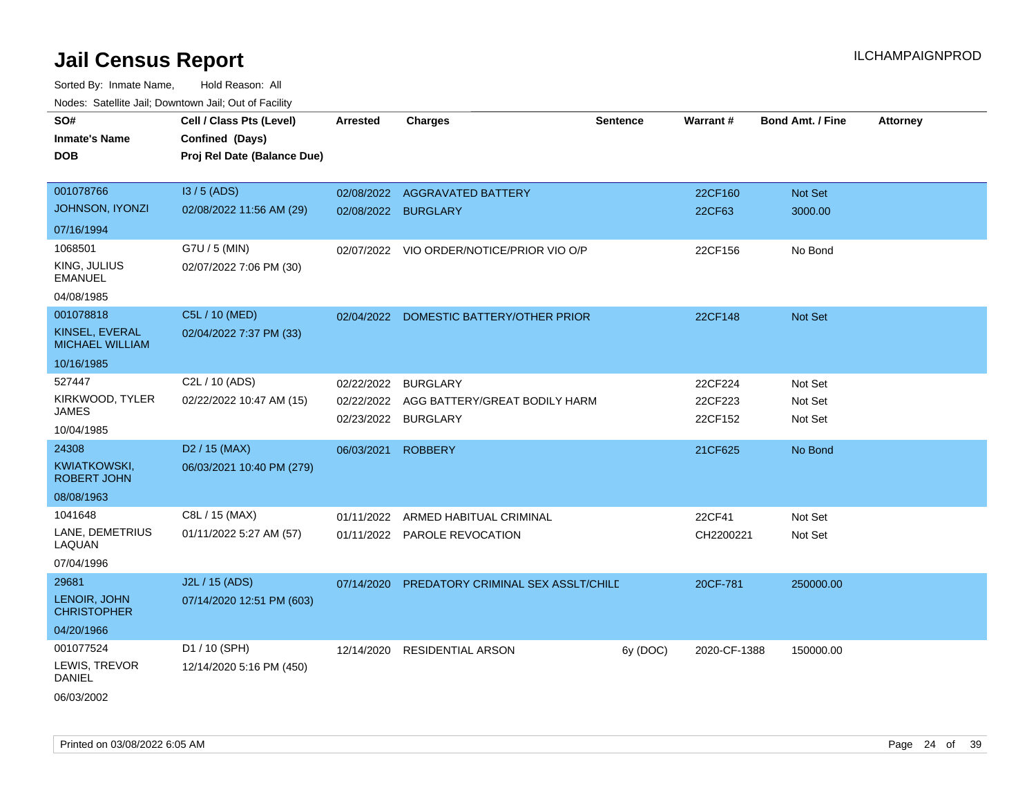Sorted By: Inmate Name, Hold Reason: All Nodes: Satellite Jail; Downtown Jail; Out of Facility

| SO#                                       | Cell / Class Pts (Level)    | <b>Arrested</b>     | <b>Charges</b>                            | <b>Sentence</b> | <b>Warrant#</b> | <b>Bond Amt. / Fine</b> | <b>Attorney</b> |
|-------------------------------------------|-----------------------------|---------------------|-------------------------------------------|-----------------|-----------------|-------------------------|-----------------|
| <b>Inmate's Name</b>                      | Confined (Days)             |                     |                                           |                 |                 |                         |                 |
| <b>DOB</b>                                | Proj Rel Date (Balance Due) |                     |                                           |                 |                 |                         |                 |
|                                           |                             |                     |                                           |                 |                 |                         |                 |
| 001078766                                 | I3 / 5 (ADS)                |                     | 02/08/2022 AGGRAVATED BATTERY             |                 | 22CF160         | <b>Not Set</b>          |                 |
| <b>JOHNSON, IYONZI</b>                    | 02/08/2022 11:56 AM (29)    | 02/08/2022 BURGLARY |                                           |                 | 22CF63          | 3000.00                 |                 |
| 07/16/1994                                |                             |                     |                                           |                 |                 |                         |                 |
| 1068501                                   | G7U / 5 (MIN)               |                     | 02/07/2022 VIO ORDER/NOTICE/PRIOR VIO O/P |                 | 22CF156         | No Bond                 |                 |
| KING, JULIUS<br><b>EMANUEL</b>            | 02/07/2022 7:06 PM (30)     |                     |                                           |                 |                 |                         |                 |
| 04/08/1985                                |                             |                     |                                           |                 |                 |                         |                 |
| 001078818                                 | C5L / 10 (MED)              |                     | 02/04/2022 DOMESTIC BATTERY/OTHER PRIOR   |                 | 22CF148         | <b>Not Set</b>          |                 |
| KINSEL, EVERAL<br><b>MICHAEL WILLIAM</b>  | 02/04/2022 7:37 PM (33)     |                     |                                           |                 |                 |                         |                 |
| 10/16/1985                                |                             |                     |                                           |                 |                 |                         |                 |
| 527447                                    | C <sub>2</sub> L / 10 (ADS) | 02/22/2022          | <b>BURGLARY</b>                           |                 | 22CF224         | Not Set                 |                 |
| KIRKWOOD, TYLER<br>JAMES                  | 02/22/2022 10:47 AM (15)    | 02/22/2022          | AGG BATTERY/GREAT BODILY HARM             |                 | 22CF223         | Not Set                 |                 |
| 10/04/1985                                |                             | 02/23/2022          | <b>BURGLARY</b>                           |                 | 22CF152         | Not Set                 |                 |
| 24308                                     | D <sub>2</sub> / 15 (MAX)   | 06/03/2021          | <b>ROBBERY</b>                            |                 | 21CF625         | No Bond                 |                 |
| <b>KWIATKOWSKI,</b><br><b>ROBERT JOHN</b> | 06/03/2021 10:40 PM (279)   |                     |                                           |                 |                 |                         |                 |
| 08/08/1963                                |                             |                     |                                           |                 |                 |                         |                 |
| 1041648                                   | C8L / 15 (MAX)              | 01/11/2022          | ARMED HABITUAL CRIMINAL                   |                 | 22CF41          | Not Set                 |                 |
| LANE, DEMETRIUS<br>LAQUAN                 | 01/11/2022 5:27 AM (57)     |                     | 01/11/2022 PAROLE REVOCATION              |                 | CH2200221       | Not Set                 |                 |
| 07/04/1996                                |                             |                     |                                           |                 |                 |                         |                 |
| 29681                                     | J2L / 15 (ADS)              | 07/14/2020          | PREDATORY CRIMINAL SEX ASSLT/CHILD        |                 | 20CF-781        | 250000.00               |                 |
| LENOIR, JOHN<br><b>CHRISTOPHER</b>        | 07/14/2020 12:51 PM (603)   |                     |                                           |                 |                 |                         |                 |
| 04/20/1966                                |                             |                     |                                           |                 |                 |                         |                 |
| 001077524                                 | D1 / 10 (SPH)               | 12/14/2020          | <b>RESIDENTIAL ARSON</b>                  | 6y (DOC)        | 2020-CF-1388    | 150000.00               |                 |
| LEWIS, TREVOR<br><b>DANIEL</b>            | 12/14/2020 5:16 PM (450)    |                     |                                           |                 |                 |                         |                 |
| ---------                                 |                             |                     |                                           |                 |                 |                         |                 |

06/03/2002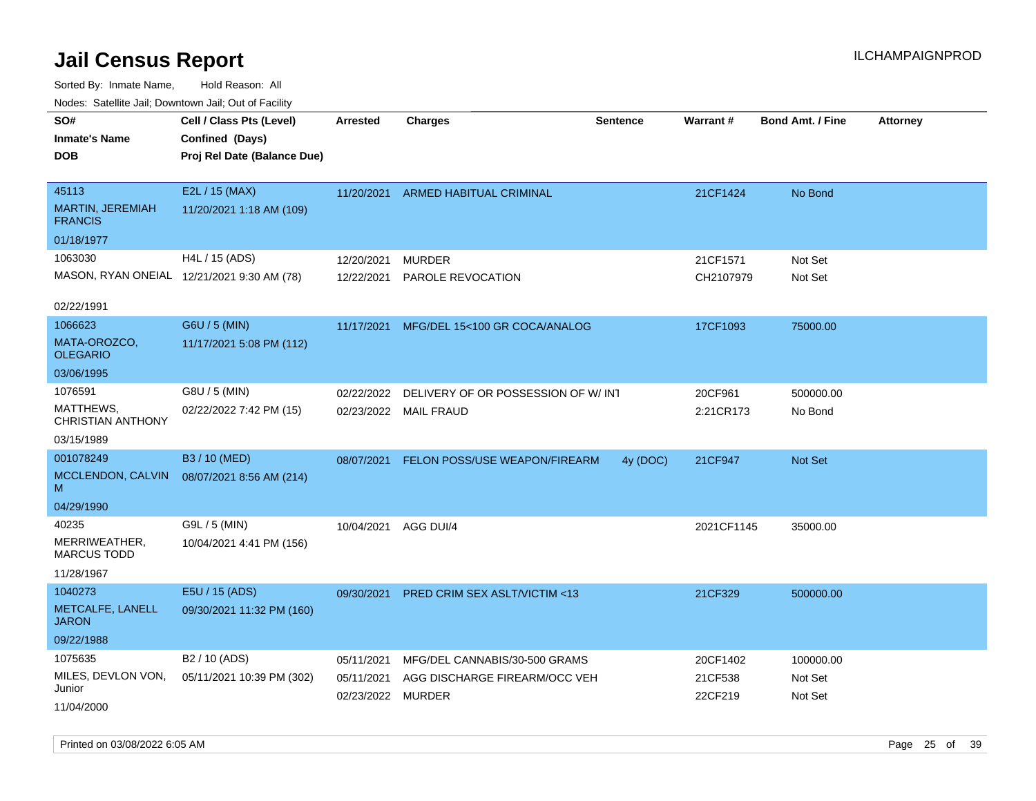| ivouss. Satellite Jali, Downtown Jali, Out of Facility |                                            |                   |                                          |          |            |                         |                 |
|--------------------------------------------------------|--------------------------------------------|-------------------|------------------------------------------|----------|------------|-------------------------|-----------------|
| SO#                                                    | Cell / Class Pts (Level)                   | Arrested          | <b>Charges</b>                           | Sentence | Warrant#   | <b>Bond Amt. / Fine</b> | <b>Attorney</b> |
| <b>Inmate's Name</b>                                   | Confined (Days)                            |                   |                                          |          |            |                         |                 |
| <b>DOB</b>                                             | Proj Rel Date (Balance Due)                |                   |                                          |          |            |                         |                 |
|                                                        |                                            |                   |                                          |          |            |                         |                 |
| 45113                                                  | E2L / 15 (MAX)                             | 11/20/2021        | ARMED HABITUAL CRIMINAL                  |          | 21CF1424   | No Bond                 |                 |
| <b>MARTIN, JEREMIAH</b><br><b>FRANCIS</b>              | 11/20/2021 1:18 AM (109)                   |                   |                                          |          |            |                         |                 |
| 01/18/1977                                             |                                            |                   |                                          |          |            |                         |                 |
| 1063030                                                | H4L / 15 (ADS)                             | 12/20/2021        | <b>MURDER</b>                            |          | 21CF1571   | Not Set                 |                 |
|                                                        | MASON, RYAN ONEIAL 12/21/2021 9:30 AM (78) | 12/22/2021        | PAROLE REVOCATION                        |          | CH2107979  | Not Set                 |                 |
|                                                        |                                            |                   |                                          |          |            |                         |                 |
| 02/22/1991                                             |                                            |                   |                                          |          |            |                         |                 |
| 1066623                                                | G6U / 5 (MIN)                              |                   | 11/17/2021 MFG/DEL 15<100 GR COCA/ANALOG |          | 17CF1093   | 75000.00                |                 |
| MATA-OROZCO,<br><b>OLEGARIO</b>                        | 11/17/2021 5:08 PM (112)                   |                   |                                          |          |            |                         |                 |
| 03/06/1995                                             |                                            |                   |                                          |          |            |                         |                 |
| 1076591                                                | G8U / 5 (MIN)                              | 02/22/2022        | DELIVERY OF OR POSSESSION OF W/INT       |          | 20CF961    | 500000.00               |                 |
| MATTHEWS,<br><b>CHRISTIAN ANTHONY</b>                  | 02/22/2022 7:42 PM (15)                    | 02/23/2022        | MAIL FRAUD                               |          | 2:21CR173  | No Bond                 |                 |
| 03/15/1989                                             |                                            |                   |                                          |          |            |                         |                 |
| 001078249                                              | B3 / 10 (MED)                              | 08/07/2021        | <b>FELON POSS/USE WEAPON/FIREARM</b>     | 4y (DOC) | 21CF947    | <b>Not Set</b>          |                 |
| MCCLENDON, CALVIN<br>м                                 | 08/07/2021 8:56 AM (214)                   |                   |                                          |          |            |                         |                 |
| 04/29/1990                                             |                                            |                   |                                          |          |            |                         |                 |
| 40235                                                  | G9L / 5 (MIN)                              | 10/04/2021        | AGG DUI/4                                |          | 2021CF1145 | 35000.00                |                 |
| MERRIWEATHER,<br><b>MARCUS TODD</b>                    | 10/04/2021 4:41 PM (156)                   |                   |                                          |          |            |                         |                 |
| 11/28/1967                                             |                                            |                   |                                          |          |            |                         |                 |
| 1040273                                                | E5U / 15 (ADS)                             | 09/30/2021        | PRED CRIM SEX ASLT/VICTIM <13            |          | 21CF329    | 500000.00               |                 |
| METCALFE, LANELL<br><b>JARON</b>                       | 09/30/2021 11:32 PM (160)                  |                   |                                          |          |            |                         |                 |
| 09/22/1988                                             |                                            |                   |                                          |          |            |                         |                 |
| 1075635                                                | B <sub>2</sub> / 10 (ADS)                  | 05/11/2021        | MFG/DEL CANNABIS/30-500 GRAMS            |          | 20CF1402   | 100000.00               |                 |
| MILES, DEVLON VON,                                     | 05/11/2021 10:39 PM (302)                  | 05/11/2021        | AGG DISCHARGE FIREARM/OCC VEH            |          | 21CF538    | Not Set                 |                 |
| Junior                                                 |                                            | 02/23/2022 MURDER |                                          |          | 22CF219    | Not Set                 |                 |
| 11/04/2000                                             |                                            |                   |                                          |          |            |                         |                 |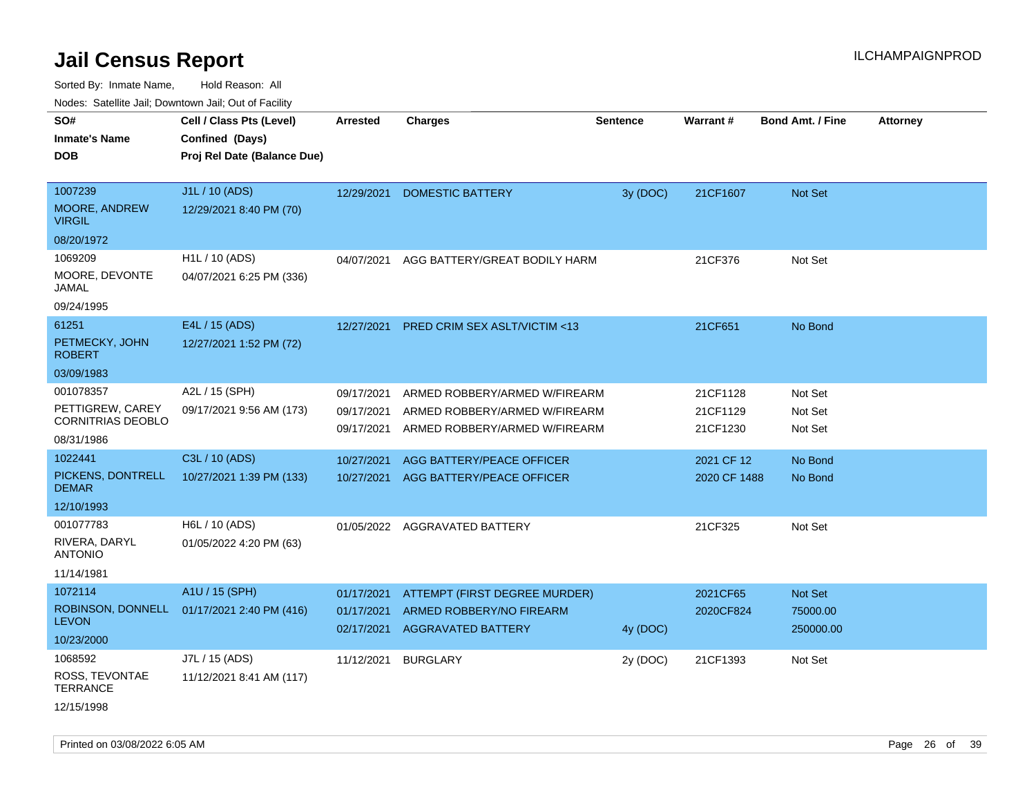| Nodes: Satellite Jail; Downtown Jail; Out of Facility<br>SO# | Cell / Class Pts (Level)    | <b>Arrested</b> | <b>Charges</b>                          | <b>Sentence</b> | <b>Warrant#</b> | <b>Bond Amt. / Fine</b> | <b>Attorney</b> |
|--------------------------------------------------------------|-----------------------------|-----------------|-----------------------------------------|-----------------|-----------------|-------------------------|-----------------|
| <b>Inmate's Name</b>                                         | Confined (Days)             |                 |                                         |                 |                 |                         |                 |
| <b>DOB</b>                                                   | Proj Rel Date (Balance Due) |                 |                                         |                 |                 |                         |                 |
|                                                              |                             |                 |                                         |                 |                 |                         |                 |
| 1007239                                                      | J1L / 10 (ADS)              | 12/29/2021      | <b>DOMESTIC BATTERY</b>                 | 3y (DOC)        | 21CF1607        | Not Set                 |                 |
| <b>MOORE, ANDREW</b><br><b>VIRGIL</b>                        | 12/29/2021 8:40 PM (70)     |                 |                                         |                 |                 |                         |                 |
| 08/20/1972                                                   |                             |                 |                                         |                 |                 |                         |                 |
| 1069209                                                      | H1L / 10 (ADS)              | 04/07/2021      | AGG BATTERY/GREAT BODILY HARM           |                 | 21CF376         | Not Set                 |                 |
| MOORE, DEVONTE<br><b>JAMAL</b>                               | 04/07/2021 6:25 PM (336)    |                 |                                         |                 |                 |                         |                 |
| 09/24/1995                                                   |                             |                 |                                         |                 |                 |                         |                 |
| 61251                                                        | E4L / 15 (ADS)              | 12/27/2021      | <b>PRED CRIM SEX ASLT/VICTIM &lt;13</b> |                 | 21CF651         | No Bond                 |                 |
| PETMECKY, JOHN<br><b>ROBERT</b>                              | 12/27/2021 1:52 PM (72)     |                 |                                         |                 |                 |                         |                 |
| 03/09/1983                                                   |                             |                 |                                         |                 |                 |                         |                 |
| 001078357                                                    | A2L / 15 (SPH)              | 09/17/2021      | ARMED ROBBERY/ARMED W/FIREARM           |                 | 21CF1128        | Not Set                 |                 |
| PETTIGREW, CAREY                                             | 09/17/2021 9:56 AM (173)    | 09/17/2021      | ARMED ROBBERY/ARMED W/FIREARM           |                 | 21CF1129        | Not Set                 |                 |
| <b>CORNITRIAS DEOBLO</b>                                     |                             | 09/17/2021      | ARMED ROBBERY/ARMED W/FIREARM           |                 | 21CF1230        | Not Set                 |                 |
| 08/31/1986<br>1022441                                        | C3L / 10 (ADS)              |                 |                                         |                 |                 |                         |                 |
| PICKENS, DONTRELL                                            |                             | 10/27/2021      | AGG BATTERY/PEACE OFFICER               |                 | 2021 CF 12      | No Bond                 |                 |
| <b>DEMAR</b>                                                 | 10/27/2021 1:39 PM (133)    | 10/27/2021      | AGG BATTERY/PEACE OFFICER               |                 | 2020 CF 1488    | No Bond                 |                 |
| 12/10/1993                                                   |                             |                 |                                         |                 |                 |                         |                 |
| 001077783                                                    | H6L / 10 (ADS)              |                 | 01/05/2022 AGGRAVATED BATTERY           |                 | 21CF325         | Not Set                 |                 |
| RIVERA, DARYL<br><b>ANTONIO</b>                              | 01/05/2022 4:20 PM (63)     |                 |                                         |                 |                 |                         |                 |
| 11/14/1981                                                   |                             |                 |                                         |                 |                 |                         |                 |
| 1072114                                                      | A1U / 15 (SPH)              | 01/17/2021      | <b>ATTEMPT (FIRST DEGREE MURDER)</b>    |                 | 2021CF65        | Not Set                 |                 |
| ROBINSON, DONNELL<br><b>LEVON</b>                            | 01/17/2021 2:40 PM (416)    | 01/17/2021      | ARMED ROBBERY/NO FIREARM                |                 | 2020CF824       | 75000.00                |                 |
| 10/23/2000                                                   |                             | 02/17/2021      | AGGRAVATED BATTERY                      | 4y (DOC)        |                 | 250000.00               |                 |
| 1068592                                                      | J7L / 15 (ADS)              |                 |                                         |                 |                 |                         |                 |
| ROSS, TEVONTAE                                               | 11/12/2021 8:41 AM (117)    | 11/12/2021      | <b>BURGLARY</b>                         | 2y (DOC)        | 21CF1393        | Not Set                 |                 |
| <b>TERRANCE</b>                                              |                             |                 |                                         |                 |                 |                         |                 |
| 12/15/1998                                                   |                             |                 |                                         |                 |                 |                         |                 |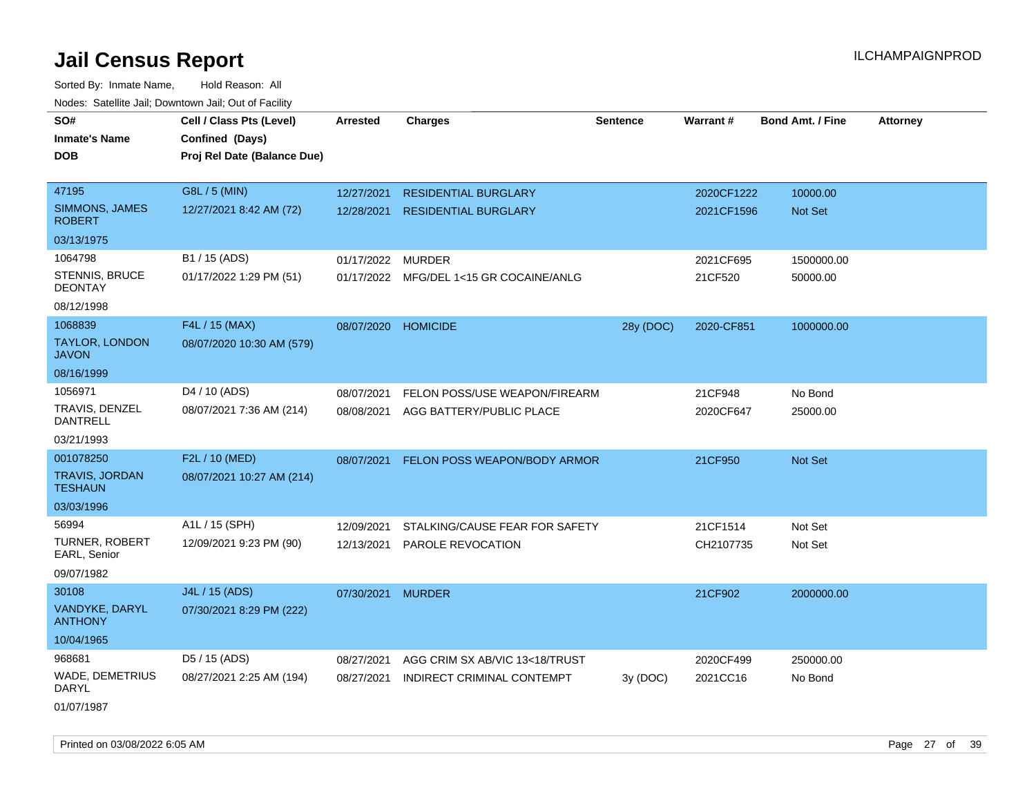Sorted By: Inmate Name, Hold Reason: All Nodes: Satellite Jail; Downtown Jail; Out of Facility

| rougs. Calcing Jan, Downtown Jan, Out of Facinty |                                                                            |                   |                                         |                 |                 |                         |                 |
|--------------------------------------------------|----------------------------------------------------------------------------|-------------------|-----------------------------------------|-----------------|-----------------|-------------------------|-----------------|
| SO#<br><b>Inmate's Name</b><br><b>DOB</b>        | Cell / Class Pts (Level)<br>Confined (Days)<br>Proj Rel Date (Balance Due) | <b>Arrested</b>   | <b>Charges</b>                          | <b>Sentence</b> | <b>Warrant#</b> | <b>Bond Amt. / Fine</b> | <b>Attorney</b> |
| 47195                                            | G8L / 5 (MIN)                                                              | 12/27/2021        | <b>RESIDENTIAL BURGLARY</b>             |                 | 2020CF1222      | 10000.00                |                 |
| <b>SIMMONS, JAMES</b><br><b>ROBERT</b>           | 12/27/2021 8:42 AM (72)                                                    | 12/28/2021        | <b>RESIDENTIAL BURGLARY</b>             |                 | 2021CF1596      | Not Set                 |                 |
| 03/13/1975                                       |                                                                            |                   |                                         |                 |                 |                         |                 |
| 1064798                                          | B1 / 15 (ADS)                                                              | 01/17/2022 MURDER |                                         |                 | 2021CF695       | 1500000.00              |                 |
| <b>STENNIS, BRUCE</b><br><b>DEONTAY</b>          | 01/17/2022 1:29 PM (51)                                                    |                   | 01/17/2022 MFG/DEL 1<15 GR COCAINE/ANLG |                 | 21CF520         | 50000.00                |                 |
| 08/12/1998                                       |                                                                            |                   |                                         |                 |                 |                         |                 |
| 1068839                                          | F4L / 15 (MAX)                                                             | 08/07/2020        | <b>HOMICIDE</b>                         | 28y (DOC)       | 2020-CF851      | 1000000.00              |                 |
| <b>TAYLOR, LONDON</b><br><b>JAVON</b>            | 08/07/2020 10:30 AM (579)                                                  |                   |                                         |                 |                 |                         |                 |
| 08/16/1999                                       |                                                                            |                   |                                         |                 |                 |                         |                 |
| 1056971                                          | D4 / 10 (ADS)                                                              | 08/07/2021        | FELON POSS/USE WEAPON/FIREARM           |                 | 21CF948         | No Bond                 |                 |
| TRAVIS, DENZEL<br>DANTRELL                       | 08/07/2021 7:36 AM (214)                                                   | 08/08/2021        | AGG BATTERY/PUBLIC PLACE                |                 | 2020CF647       | 25000.00                |                 |
| 03/21/1993                                       |                                                                            |                   |                                         |                 |                 |                         |                 |
| 001078250                                        | F2L / 10 (MED)                                                             | 08/07/2021        | FELON POSS WEAPON/BODY ARMOR            |                 | 21CF950         | Not Set                 |                 |
| <b>TRAVIS, JORDAN</b><br><b>TESHAUN</b>          | 08/07/2021 10:27 AM (214)                                                  |                   |                                         |                 |                 |                         |                 |
| 03/03/1996                                       |                                                                            |                   |                                         |                 |                 |                         |                 |
| 56994                                            | A1L / 15 (SPH)                                                             | 12/09/2021        | STALKING/CAUSE FEAR FOR SAFETY          |                 | 21CF1514        | Not Set                 |                 |
| <b>TURNER, ROBERT</b><br>EARL, Senior            | 12/09/2021 9:23 PM (90)                                                    | 12/13/2021        | PAROLE REVOCATION                       |                 | CH2107735       | Not Set                 |                 |
| 09/07/1982                                       |                                                                            |                   |                                         |                 |                 |                         |                 |
| 30108                                            | J4L / 15 (ADS)                                                             | 07/30/2021        | <b>MURDER</b>                           |                 | 21CF902         | 2000000.00              |                 |
| VANDYKE, DARYL<br><b>ANTHONY</b>                 | 07/30/2021 8:29 PM (222)                                                   |                   |                                         |                 |                 |                         |                 |
| 10/04/1965                                       |                                                                            |                   |                                         |                 |                 |                         |                 |
| 968681                                           | D5 / 15 (ADS)                                                              | 08/27/2021        | AGG CRIM SX AB/VIC 13<18/TRUST          |                 | 2020CF499       | 250000.00               |                 |
| <b>WADE, DEMETRIUS</b><br>DARYL                  | 08/27/2021 2:25 AM (194)                                                   | 08/27/2021        | INDIRECT CRIMINAL CONTEMPT              | 3y(DOC)         | 2021CC16        | No Bond                 |                 |
| $0.10 - 1100 - 1$                                |                                                                            |                   |                                         |                 |                 |                         |                 |

01/07/1987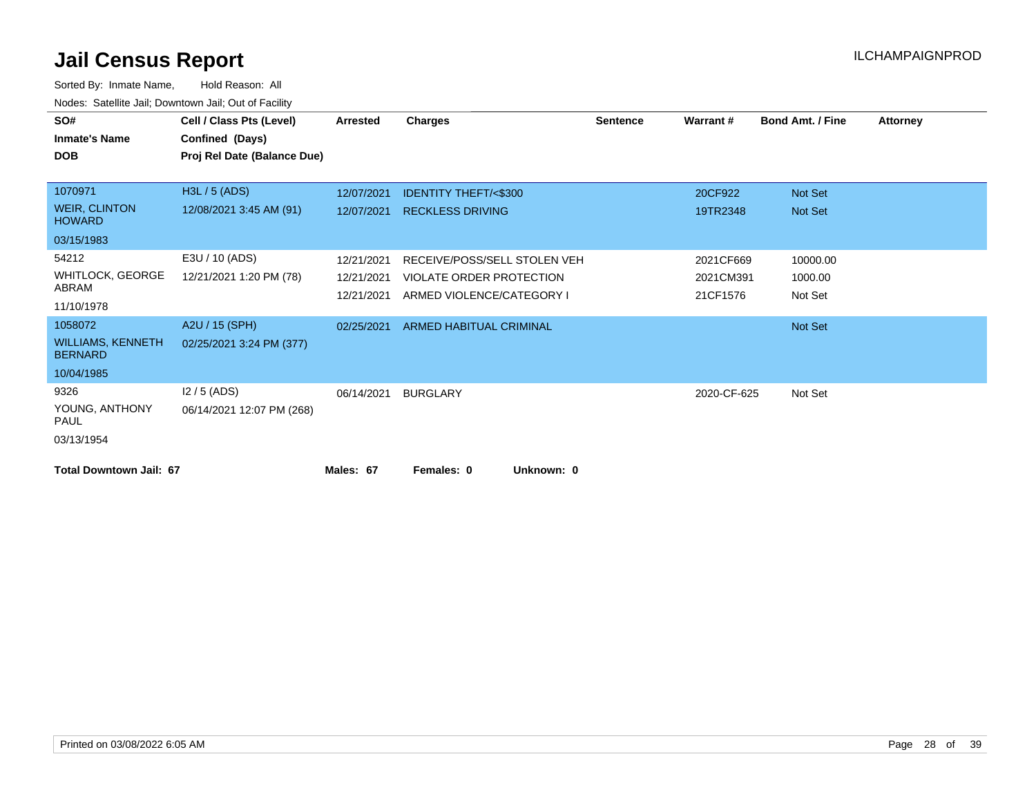| SO#                                        | Cell / Class Pts (Level)    | <b>Arrested</b> | <b>Charges</b>                  | <b>Sentence</b> | Warrant#    | <b>Bond Amt. / Fine</b> | <b>Attorney</b> |
|--------------------------------------------|-----------------------------|-----------------|---------------------------------|-----------------|-------------|-------------------------|-----------------|
| <b>Inmate's Name</b>                       | Confined (Days)             |                 |                                 |                 |             |                         |                 |
| <b>DOB</b>                                 | Proj Rel Date (Balance Due) |                 |                                 |                 |             |                         |                 |
|                                            |                             |                 |                                 |                 |             |                         |                 |
| 1070971                                    | H3L / 5 (ADS)               | 12/07/2021      | <b>IDENTITY THEFT/&lt;\$300</b> |                 | 20CF922     | Not Set                 |                 |
| <b>WEIR, CLINTON</b><br><b>HOWARD</b>      | 12/08/2021 3:45 AM (91)     | 12/07/2021      | <b>RECKLESS DRIVING</b>         |                 | 19TR2348    | Not Set                 |                 |
| 03/15/1983                                 |                             |                 |                                 |                 |             |                         |                 |
| 54212                                      | E3U / 10 (ADS)              | 12/21/2021      | RECEIVE/POSS/SELL STOLEN VEH    |                 | 2021CF669   | 10000.00                |                 |
| <b>WHITLOCK, GEORGE</b>                    | 12/21/2021 1:20 PM (78)     | 12/21/2021      | VIOLATE ORDER PROTECTION        |                 | 2021CM391   | 1000.00                 |                 |
| ABRAM                                      |                             | 12/21/2021      | ARMED VIOLENCE/CATEGORY I       |                 | 21CF1576    | Not Set                 |                 |
| 11/10/1978                                 |                             |                 |                                 |                 |             |                         |                 |
| 1058072                                    | A2U / 15 (SPH)              | 02/25/2021      | ARMED HABITUAL CRIMINAL         |                 |             | Not Set                 |                 |
| <b>WILLIAMS, KENNETH</b><br><b>BERNARD</b> | 02/25/2021 3:24 PM (377)    |                 |                                 |                 |             |                         |                 |
| 10/04/1985                                 |                             |                 |                                 |                 |             |                         |                 |
| 9326                                       | $12/5$ (ADS)                | 06/14/2021      | <b>BURGLARY</b>                 |                 | 2020-CF-625 | Not Set                 |                 |
| YOUNG, ANTHONY<br><b>PAUL</b>              | 06/14/2021 12:07 PM (268)   |                 |                                 |                 |             |                         |                 |
| 03/13/1954                                 |                             |                 |                                 |                 |             |                         |                 |
| <b>Total Downtown Jail: 67</b>             |                             | Males: 67       | Females: 0<br>Unknown: 0        |                 |             |                         |                 |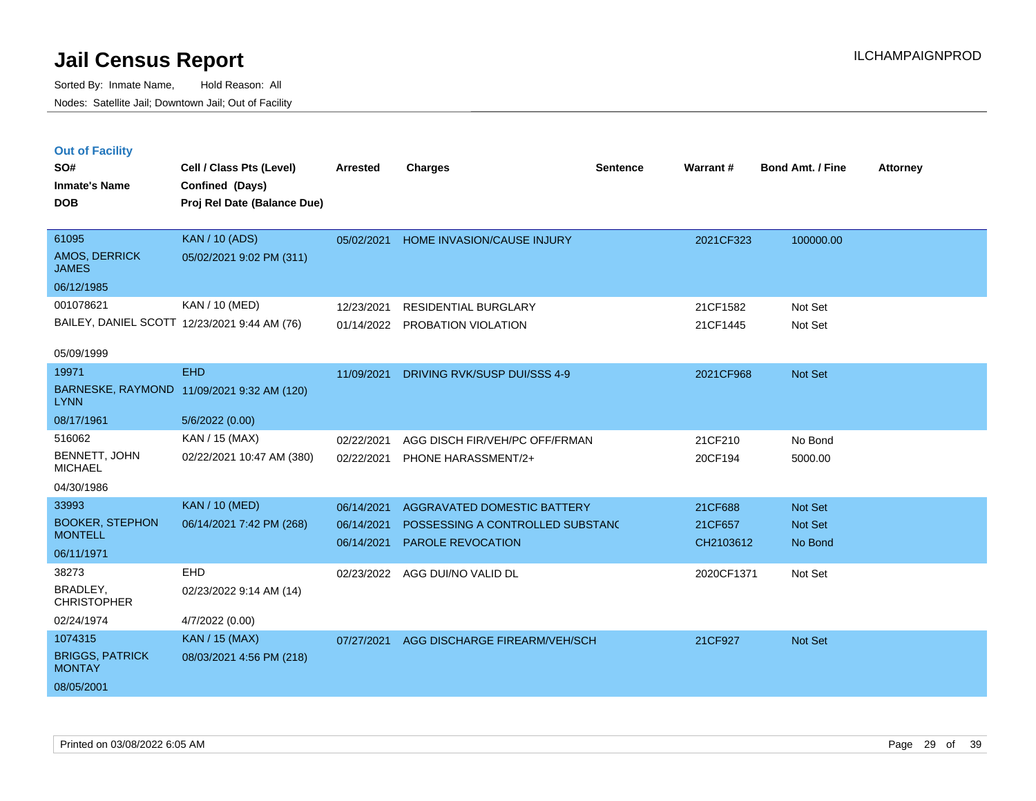|  | <b>Out of Facility</b> |  |
|--|------------------------|--|
|  |                        |  |

| SO#                                      | Cell / Class Pts (Level)                       | <b>Arrested</b> | <b>Charges</b>                      | <b>Sentence</b> | Warrant#   | <b>Bond Amt. / Fine</b> | <b>Attorney</b> |
|------------------------------------------|------------------------------------------------|-----------------|-------------------------------------|-----------------|------------|-------------------------|-----------------|
| <b>Inmate's Name</b><br><b>DOB</b>       | Confined (Days)<br>Proj Rel Date (Balance Due) |                 |                                     |                 |            |                         |                 |
|                                          |                                                |                 |                                     |                 |            |                         |                 |
| 61095                                    | <b>KAN / 10 (ADS)</b>                          | 05/02/2021      | HOME INVASION/CAUSE INJURY          |                 | 2021CF323  | 100000.00               |                 |
| AMOS, DERRICK<br><b>JAMES</b>            | 05/02/2021 9:02 PM (311)                       |                 |                                     |                 |            |                         |                 |
| 06/12/1985                               |                                                |                 |                                     |                 |            |                         |                 |
| 001078621                                | KAN / 10 (MED)                                 | 12/23/2021      | <b>RESIDENTIAL BURGLARY</b>         |                 | 21CF1582   | Not Set                 |                 |
|                                          | BAILEY, DANIEL SCOTT 12/23/2021 9:44 AM (76)   |                 | 01/14/2022 PROBATION VIOLATION      |                 | 21CF1445   | Not Set                 |                 |
| 05/09/1999                               |                                                |                 |                                     |                 |            |                         |                 |
| 19971                                    | <b>EHD</b>                                     | 11/09/2021      | <b>DRIVING RVK/SUSP DUI/SSS 4-9</b> |                 | 2021CF968  | Not Set                 |                 |
| <b>LYNN</b>                              | BARNESKE, RAYMOND 11/09/2021 9:32 AM (120)     |                 |                                     |                 |            |                         |                 |
| 08/17/1961                               | 5/6/2022 (0.00)                                |                 |                                     |                 |            |                         |                 |
| 516062                                   | KAN / 15 (MAX)                                 | 02/22/2021      | AGG DISCH FIR/VEH/PC OFF/FRMAN      |                 | 21CF210    | No Bond                 |                 |
| BENNETT, JOHN<br><b>MICHAEL</b>          | 02/22/2021 10:47 AM (380)                      | 02/22/2021      | <b>PHONE HARASSMENT/2+</b>          |                 | 20CF194    | 5000.00                 |                 |
| 04/30/1986                               |                                                |                 |                                     |                 |            |                         |                 |
| 33993                                    | <b>KAN / 10 (MED)</b>                          | 06/14/2021      | <b>AGGRAVATED DOMESTIC BATTERY</b>  |                 | 21CF688    | Not Set                 |                 |
| <b>BOOKER, STEPHON</b><br><b>MONTELL</b> | 06/14/2021 7:42 PM (268)                       | 06/14/2021      | POSSESSING A CONTROLLED SUBSTANC    |                 | 21CF657    | Not Set                 |                 |
| 06/11/1971                               |                                                | 06/14/2021      | PAROLE REVOCATION                   |                 | CH2103612  | No Bond                 |                 |
| 38273                                    | <b>EHD</b>                                     | 02/23/2022      | AGG DUI/NO VALID DL                 |                 | 2020CF1371 | Not Set                 |                 |
| BRADLEY,                                 | 02/23/2022 9:14 AM (14)                        |                 |                                     |                 |            |                         |                 |
| <b>CHRISTOPHER</b>                       |                                                |                 |                                     |                 |            |                         |                 |
| 02/24/1974                               | 4/7/2022 (0.00)                                |                 |                                     |                 |            |                         |                 |
| 1074315                                  | <b>KAN / 15 (MAX)</b>                          | 07/27/2021      | AGG DISCHARGE FIREARM/VEH/SCH       |                 | 21CF927    | Not Set                 |                 |
| <b>BRIGGS, PATRICK</b><br><b>MONTAY</b>  | 08/03/2021 4:56 PM (218)                       |                 |                                     |                 |            |                         |                 |
| 08/05/2001                               |                                                |                 |                                     |                 |            |                         |                 |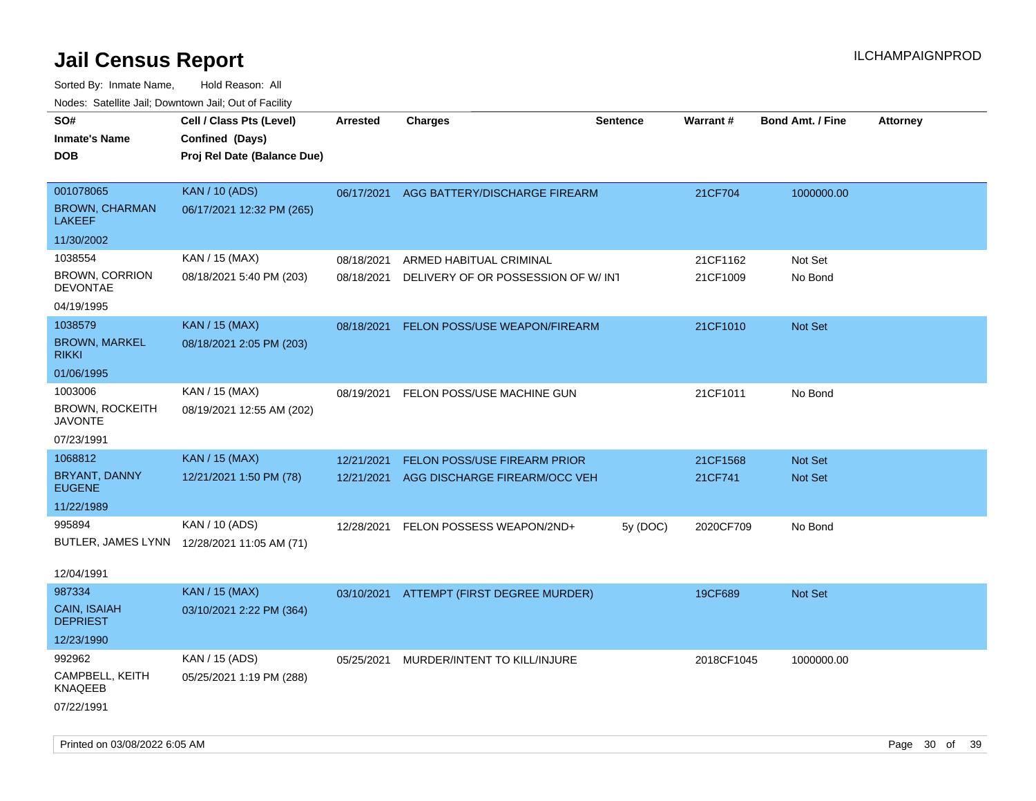| ivouss. Satellite Jali, Downtown Jali, Out of Facility |                                             |                 |                                          |                 |                 |                         |                 |
|--------------------------------------------------------|---------------------------------------------|-----------------|------------------------------------------|-----------------|-----------------|-------------------------|-----------------|
| SO#                                                    | Cell / Class Pts (Level)                    | <b>Arrested</b> | <b>Charges</b>                           | <b>Sentence</b> | <b>Warrant#</b> | <b>Bond Amt. / Fine</b> | <b>Attorney</b> |
| <b>Inmate's Name</b>                                   | Confined (Days)                             |                 |                                          |                 |                 |                         |                 |
| DOB                                                    | Proj Rel Date (Balance Due)                 |                 |                                          |                 |                 |                         |                 |
|                                                        |                                             |                 |                                          |                 |                 |                         |                 |
| 001078065                                              | <b>KAN / 10 (ADS)</b>                       |                 | 06/17/2021 AGG BATTERY/DISCHARGE FIREARM |                 | 21CF704         | 1000000.00              |                 |
| <b>BROWN, CHARMAN</b><br>LAKEEF                        | 06/17/2021 12:32 PM (265)                   |                 |                                          |                 |                 |                         |                 |
| 11/30/2002                                             |                                             |                 |                                          |                 |                 |                         |                 |
| 1038554                                                | KAN / 15 (MAX)                              | 08/18/2021      | ARMED HABITUAL CRIMINAL                  |                 | 21CF1162        | Not Set                 |                 |
| <b>BROWN, CORRION</b><br><b>DEVONTAE</b>               | 08/18/2021 5:40 PM (203)                    | 08/18/2021      | DELIVERY OF OR POSSESSION OF W/INT       |                 | 21CF1009        | No Bond                 |                 |
| 04/19/1995                                             |                                             |                 |                                          |                 |                 |                         |                 |
| 1038579                                                | <b>KAN / 15 (MAX)</b>                       | 08/18/2021      | FELON POSS/USE WEAPON/FIREARM            |                 | 21CF1010        | Not Set                 |                 |
| <b>BROWN, MARKEL</b><br>rikki                          | 08/18/2021 2:05 PM (203)                    |                 |                                          |                 |                 |                         |                 |
| 01/06/1995                                             |                                             |                 |                                          |                 |                 |                         |                 |
| 1003006                                                | KAN / 15 (MAX)                              | 08/19/2021      | FELON POSS/USE MACHINE GUN               |                 | 21CF1011        | No Bond                 |                 |
| <b>BROWN, ROCKEITH</b><br>JAVONTE                      | 08/19/2021 12:55 AM (202)                   |                 |                                          |                 |                 |                         |                 |
| 07/23/1991                                             |                                             |                 |                                          |                 |                 |                         |                 |
| 1068812                                                | <b>KAN</b> / 15 (MAX)                       | 12/21/2021      | <b>FELON POSS/USE FIREARM PRIOR</b>      |                 | 21CF1568        | <b>Not Set</b>          |                 |
| BRYANT, DANNY<br><b>EUGENE</b>                         | 12/21/2021 1:50 PM (78)                     | 12/21/2021      | AGG DISCHARGE FIREARM/OCC VEH            |                 | 21CF741         | Not Set                 |                 |
| 11/22/1989                                             |                                             |                 |                                          |                 |                 |                         |                 |
| 995894                                                 | KAN / 10 (ADS)                              | 12/28/2021      | FELON POSSESS WEAPON/2ND+                | 5y (DOC)        | 2020CF709       | No Bond                 |                 |
|                                                        | BUTLER, JAMES LYNN 12/28/2021 11:05 AM (71) |                 |                                          |                 |                 |                         |                 |
|                                                        |                                             |                 |                                          |                 |                 |                         |                 |
| 12/04/1991                                             |                                             |                 |                                          |                 |                 |                         |                 |
| 987334                                                 | <b>KAN / 15 (MAX)</b>                       | 03/10/2021      | ATTEMPT (FIRST DEGREE MURDER)            |                 | 19CF689         | Not Set                 |                 |
| <b>CAIN, ISAIAH</b><br><b>DEPRIEST</b>                 | 03/10/2021 2:22 PM (364)                    |                 |                                          |                 |                 |                         |                 |
| 12/23/1990                                             |                                             |                 |                                          |                 |                 |                         |                 |
| 992962                                                 | KAN / 15 (ADS)                              | 05/25/2021      | MURDER/INTENT TO KILL/INJURE             |                 | 2018CF1045      | 1000000.00              |                 |
| CAMPBELL, KEITH<br>KNAQEEB                             | 05/25/2021 1:19 PM (288)                    |                 |                                          |                 |                 |                         |                 |
| 07/22/1991                                             |                                             |                 |                                          |                 |                 |                         |                 |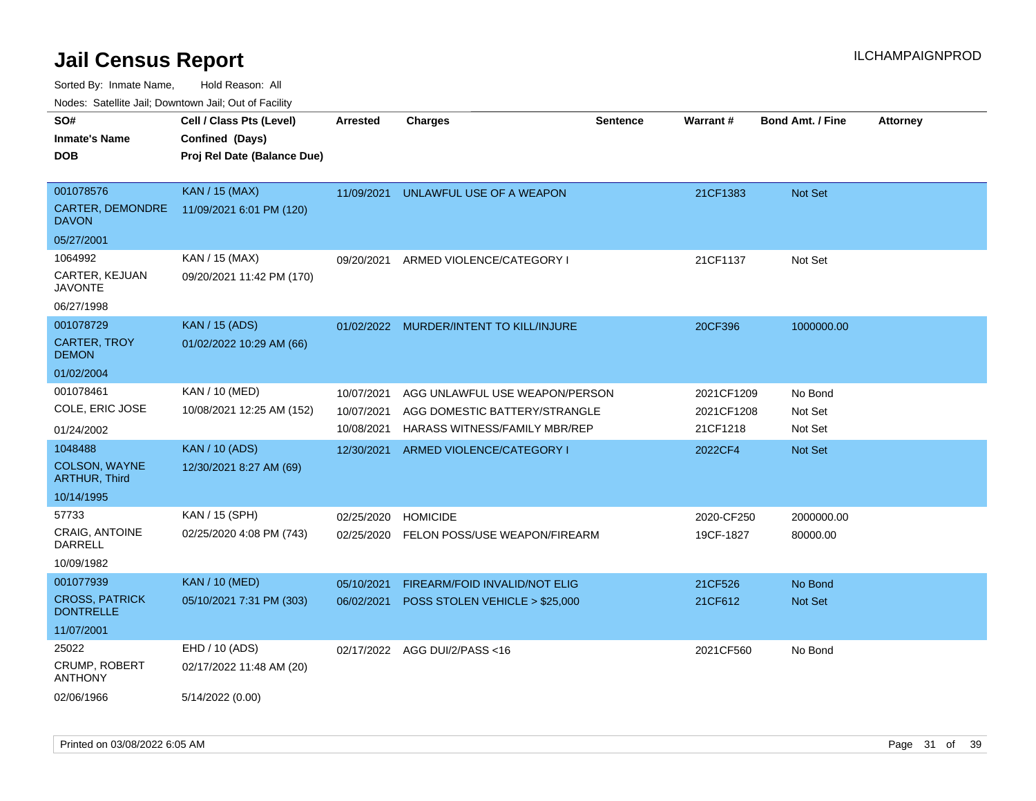Sorted By: Inmate Name, Hold Reason: All

Nodes: Satellite Jail; Downtown Jail; Out of Facility

| SO#                                       | Cell / Class Pts (Level)    | <b>Arrested</b> | <b>Charges</b>                       | <b>Sentence</b> | Warrant#   | <b>Bond Amt. / Fine</b> | <b>Attorney</b> |
|-------------------------------------------|-----------------------------|-----------------|--------------------------------------|-----------------|------------|-------------------------|-----------------|
| <b>Inmate's Name</b>                      | Confined (Days)             |                 |                                      |                 |            |                         |                 |
| <b>DOB</b>                                | Proj Rel Date (Balance Due) |                 |                                      |                 |            |                         |                 |
|                                           |                             |                 |                                      |                 |            |                         |                 |
| 001078576                                 | <b>KAN / 15 (MAX)</b>       | 11/09/2021      | UNLAWFUL USE OF A WEAPON             |                 | 21CF1383   | Not Set                 |                 |
| CARTER, DEMONDRE<br><b>DAVON</b>          | 11/09/2021 6:01 PM (120)    |                 |                                      |                 |            |                         |                 |
| 05/27/2001                                |                             |                 |                                      |                 |            |                         |                 |
| 1064992                                   | KAN / 15 (MAX)              | 09/20/2021      | ARMED VIOLENCE/CATEGORY I            |                 | 21CF1137   | Not Set                 |                 |
| CARTER, KEJUAN<br><b>JAVONTE</b>          | 09/20/2021 11:42 PM (170)   |                 |                                      |                 |            |                         |                 |
| 06/27/1998                                |                             |                 |                                      |                 |            |                         |                 |
| 001078729                                 | <b>KAN / 15 (ADS)</b>       | 01/02/2022      | MURDER/INTENT TO KILL/INJURE         |                 | 20CF396    | 1000000.00              |                 |
| <b>CARTER, TROY</b><br><b>DEMON</b>       | 01/02/2022 10:29 AM (66)    |                 |                                      |                 |            |                         |                 |
| 01/02/2004                                |                             |                 |                                      |                 |            |                         |                 |
| 001078461                                 | KAN / 10 (MED)              | 10/07/2021      | AGG UNLAWFUL USE WEAPON/PERSON       |                 | 2021CF1209 | No Bond                 |                 |
| COLE, ERIC JOSE                           | 10/08/2021 12:25 AM (152)   | 10/07/2021      | AGG DOMESTIC BATTERY/STRANGLE        |                 | 2021CF1208 | Not Set                 |                 |
| 01/24/2002                                |                             | 10/08/2021      | <b>HARASS WITNESS/FAMILY MBR/REP</b> |                 | 21CF1218   | Not Set                 |                 |
| 1048488                                   | <b>KAN / 10 (ADS)</b>       | 12/30/2021      | ARMED VIOLENCE/CATEGORY I            |                 | 2022CF4    | <b>Not Set</b>          |                 |
| COLSON, WAYNE<br><b>ARTHUR, Third</b>     | 12/30/2021 8:27 AM (69)     |                 |                                      |                 |            |                         |                 |
| 10/14/1995                                |                             |                 |                                      |                 |            |                         |                 |
| 57733                                     | KAN / 15 (SPH)              | 02/25/2020      | <b>HOMICIDE</b>                      |                 | 2020-CF250 | 2000000.00              |                 |
| CRAIG, ANTOINE<br><b>DARRELL</b>          | 02/25/2020 4:08 PM (743)    | 02/25/2020      | FELON POSS/USE WEAPON/FIREARM        |                 | 19CF-1827  | 80000.00                |                 |
| 10/09/1982                                |                             |                 |                                      |                 |            |                         |                 |
| 001077939                                 | <b>KAN / 10 (MED)</b>       | 05/10/2021      | <b>FIREARM/FOID INVALID/NOT ELIG</b> |                 | 21CF526    | No Bond                 |                 |
| <b>CROSS, PATRICK</b><br><b>DONTRELLE</b> | 05/10/2021 7:31 PM (303)    | 06/02/2021      | POSS STOLEN VEHICLE > \$25,000       |                 | 21CF612    | Not Set                 |                 |
| 11/07/2001                                |                             |                 |                                      |                 |            |                         |                 |
| 25022                                     | EHD / 10 (ADS)              |                 | 02/17/2022 AGG DUI/2/PASS<16         |                 | 2021CF560  | No Bond                 |                 |
| CRUMP, ROBERT<br><b>ANTHONY</b>           | 02/17/2022 11:48 AM (20)    |                 |                                      |                 |            |                         |                 |
| 02/06/1966                                | 5/14/2022 (0.00)            |                 |                                      |                 |            |                         |                 |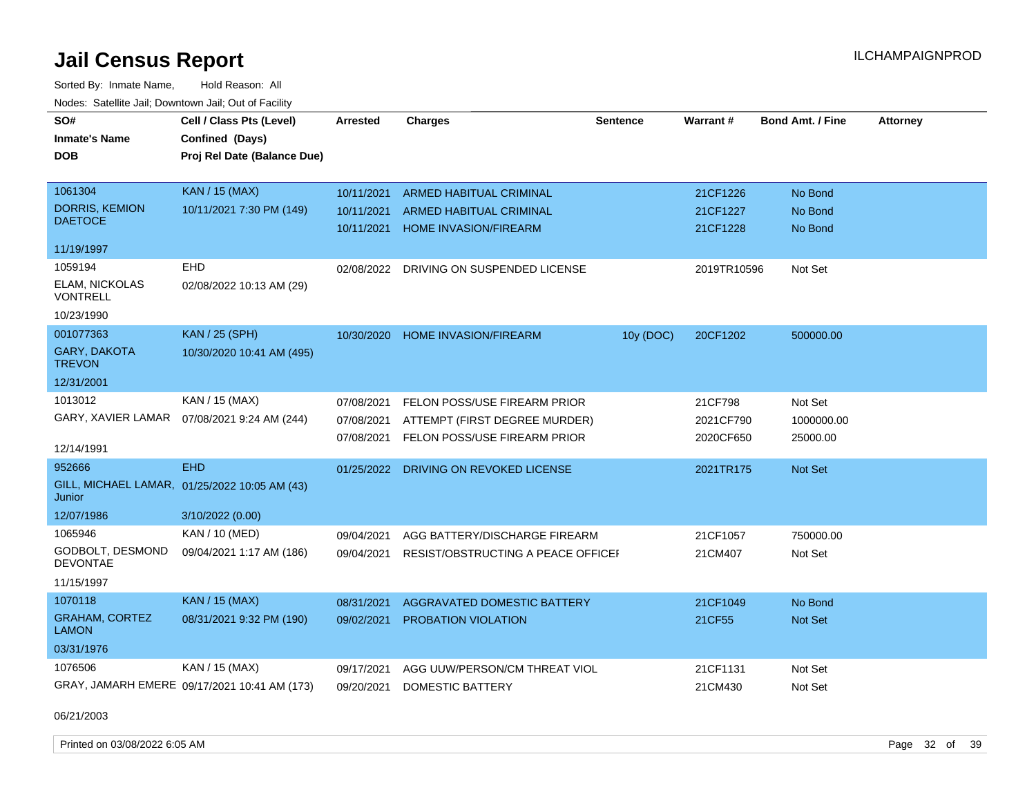Sorted By: Inmate Name, Hold Reason: All Nodes: Satellite Jail; Downtown Jail; Out of Facility

| SO#                                   | Cell / Class Pts (Level)                      | <b>Arrested</b> | <b>Charges</b>                          | <b>Sentence</b> | Warrant#    | <b>Bond Amt. / Fine</b> | <b>Attorney</b> |
|---------------------------------------|-----------------------------------------------|-----------------|-----------------------------------------|-----------------|-------------|-------------------------|-----------------|
| <b>Inmate's Name</b>                  | Confined (Days)                               |                 |                                         |                 |             |                         |                 |
|                                       |                                               |                 |                                         |                 |             |                         |                 |
| <b>DOB</b>                            | Proj Rel Date (Balance Due)                   |                 |                                         |                 |             |                         |                 |
| 1061304                               | <b>KAN / 15 (MAX)</b>                         | 10/11/2021      | ARMED HABITUAL CRIMINAL                 |                 | 21CF1226    | No Bond                 |                 |
| <b>DORRIS, KEMION</b>                 | 10/11/2021 7:30 PM (149)                      | 10/11/2021      | <b>ARMED HABITUAL CRIMINAL</b>          |                 | 21CF1227    | No Bond                 |                 |
| <b>DAETOCE</b>                        |                                               | 10/11/2021      | <b>HOME INVASION/FIREARM</b>            |                 | 21CF1228    | No Bond                 |                 |
|                                       |                                               |                 |                                         |                 |             |                         |                 |
| 11/19/1997                            |                                               |                 |                                         |                 |             |                         |                 |
| 1059194                               | <b>EHD</b>                                    |                 | 02/08/2022 DRIVING ON SUSPENDED LICENSE |                 | 2019TR10596 | Not Set                 |                 |
| ELAM, NICKOLAS<br>VONTRELL            | 02/08/2022 10:13 AM (29)                      |                 |                                         |                 |             |                         |                 |
| 10/23/1990                            |                                               |                 |                                         |                 |             |                         |                 |
| 001077363                             | <b>KAN / 25 (SPH)</b>                         | 10/30/2020      | HOME INVASION/FIREARM                   | 10y (DOC)       | 20CF1202    | 500000.00               |                 |
| GARY, DAKOTA<br><b>TREVON</b>         | 10/30/2020 10:41 AM (495)                     |                 |                                         |                 |             |                         |                 |
| 12/31/2001                            |                                               |                 |                                         |                 |             |                         |                 |
| 1013012                               | KAN / 15 (MAX)                                | 07/08/2021      | FELON POSS/USE FIREARM PRIOR            |                 | 21CF798     | Not Set                 |                 |
| GARY, XAVIER LAMAR                    | 07/08/2021 9:24 AM (244)                      | 07/08/2021      | ATTEMPT (FIRST DEGREE MURDER)           |                 | 2021CF790   | 1000000.00              |                 |
|                                       |                                               | 07/08/2021      | FELON POSS/USE FIREARM PRIOR            |                 | 2020CF650   | 25000.00                |                 |
| 12/14/1991                            |                                               |                 |                                         |                 |             |                         |                 |
| 952666                                | <b>EHD</b>                                    | 01/25/2022      | DRIVING ON REVOKED LICENSE              |                 | 2021TR175   | <b>Not Set</b>          |                 |
| Junior                                | GILL, MICHAEL LAMAR, 01/25/2022 10:05 AM (43) |                 |                                         |                 |             |                         |                 |
| 12/07/1986                            | 3/10/2022 (0.00)                              |                 |                                         |                 |             |                         |                 |
| 1065946                               | KAN / 10 (MED)                                | 09/04/2021      | AGG BATTERY/DISCHARGE FIREARM           |                 | 21CF1057    | 750000.00               |                 |
| GODBOLT, DESMOND<br><b>DEVONTAE</b>   | 09/04/2021 1:17 AM (186)                      | 09/04/2021      | RESIST/OBSTRUCTING A PEACE OFFICEF      |                 | 21CM407     | Not Set                 |                 |
| 11/15/1997                            |                                               |                 |                                         |                 |             |                         |                 |
| 1070118                               | <b>KAN / 15 (MAX)</b>                         | 08/31/2021      | AGGRAVATED DOMESTIC BATTERY             |                 | 21CF1049    | No Bond                 |                 |
| <b>GRAHAM, CORTEZ</b><br><b>LAMON</b> | 08/31/2021 9:32 PM (190)                      | 09/02/2021      | PROBATION VIOLATION                     |                 | 21CF55      | Not Set                 |                 |
| 03/31/1976                            |                                               |                 |                                         |                 |             |                         |                 |
| 1076506                               | KAN / 15 (MAX)                                | 09/17/2021      | AGG UUW/PERSON/CM THREAT VIOL           |                 | 21CF1131    | Not Set                 |                 |
|                                       | GRAY, JAMARH EMERE 09/17/2021 10:41 AM (173)  | 09/20/2021      | <b>DOMESTIC BATTERY</b>                 |                 | 21CM430     | Not Set                 |                 |

06/21/2003

Printed on 03/08/2022 6:05 AM Page 32 of 39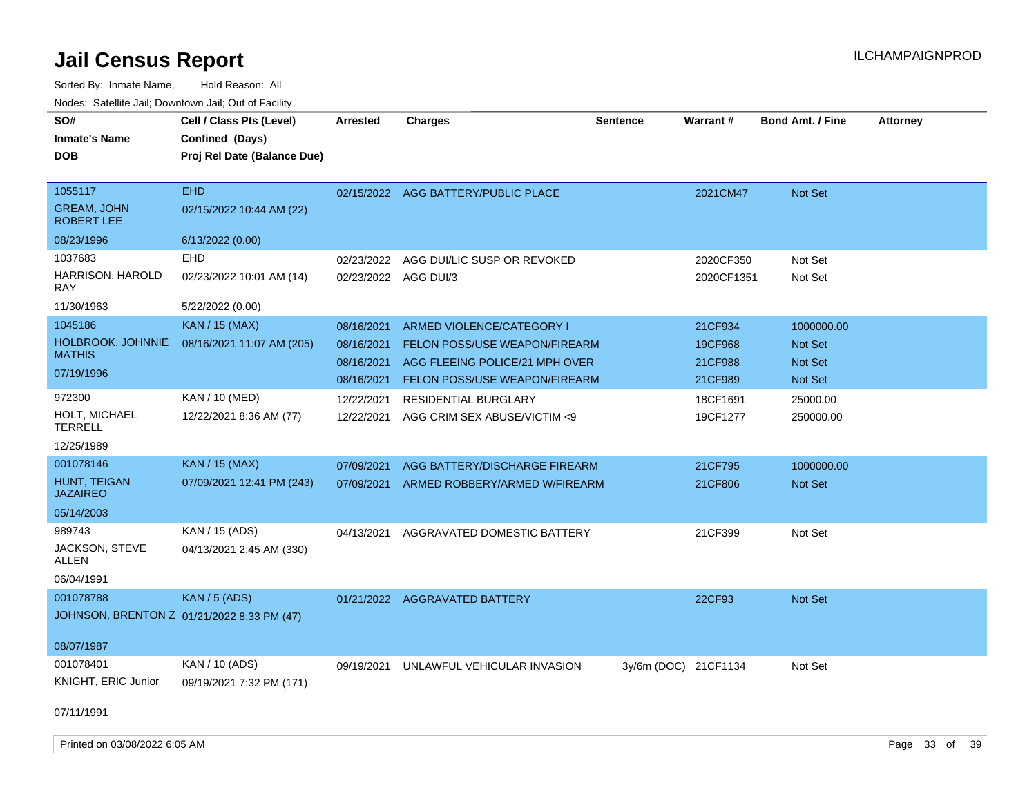| SO#<br><b>Inmate's Name</b><br><b>DOB</b>                   | Cell / Class Pts (Level)<br>Confined (Days)<br>Proj Rel Date (Balance Due) | <b>Arrested</b>                                      | <b>Charges</b>                                                                                                                       | <b>Sentence</b>      | Warrant#                                 | <b>Bond Amt. / Fine</b>                            | Attorney |
|-------------------------------------------------------------|----------------------------------------------------------------------------|------------------------------------------------------|--------------------------------------------------------------------------------------------------------------------------------------|----------------------|------------------------------------------|----------------------------------------------------|----------|
| 1055117<br><b>GREAM, JOHN</b><br><b>ROBERT LEE</b>          | <b>EHD</b><br>02/15/2022 10:44 AM (22)                                     |                                                      | 02/15/2022 AGG BATTERY/PUBLIC PLACE                                                                                                  |                      | 2021CM47                                 | Not Set                                            |          |
| 08/23/1996                                                  | 6/13/2022 (0.00)                                                           |                                                      |                                                                                                                                      |                      |                                          |                                                    |          |
| 1037683<br>HARRISON, HAROLD<br><b>RAY</b>                   | <b>EHD</b><br>02/23/2022 10:01 AM (14)                                     | 02/23/2022<br>02/23/2022                             | AGG DUI/LIC SUSP OR REVOKED<br>AGG DUI/3                                                                                             |                      | 2020CF350<br>2020CF1351                  | Not Set<br>Not Set                                 |          |
| 11/30/1963                                                  | 5/22/2022 (0.00)                                                           |                                                      |                                                                                                                                      |                      |                                          |                                                    |          |
| 1045186<br>HOLBROOK, JOHNNIE<br><b>MATHIS</b><br>07/19/1996 | <b>KAN / 15 (MAX)</b><br>08/16/2021 11:07 AM (205)                         | 08/16/2021<br>08/16/2021<br>08/16/2021<br>08/16/2021 | <b>ARMED VIOLENCE/CATEGORY I</b><br>FELON POSS/USE WEAPON/FIREARM<br>AGG FLEEING POLICE/21 MPH OVER<br>FELON POSS/USE WEAPON/FIREARM |                      | 21CF934<br>19CF968<br>21CF988<br>21CF989 | 1000000.00<br><b>Not Set</b><br>Not Set<br>Not Set |          |
| 972300<br>HOLT, MICHAEL<br><b>TERRELL</b><br>12/25/1989     | KAN / 10 (MED)<br>12/22/2021 8:36 AM (77)                                  | 12/22/2021<br>12/22/2021                             | <b>RESIDENTIAL BURGLARY</b><br>AGG CRIM SEX ABUSE/VICTIM <9                                                                          |                      | 18CF1691<br>19CF1277                     | 25000.00<br>250000.00                              |          |
| 001078146<br>HUNT, TEIGAN<br><b>JAZAIREO</b><br>05/14/2003  | <b>KAN / 15 (MAX)</b><br>07/09/2021 12:41 PM (243)                         | 07/09/2021<br>07/09/2021                             | AGG BATTERY/DISCHARGE FIREARM<br>ARMED ROBBERY/ARMED W/FIREARM                                                                       |                      | 21CF795<br>21CF806                       | 1000000.00<br><b>Not Set</b>                       |          |
| 989743<br><b>JACKSON, STEVE</b><br>ALLEN<br>06/04/1991      | KAN / 15 (ADS)<br>04/13/2021 2:45 AM (330)                                 | 04/13/2021                                           | AGGRAVATED DOMESTIC BATTERY                                                                                                          |                      | 21CF399                                  | Not Set                                            |          |
| 001078788<br>08/07/1987                                     | <b>KAN / 5 (ADS)</b><br>JOHNSON, BRENTON Z 01/21/2022 8:33 PM (47)         |                                                      | 01/21/2022 AGGRAVATED BATTERY                                                                                                        |                      | 22CF93                                   | Not Set                                            |          |
| 001078401<br>KNIGHT, ERIC Junior<br>07/11/1991              | KAN / 10 (ADS)<br>09/19/2021 7:32 PM (171)                                 | 09/19/2021                                           | UNLAWFUL VEHICULAR INVASION                                                                                                          | 3y/6m (DOC) 21CF1134 |                                          | Not Set                                            |          |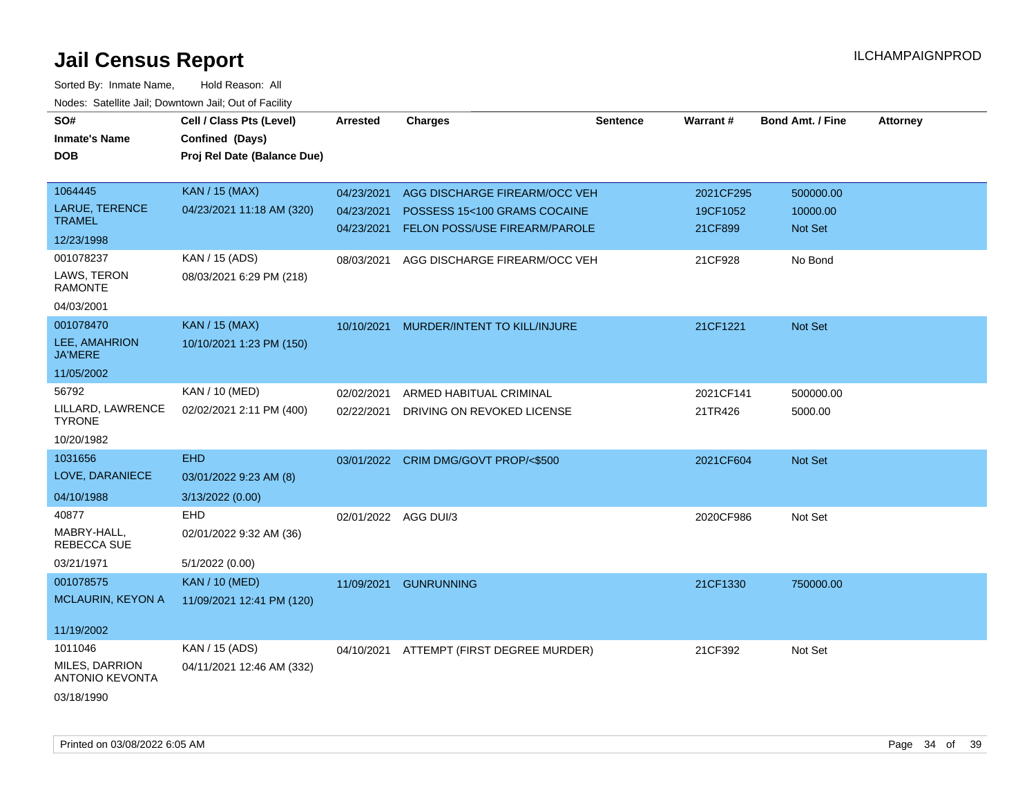| SO#<br><b>Inmate's Name</b><br><b>DOB</b> | Cell / Class Pts (Level)<br>Confined (Days)<br>Proj Rel Date (Balance Due) | <b>Arrested</b>      | <b>Charges</b>                       | <b>Sentence</b> | Warrant#  | <b>Bond Amt. / Fine</b> | <b>Attorney</b> |
|-------------------------------------------|----------------------------------------------------------------------------|----------------------|--------------------------------------|-----------------|-----------|-------------------------|-----------------|
| 1064445                                   | <b>KAN / 15 (MAX)</b>                                                      | 04/23/2021           | AGG DISCHARGE FIREARM/OCC VEH        |                 | 2021CF295 | 500000.00               |                 |
| LARUE, TERENCE<br><b>TRAMEL</b>           | 04/23/2021 11:18 AM (320)                                                  | 04/23/2021           | POSSESS 15<100 GRAMS COCAINE         |                 | 19CF1052  | 10000.00                |                 |
| 12/23/1998                                |                                                                            | 04/23/2021           | FELON POSS/USE FIREARM/PAROLE        |                 | 21CF899   | Not Set                 |                 |
| 001078237                                 | KAN / 15 (ADS)                                                             | 08/03/2021           | AGG DISCHARGE FIREARM/OCC VEH        |                 | 21CF928   | No Bond                 |                 |
| LAWS, TERON<br><b>RAMONTE</b>             | 08/03/2021 6:29 PM (218)                                                   |                      |                                      |                 |           |                         |                 |
| 04/03/2001                                |                                                                            |                      |                                      |                 |           |                         |                 |
| 001078470                                 | <b>KAN / 15 (MAX)</b>                                                      | 10/10/2021           | MURDER/INTENT TO KILL/INJURE         |                 | 21CF1221  | Not Set                 |                 |
| LEE, AMAHRION<br><b>JA'MERE</b>           | 10/10/2021 1:23 PM (150)                                                   |                      |                                      |                 |           |                         |                 |
| 11/05/2002                                |                                                                            |                      |                                      |                 |           |                         |                 |
| 56792                                     | KAN / 10 (MED)                                                             | 02/02/2021           | ARMED HABITUAL CRIMINAL              |                 | 2021CF141 | 500000.00               |                 |
| LILLARD, LAWRENCE<br><b>TYRONE</b>        | 02/02/2021 2:11 PM (400)                                                   | 02/22/2021           | DRIVING ON REVOKED LICENSE           |                 | 21TR426   | 5000.00                 |                 |
| 10/20/1982                                |                                                                            |                      |                                      |                 |           |                         |                 |
| 1031656                                   | <b>EHD</b>                                                                 |                      | 03/01/2022 CRIM DMG/GOVT PROP/<\$500 |                 | 2021CF604 | Not Set                 |                 |
| LOVE, DARANIECE                           | 03/01/2022 9:23 AM (8)                                                     |                      |                                      |                 |           |                         |                 |
| 04/10/1988                                | 3/13/2022 (0.00)                                                           |                      |                                      |                 |           |                         |                 |
| 40877                                     | <b>EHD</b>                                                                 | 02/01/2022 AGG DUI/3 |                                      |                 | 2020CF986 | Not Set                 |                 |
| MABRY-HALL,<br><b>REBECCA SUE</b>         | 02/01/2022 9:32 AM (36)                                                    |                      |                                      |                 |           |                         |                 |
| 03/21/1971                                | 5/1/2022 (0.00)                                                            |                      |                                      |                 |           |                         |                 |
| 001078575                                 | <b>KAN / 10 (MED)</b>                                                      |                      | 11/09/2021 GUNRUNNING                |                 | 21CF1330  | 750000.00               |                 |
| <b>MCLAURIN, KEYON A</b>                  | 11/09/2021 12:41 PM (120)                                                  |                      |                                      |                 |           |                         |                 |
| 11/19/2002                                |                                                                            |                      |                                      |                 |           |                         |                 |
| 1011046                                   | KAN / 15 (ADS)                                                             | 04/10/2021           | ATTEMPT (FIRST DEGREE MURDER)        |                 | 21CF392   | Not Set                 |                 |
| MILES, DARRION<br><b>ANTONIO KEVONTA</b>  | 04/11/2021 12:46 AM (332)                                                  |                      |                                      |                 |           |                         |                 |
| 03/18/1990                                |                                                                            |                      |                                      |                 |           |                         |                 |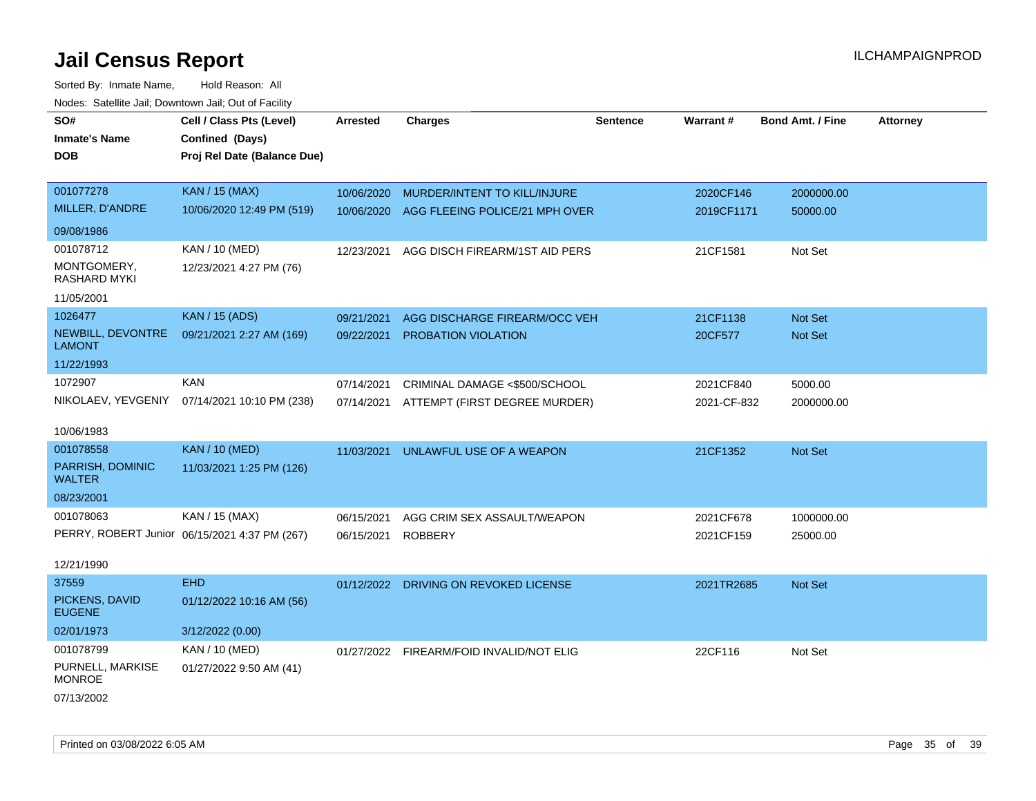| SO#                                | Cell / Class Pts (Level)                      | Arrested   | <b>Charges</b>                 | <b>Sentence</b> | Warrant#    | <b>Bond Amt. / Fine</b> | <b>Attorney</b> |
|------------------------------------|-----------------------------------------------|------------|--------------------------------|-----------------|-------------|-------------------------|-----------------|
| <b>Inmate's Name</b>               | Confined (Days)                               |            |                                |                 |             |                         |                 |
| <b>DOB</b>                         | Proj Rel Date (Balance Due)                   |            |                                |                 |             |                         |                 |
|                                    |                                               |            |                                |                 |             |                         |                 |
| 001077278                          | <b>KAN / 15 (MAX)</b>                         | 10/06/2020 | MURDER/INTENT TO KILL/INJURE   |                 | 2020CF146   | 2000000.00              |                 |
| MILLER, D'ANDRE                    | 10/06/2020 12:49 PM (519)                     | 10/06/2020 | AGG FLEEING POLICE/21 MPH OVER |                 | 2019CF1171  | 50000.00                |                 |
| 09/08/1986                         |                                               |            |                                |                 |             |                         |                 |
| 001078712                          | KAN / 10 (MED)                                | 12/23/2021 | AGG DISCH FIREARM/1ST AID PERS |                 | 21CF1581    | Not Set                 |                 |
| MONTGOMERY,<br><b>RASHARD MYKI</b> | 12/23/2021 4:27 PM (76)                       |            |                                |                 |             |                         |                 |
| 11/05/2001                         |                                               |            |                                |                 |             |                         |                 |
| 1026477                            | <b>KAN / 15 (ADS)</b>                         | 09/21/2021 | AGG DISCHARGE FIREARM/OCC VEH  |                 | 21CF1138    | <b>Not Set</b>          |                 |
| NEWBILL, DEVONTRE<br><b>LAMONT</b> | 09/21/2021 2:27 AM (169)                      | 09/22/2021 | <b>PROBATION VIOLATION</b>     |                 | 20CF577     | Not Set                 |                 |
| 11/22/1993                         |                                               |            |                                |                 |             |                         |                 |
| 1072907                            | <b>KAN</b>                                    | 07/14/2021 | CRIMINAL DAMAGE <\$500/SCHOOL  |                 | 2021CF840   | 5000.00                 |                 |
|                                    | NIKOLAEV, YEVGENIY 07/14/2021 10:10 PM (238)  | 07/14/2021 | ATTEMPT (FIRST DEGREE MURDER)  |                 | 2021-CF-832 | 2000000.00              |                 |
| 10/06/1983                         |                                               |            |                                |                 |             |                         |                 |
| 001078558                          | <b>KAN / 10 (MED)</b>                         |            |                                |                 |             |                         |                 |
|                                    |                                               | 11/03/2021 | UNLAWFUL USE OF A WEAPON       |                 | 21CF1352    | Not Set                 |                 |
| PARRISH, DOMINIC<br><b>WALTER</b>  | 11/03/2021 1:25 PM (126)                      |            |                                |                 |             |                         |                 |
| 08/23/2001                         |                                               |            |                                |                 |             |                         |                 |
| 001078063                          | KAN / 15 (MAX)                                | 06/15/2021 | AGG CRIM SEX ASSAULT/WEAPON    |                 | 2021CF678   | 1000000.00              |                 |
|                                    | PERRY, ROBERT Junior 06/15/2021 4:37 PM (267) | 06/15/2021 | <b>ROBBERY</b>                 |                 | 2021CF159   | 25000.00                |                 |
| 12/21/1990                         |                                               |            |                                |                 |             |                         |                 |
| 37559                              | <b>EHD</b>                                    | 01/12/2022 | DRIVING ON REVOKED LICENSE     |                 | 2021TR2685  | <b>Not Set</b>          |                 |
| PICKENS, DAVID<br><b>EUGENE</b>    | 01/12/2022 10:16 AM (56)                      |            |                                |                 |             |                         |                 |
| 02/01/1973                         | 3/12/2022 (0.00)                              |            |                                |                 |             |                         |                 |
| 001078799                          | KAN / 10 (MED)                                | 01/27/2022 | FIREARM/FOID INVALID/NOT ELIG  |                 | 22CF116     | Not Set                 |                 |
| PURNELL, MARKISE<br><b>MONROE</b>  | 01/27/2022 9:50 AM (41)                       |            |                                |                 |             |                         |                 |
| 07/13/2002                         |                                               |            |                                |                 |             |                         |                 |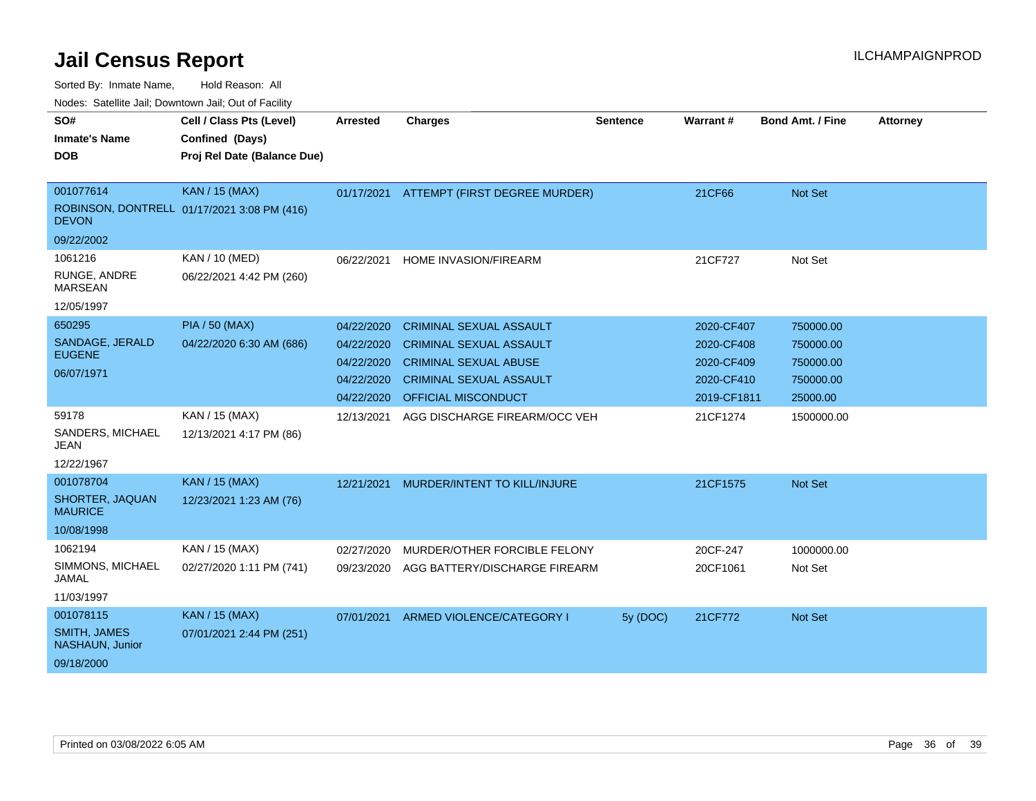|                                        | Nuuts. Saltiille Jall, Downlown Jall, Oul of Facility |                 |                                |                 |                 |                         |                 |  |
|----------------------------------------|-------------------------------------------------------|-----------------|--------------------------------|-----------------|-----------------|-------------------------|-----------------|--|
| SO#                                    | Cell / Class Pts (Level)                              | <b>Arrested</b> | <b>Charges</b>                 | <b>Sentence</b> | <b>Warrant#</b> | <b>Bond Amt. / Fine</b> | <b>Attorney</b> |  |
| <b>Inmate's Name</b>                   | Confined (Days)                                       |                 |                                |                 |                 |                         |                 |  |
| <b>DOB</b>                             | Proj Rel Date (Balance Due)                           |                 |                                |                 |                 |                         |                 |  |
|                                        |                                                       |                 |                                |                 |                 |                         |                 |  |
| 001077614                              | <b>KAN / 15 (MAX)</b>                                 | 01/17/2021      | ATTEMPT (FIRST DEGREE MURDER)  |                 | 21CF66          | Not Set                 |                 |  |
| <b>DEVON</b>                           | ROBINSON, DONTRELL 01/17/2021 3:08 PM (416)           |                 |                                |                 |                 |                         |                 |  |
| 09/22/2002                             |                                                       |                 |                                |                 |                 |                         |                 |  |
| 1061216                                | KAN / 10 (MED)                                        | 06/22/2021      | HOME INVASION/FIREARM          |                 | 21CF727         | Not Set                 |                 |  |
| RUNGE, ANDRE<br><b>MARSEAN</b>         | 06/22/2021 4:42 PM (260)                              |                 |                                |                 |                 |                         |                 |  |
| 12/05/1997                             |                                                       |                 |                                |                 |                 |                         |                 |  |
| 650295                                 | <b>PIA / 50 (MAX)</b>                                 | 04/22/2020      | <b>CRIMINAL SEXUAL ASSAULT</b> |                 | 2020-CF407      | 750000.00               |                 |  |
| SANDAGE, JERALD                        | 04/22/2020 6:30 AM (686)                              | 04/22/2020      | <b>CRIMINAL SEXUAL ASSAULT</b> |                 | 2020-CF408      | 750000.00               |                 |  |
| <b>EUGENE</b>                          |                                                       | 04/22/2020      | <b>CRIMINAL SEXUAL ABUSE</b>   |                 | 2020-CF409      | 750000.00               |                 |  |
| 06/07/1971                             |                                                       | 04/22/2020      | <b>CRIMINAL SEXUAL ASSAULT</b> |                 | 2020-CF410      | 750000.00               |                 |  |
|                                        |                                                       | 04/22/2020      | OFFICIAL MISCONDUCT            |                 | 2019-CF1811     | 25000.00                |                 |  |
| 59178                                  | KAN / 15 (MAX)                                        | 12/13/2021      | AGG DISCHARGE FIREARM/OCC VEH  |                 | 21CF1274        | 1500000.00              |                 |  |
| SANDERS, MICHAEL<br><b>JEAN</b>        | 12/13/2021 4:17 PM (86)                               |                 |                                |                 |                 |                         |                 |  |
| 12/22/1967                             |                                                       |                 |                                |                 |                 |                         |                 |  |
| 001078704                              | <b>KAN / 15 (MAX)</b>                                 | 12/21/2021      | MURDER/INTENT TO KILL/INJURE   |                 | 21CF1575        | <b>Not Set</b>          |                 |  |
| SHORTER, JAQUAN<br><b>MAURICE</b>      | 12/23/2021 1:23 AM (76)                               |                 |                                |                 |                 |                         |                 |  |
| 10/08/1998                             |                                                       |                 |                                |                 |                 |                         |                 |  |
| 1062194                                | KAN / 15 (MAX)                                        | 02/27/2020      | MURDER/OTHER FORCIBLE FELONY   |                 | 20CF-247        | 1000000.00              |                 |  |
| SIMMONS, MICHAEL<br>JAMAL              | 02/27/2020 1:11 PM (741)                              | 09/23/2020      | AGG BATTERY/DISCHARGE FIREARM  |                 | 20CF1061        | Not Set                 |                 |  |
| 11/03/1997                             |                                                       |                 |                                |                 |                 |                         |                 |  |
| 001078115                              | <b>KAN / 15 (MAX)</b>                                 | 07/01/2021      | ARMED VIOLENCE/CATEGORY I      | 5y (DOC)        | 21CF772         | <b>Not Set</b>          |                 |  |
| <b>SMITH, JAMES</b><br>NASHAUN, Junior | 07/01/2021 2:44 PM (251)                              |                 |                                |                 |                 |                         |                 |  |
| 09/18/2000                             |                                                       |                 |                                |                 |                 |                         |                 |  |
|                                        |                                                       |                 |                                |                 |                 |                         |                 |  |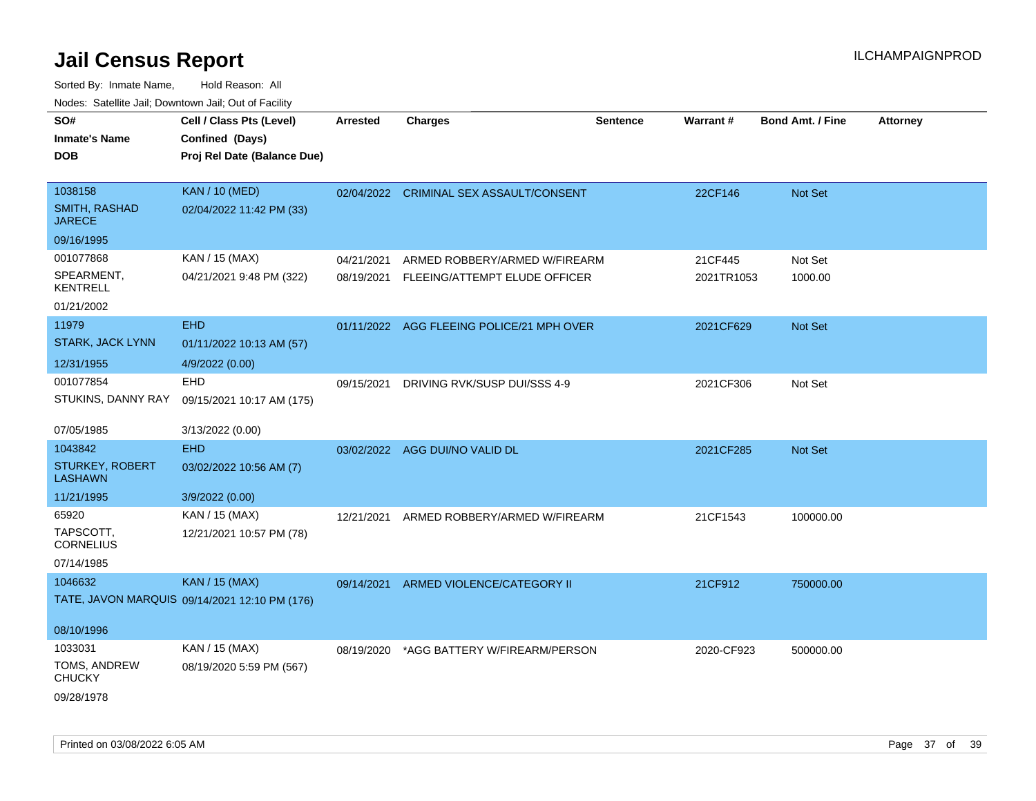| SO#<br><b>Inmate's Name</b><br><b>DOB</b>                | Cell / Class Pts (Level)<br>Confined (Days)<br>Proj Rel Date (Balance Due) | <b>Arrested</b> | <b>Charges</b>                                                            | <b>Sentence</b> | Warrant#              | <b>Bond Amt. / Fine</b> | <b>Attorney</b> |
|----------------------------------------------------------|----------------------------------------------------------------------------|-----------------|---------------------------------------------------------------------------|-----------------|-----------------------|-------------------------|-----------------|
| 1038158<br>SMITH, RASHAD<br><b>JARECE</b>                | <b>KAN / 10 (MED)</b><br>02/04/2022 11:42 PM (33)                          |                 | 02/04/2022 CRIMINAL SEX ASSAULT/CONSENT                                   |                 | 22CF146               | Not Set                 |                 |
| 09/16/1995                                               |                                                                            |                 |                                                                           |                 |                       |                         |                 |
| 001077868<br>SPEARMENT,<br><b>KENTRELL</b><br>01/21/2002 | KAN / 15 (MAX)<br>04/21/2021 9:48 PM (322)                                 | 04/21/2021      | ARMED ROBBERY/ARMED W/FIREARM<br>08/19/2021 FLEEING/ATTEMPT ELUDE OFFICER |                 | 21CF445<br>2021TR1053 | Not Set<br>1000.00      |                 |
| 11979                                                    | <b>EHD</b>                                                                 |                 | 01/11/2022 AGG FLEEING POLICE/21 MPH OVER                                 |                 | 2021CF629             | Not Set                 |                 |
| STARK, JACK LYNN<br>12/31/1955                           | 01/11/2022 10:13 AM (57)<br>4/9/2022 (0.00)                                |                 |                                                                           |                 |                       |                         |                 |
| 001077854<br>STUKINS, DANNY RAY                          | EHD<br>09/15/2021 10:17 AM (175)                                           | 09/15/2021      | DRIVING RVK/SUSP DUI/SSS 4-9                                              |                 | 2021CF306             | Not Set                 |                 |
| 07/05/1985                                               | 3/13/2022 (0.00)                                                           |                 |                                                                           |                 |                       |                         |                 |
| 1043842                                                  | <b>EHD</b>                                                                 |                 | 03/02/2022 AGG DUI/NO VALID DL                                            |                 | 2021CF285             | <b>Not Set</b>          |                 |
| <b>STURKEY, ROBERT</b><br><b>LASHAWN</b>                 | 03/02/2022 10:56 AM (7)                                                    |                 |                                                                           |                 |                       |                         |                 |
| 11/21/1995                                               | 3/9/2022 (0.00)                                                            |                 |                                                                           |                 |                       |                         |                 |
| 65920<br>TAPSCOTT,<br><b>CORNELIUS</b><br>07/14/1985     | KAN / 15 (MAX)<br>12/21/2021 10:57 PM (78)                                 | 12/21/2021      | ARMED ROBBERY/ARMED W/FIREARM                                             |                 | 21CF1543              | 100000.00               |                 |
| 1046632                                                  | <b>KAN / 15 (MAX)</b>                                                      | 09/14/2021      | ARMED VIOLENCE/CATEGORY II                                                |                 | 21CF912               | 750000.00               |                 |
|                                                          | TATE, JAVON MARQUIS 09/14/2021 12:10 PM (176)                              |                 |                                                                           |                 |                       |                         |                 |
| 08/10/1996                                               |                                                                            |                 |                                                                           |                 |                       |                         |                 |
| 1033031                                                  | KAN / 15 (MAX)                                                             | 08/19/2020      | *AGG BATTERY W/FIREARM/PERSON                                             |                 | 2020-CF923            | 500000.00               |                 |
| TOMS, ANDREW<br><b>CHUCKY</b><br>09/28/1978              | 08/19/2020 5:59 PM (567)                                                   |                 |                                                                           |                 |                       |                         |                 |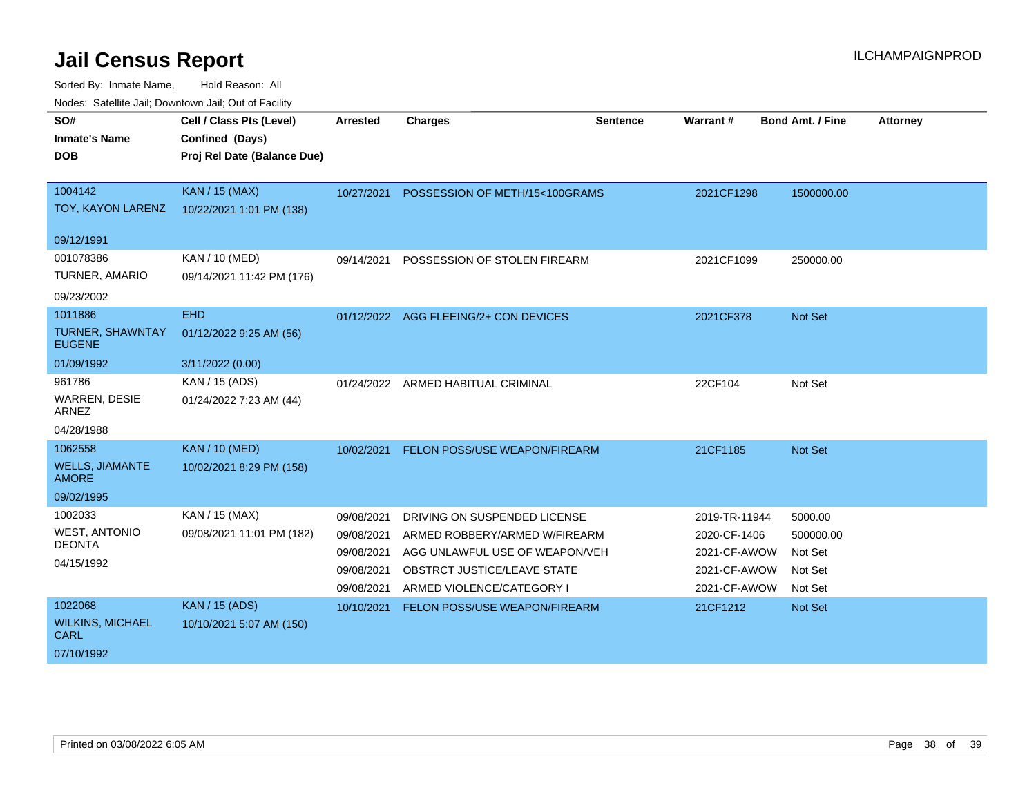| Noucs. Catchitic sail, Downtown sail, Out of Facility |                             |            |                                    |                 |               |                  |                 |
|-------------------------------------------------------|-----------------------------|------------|------------------------------------|-----------------|---------------|------------------|-----------------|
| SO#                                                   | Cell / Class Pts (Level)    | Arrested   | <b>Charges</b>                     | <b>Sentence</b> | Warrant#      | Bond Amt. / Fine | <b>Attorney</b> |
| <b>Inmate's Name</b>                                  | Confined (Days)             |            |                                    |                 |               |                  |                 |
| <b>DOB</b>                                            | Proj Rel Date (Balance Due) |            |                                    |                 |               |                  |                 |
|                                                       |                             |            |                                    |                 |               |                  |                 |
| 1004142                                               | <b>KAN / 15 (MAX)</b>       | 10/27/2021 | POSSESSION OF METH/15<100GRAMS     |                 | 2021CF1298    | 1500000.00       |                 |
| TOY, KAYON LARENZ                                     | 10/22/2021 1:01 PM (138)    |            |                                    |                 |               |                  |                 |
| 09/12/1991                                            |                             |            |                                    |                 |               |                  |                 |
| 001078386                                             | KAN / 10 (MED)              | 09/14/2021 | POSSESSION OF STOLEN FIREARM       |                 | 2021CF1099    | 250000.00        |                 |
| TURNER, AMARIO                                        | 09/14/2021 11:42 PM (176)   |            |                                    |                 |               |                  |                 |
| 09/23/2002                                            |                             |            |                                    |                 |               |                  |                 |
| 1011886                                               | <b>EHD</b>                  | 01/12/2022 | AGG FLEEING/2+ CON DEVICES         |                 | 2021CF378     | Not Set          |                 |
| <b>TURNER, SHAWNTAY</b><br><b>EUGENE</b>              | 01/12/2022 9:25 AM (56)     |            |                                    |                 |               |                  |                 |
| 01/09/1992                                            | 3/11/2022 (0.00)            |            |                                    |                 |               |                  |                 |
| 961786                                                | KAN / 15 (ADS)              |            | 01/24/2022 ARMED HABITUAL CRIMINAL |                 | 22CF104       | Not Set          |                 |
| <b>WARREN, DESIE</b><br>ARNEZ                         | 01/24/2022 7:23 AM (44)     |            |                                    |                 |               |                  |                 |
| 04/28/1988                                            |                             |            |                                    |                 |               |                  |                 |
| 1062558                                               | <b>KAN / 10 (MED)</b>       | 10/02/2021 | FELON POSS/USE WEAPON/FIREARM      |                 | 21CF1185      | Not Set          |                 |
| <b>WELLS, JIAMANTE</b><br><b>AMORE</b>                | 10/02/2021 8:29 PM (158)    |            |                                    |                 |               |                  |                 |
| 09/02/1995                                            |                             |            |                                    |                 |               |                  |                 |
| 1002033                                               | KAN / 15 (MAX)              | 09/08/2021 | DRIVING ON SUSPENDED LICENSE       |                 | 2019-TR-11944 | 5000.00          |                 |
| <b>WEST, ANTONIO</b>                                  | 09/08/2021 11:01 PM (182)   | 09/08/2021 | ARMED ROBBERY/ARMED W/FIREARM      |                 | 2020-CF-1406  | 500000.00        |                 |
| <b>DEONTA</b>                                         |                             | 09/08/2021 | AGG UNLAWFUL USE OF WEAPON/VEH     |                 | 2021-CF-AWOW  | Not Set          |                 |
| 04/15/1992                                            |                             | 09/08/2021 | OBSTRCT JUSTICE/LEAVE STATE        |                 | 2021-CF-AWOW  | Not Set          |                 |
|                                                       |                             | 09/08/2021 | ARMED VIOLENCE/CATEGORY I          |                 | 2021-CF-AWOW  | Not Set          |                 |
| 1022068                                               | <b>KAN / 15 (ADS)</b>       | 10/10/2021 | FELON POSS/USE WEAPON/FIREARM      |                 | 21CF1212      | Not Set          |                 |
| <b>WILKINS, MICHAEL</b><br><b>CARL</b>                | 10/10/2021 5:07 AM (150)    |            |                                    |                 |               |                  |                 |
| 07/10/1992                                            |                             |            |                                    |                 |               |                  |                 |